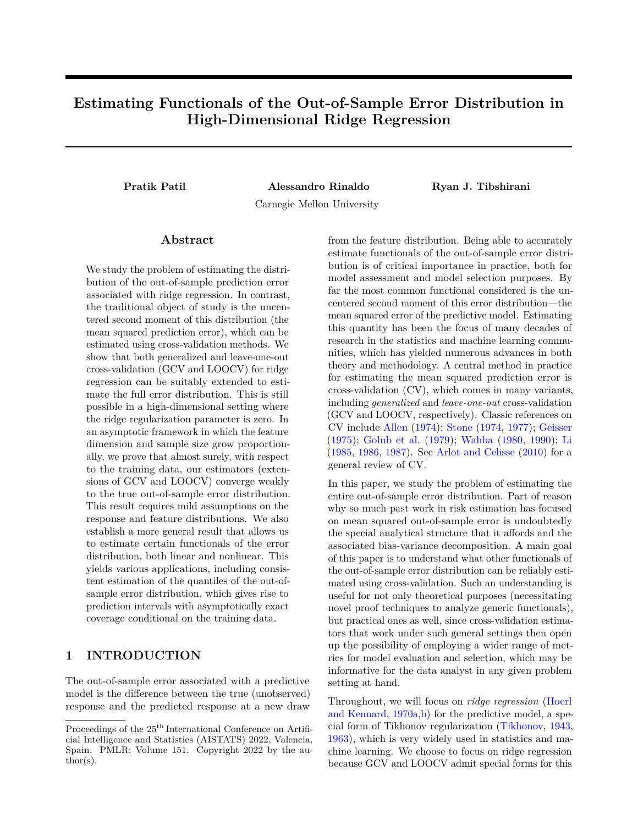# **Estimating Functionals of the Out-of-Sample Error Distribution in High-Dimensional Ridge Regression**

**Pratik Patil Alessandro Rinaldo Ryan J. Tibshirani**

Carnegie Mellon University

## **Abstract**

We study the problem of estimating the distribution of the out-of-sample prediction error associated with ridge regression. In contrast, the traditional object of study is the uncentered second moment of this distribution (the mean squared prediction error), which can be estimated using cross-validation methods. We show that both generalized and leave-one-out cross-validation (GCV and LOOCV) for ridge regression can be suitably extended to estimate the full error distribution. This is still possible in a high-dimensional setting where the ridge regularization parameter is zero. In an asymptotic framework in which the feature dimension and sample size grow proportionally, we prove that almost surely, with respect to the training data, our estimators (extensions of GCV and LOOCV) converge weakly to the true out-of-sample error distribution. This result requires mild assumptions on the response and feature distributions. We also establish a more general result that allows us to estimate certain functionals of the error distribution, both linear and nonlinear. This yields various applications, including consistent estimation of the quantiles of the out-ofsample error distribution, which gives rise to prediction intervals with asymptotically exact coverage conditional on the training data.

# **1 INTRODUCTION**

The out-of-sample error associated with a predictive model is the difference between the true (unobserved) response and the predicted response at a new draw from the feature distribution. Being able to accurately estimate functionals of the out-of-sample error distribution is of critical importance in practice, both for model assessment and model selection purposes. By far the most common functional considered is the uncentered second moment of this error distribution—the mean squared error of the predictive model. Estimating this quantity has been the focus of many decades of research in the statistics and machine learning communities, which has yielded numerous advances in both theory and methodology. A central method in practice for estimating the mean squared prediction error is cross-validation (CV), which comes in many variants, including *generalized* and *leave-one-out* cross-validation (GCV and LOOCV, respectively). Classic references on CV include [Allen](#page-8-0) [\(1974\)](#page-8-0); [Stone](#page-10-0) [\(1974,](#page-10-0) [1977\)](#page-10-1); [Geisser](#page-9-0) [\(1975\)](#page-9-0); [Golub et al.](#page-9-1) [\(1979\)](#page-9-1); [Wahba](#page-10-2) [\(1980,](#page-10-2) [1990\)](#page-10-3); [Li](#page-9-2) [\(1985,](#page-9-2) [1986,](#page-9-3) [1987\)](#page-10-4). See [Arlot and Celisse](#page-8-1) [\(2010\)](#page-8-1) for a general review of CV.

In this paper, we study the problem of estimating the entire out-of-sample error distribution. Part of reason why so much past work in risk estimation has focused on mean squared out-of-sample error is undoubtedly the special analytical structure that it affords and the associated bias-variance decomposition. A main goal of this paper is to understand what other functionals of the out-of-sample error distribution can be reliably estimated using cross-validation. Such an understanding is useful for not only theoretical purposes (necessitating novel proof techniques to analyze generic functionals), but practical ones as well, since cross-validation estimators that work under such general settings then open up the possibility of employing a wider range of metrics for model evaluation and selection, which may be informative for the data analyst in any given problem setting at hand.

Throughout, we will focus on *ridge regression* [\(Hoerl](#page-9-4) [and Kennard,](#page-9-4) [1970a](#page-9-4)[,b\)](#page-9-5) for the predictive model, a special form of Tikhonov regularization [\(Tikhonov,](#page-10-5) [1943,](#page-10-5) [1963\)](#page-10-6), which is very widely used in statistics and machine learning. We choose to focus on ridge regression because GCV and LOOCV admit special forms for this

Proceedings of the  $25<sup>th</sup>$  International Conference on Artificial Intelligence and Statistics (AISTATS) 2022, Valencia, Spain. PMLR: Volume 151. Copyright 2022 by the au- $\text{thor}(s)$ .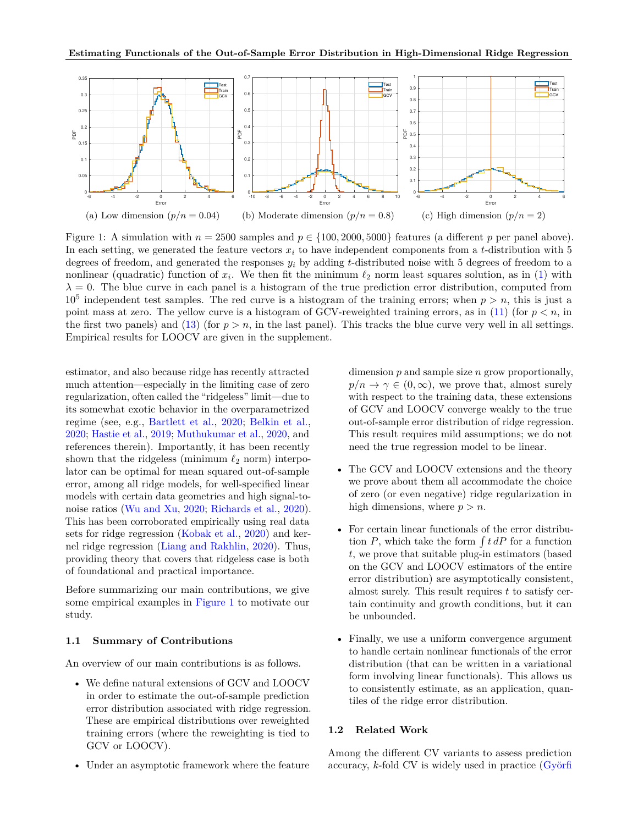<span id="page-1-0"></span>

Figure 1: A simulation with  $n = 2500$  samples and  $p \in \{100, 2000, 5000\}$  features (a different p per panel above). In each setting, we generated the feature vectors *x<sup>i</sup>* to have independent components from a *t*-distribution with 5 degrees of freedom, and generated the responses *y<sup>i</sup>* by adding *t*-distributed noise with 5 degrees of freedom to a nonlinear (quadratic) function of  $x_i$ . We then fit the minimum  $\ell_2$  norm least squares solution, as in [\(1\)](#page-2-0) with  $\lambda = 0$ . The blue curve in each panel is a histogram of the true prediction error distribution, computed from  $10<sup>5</sup>$  independent test samples. The red curve is a histogram of the training errors; when  $p > n$ , this is just a point mass at zero. The yellow curve is a histogram of GCV-reweighted training errors, as in  $(11)$  (for  $p < n$ , in the first two panels) and [\(13\)](#page-4-0) (for  $p > n$ , in the last panel). This tracks the blue curve very well in all settings. Empirical results for LOOCV are given in the supplement.

estimator, and also because ridge has recently attracted much attention—especially in the limiting case of zero regularization, often called the "ridgeless" limit—due to its somewhat exotic behavior in the overparametrized regime (see, e.g., [Bartlett et al.,](#page-9-6) [2020;](#page-9-6) [Belkin et al.,](#page-9-7) [2020;](#page-9-7) [Hastie et al.,](#page-9-8) [2019;](#page-9-8) [Muthukumar et al.,](#page-10-7) [2020,](#page-10-7) and references therein). Importantly, it has been recently shown that the ridgeless (minimum *ℓ*<sup>2</sup> norm) interpolator can be optimal for mean squared out-of-sample error, among all ridge models, for well-specified linear models with certain data geometries and high signal-tonoise ratios [\(Wu and Xu,](#page-10-8) [2020;](#page-10-8) [Richards et al.,](#page-10-9) [2020\)](#page-10-9). This has been corroborated empirically using real data sets for ridge regression [\(Kobak et al.,](#page-9-9) [2020\)](#page-9-9) and kernel ridge regression [\(Liang and Rakhlin,](#page-10-10) [2020\)](#page-10-10). Thus, providing theory that covers that ridgeless case is both of foundational and practical importance.

Before summarizing our main contributions, we give some empirical examples in [Figure 1](#page-1-0) to motivate our study.

## **1.1 Summary of Contributions**

An overview of our main contributions is as follows.

- We define natural extensions of GCV and LOOCV in order to estimate the out-of-sample prediction error distribution associated with ridge regression. These are empirical distributions over reweighted training errors (where the reweighting is tied to GCV or LOOCV).
- [Under an asymptotic framework where the feature](#page-9-10)

dimension *p* and sample size *n* grow proportionally,  $p/n \to \gamma \in (0,\infty)$ , we prove that, almost surely with respect to the training data, these extensions of GCV and LOOCV converge weakly to the true out-of-sample error distribution of ridge regression. This result requires mild assumptions; we do not need the true regression model to be linear.

- The GCV and LOOCV extensions and the theory we prove about them all accommodate the choice of zero (or even negative) ridge regularization in high dimensions, where  $p > n$ .
- For certain linear functionals of the error distribution  $P$ , which take the form  $\int t \, dP$  for a function *t*, we prove that suitable plug-in estimators (based on the GCV and LOOCV estimators of the entire error distribution) are asymptotically consistent, almost surely. This result requires *t* to satisfy certain continuity and growth conditions, but it can be unbounded.
- Finally, we use a uniform convergence argument to handle certain nonlinear functionals of the error distribution (that can be written in a variational form involving linear functionals). This allows us to consistently estimate, as an application, quantiles of the ridge error distribution.

### **1.2 Related Work**

Among the different CV variants to assess prediction accuracy, *k*-fold CV is widely used in practice [\(Györfi](#page-9-10)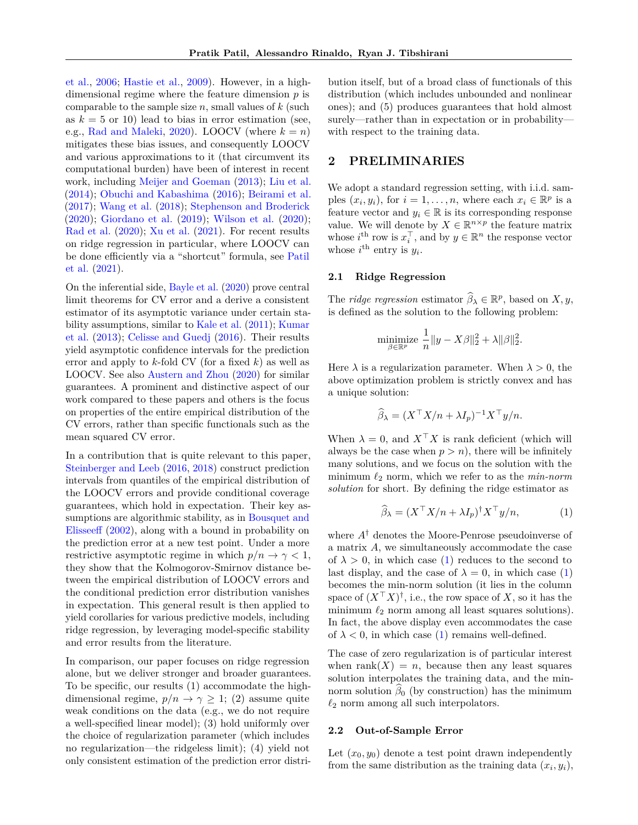[et al.,](#page-9-10) [2006;](#page-9-10) [Hastie et al.,](#page-9-11) [2009\)](#page-9-11). However, in a highdimensional regime where the feature dimension *p* is comparable to the sample size *n*, small values of *k* (such as  $k = 5$  or 10) lead to bias in error estimation (see, e.g., [Rad and Maleki,](#page-10-11) [2020\)](#page-10-11). LOOCV (where  $k = n$ ) mitigates these bias issues, and consequently LOOCV and various approximations to it (that circumvent its computational burden) have been of interest in recent work, including [Meijer and Goeman](#page-10-12) [\(2013\)](#page-10-12); [Liu et al.](#page-10-13) [\(2014\)](#page-10-13); [Obuchi and Kabashima](#page-10-14) [\(2016\)](#page-10-14); [Beirami et al.](#page-9-12) [\(2017\)](#page-9-12); [Wang et al.](#page-10-15) [\(2018\)](#page-10-15); [Stephenson and Broderick](#page-10-16) [\(2020\)](#page-10-16); [Giordano et al.](#page-9-13) [\(2019\)](#page-9-13); [Wilson et al.](#page-10-17) [\(2020\)](#page-10-17); [Rad et al.](#page-10-18) [\(2020\)](#page-10-18); [Xu et al.](#page-10-19) [\(2021\)](#page-10-19). For recent results on ridge regression in particular, where LOOCV can be done efficiently via a "shortcut" formula, see [Patil](#page-10-20) [et al.](#page-10-20) [\(2021\)](#page-10-20).

On the inferential side, [Bayle et al.](#page-9-14) [\(2020\)](#page-9-14) prove central limit theorems for CV error and a derive a consistent estimator of its asymptotic variance under certain stability assumptions, similar to [Kale et al.](#page-9-15) [\(2011\)](#page-9-15); [Kumar](#page-9-16) [et al.](#page-9-16) [\(2013\)](#page-9-16); [Celisse and Guedj](#page-9-17) [\(2016\)](#page-9-17). Their results yield asymptotic confidence intervals for the prediction error and apply to *k*-fold CV (for a fixed *k*) as well as LOOCV. See also [Austern and Zhou](#page-8-2) [\(2020\)](#page-8-2) for similar guarantees. A prominent and distinctive aspect of our work compared to these papers and others is the focus on properties of the entire empirical distribution of the CV errors, rather than specific functionals such as the mean squared CV error.

In a contribution that is quite relevant to this paper, [Steinberger and Leeb](#page-10-21) [\(2016,](#page-10-21) [2018\)](#page-10-22) construct prediction intervals from quantiles of the empirical distribution of the LOOCV errors and provide conditional coverage guarantees, which hold in expectation. Their key assumptions are algorithmic stability, as in [Bousquet and](#page-9-18) [Elisseeff](#page-9-18) [\(2002\)](#page-9-18), along with a bound in probability on the prediction error at a new test point. Under a more restrictive asymptotic regime in which  $p/n \to \gamma < 1$ , they show that the Kolmogorov-Smirnov distance between the empirical distribution of LOOCV errors and the conditional prediction error distribution vanishes in expectation. This general result is then applied to yield corollaries for various predictive models, including ridge regression, by leveraging model-specific stability and error results from the literature.

In comparison, our paper focuses on ridge regression alone, but we deliver stronger and broader guarantees. To be specific, our results (1) accommodate the highdimensional regime,  $p/n \to \gamma \geq 1$ ; (2) assume quite weak conditions on the data (e.g., we do not require a well-specified linear model); (3) hold uniformly over the choice of regularization parameter (which includes no regularization—the ridgeless limit); (4) yield not only consistent estimation of the prediction error distribution itself, but of a broad class of functionals of this distribution (which includes unbounded and nonlinear ones); and (5) produces guarantees that hold almost surely—rather than in expectation or in probability with respect to the training data.

## **2 PRELIMINARIES**

We adopt a standard regression setting, with i.i.d. samples  $(x_i, y_i)$ , for  $i = 1, \ldots, n$ , where each  $x_i \in \mathbb{R}^p$  is a feature vector and  $y_i \in \mathbb{R}$  is its corresponding response value. We will denote by  $X \in \mathbb{R}^{n \times p}$  the feature matrix whose  $i^{\text{th}}$  row is  $x_i^{\top}$ , and by  $y \in \mathbb{R}^n$  the response vector whose  $i^{\text{th}}$  entry is  $y_i$ .

### **2.1 Ridge Regression**

The *ridge regression* estimator  $\widehat{\beta}_{\lambda} \in \mathbb{R}^p$ , based on *X*, *y*, is defined as the solution to the following problem:

$$
\underset{\beta \in \mathbb{R}^p}{\text{minimize}} \frac{1}{n} \|y - X\beta\|_2^2 + \lambda \|\beta\|_2^2.
$$

Here  $\lambda$  is a regularization parameter. When  $\lambda > 0$ , the above optimization problem is strictly convex and has a unique solution:

$$
\widehat{\beta}_{\lambda} = (X^{\top} X/n + \lambda I_p)^{-1} X^{\top} y/n.
$$

When  $\lambda = 0$ , and  $X^{\top} X$  is rank deficient (which will always be the case when  $p > n$ , there will be infinitely many solutions, and we focus on the solution with the minimum *ℓ*<sup>2</sup> norm, which we refer to as the *min-norm solution* for short. By defining the ridge estimator as

<span id="page-2-0"></span>
$$
\widehat{\beta}_{\lambda} = (X^{\top} X/n + \lambda I_p)^{\dagger} X^{\top} y/n, \tag{1}
$$

where *A*† denotes the Moore-Penrose pseudoinverse of a matrix *A*, we simultaneously accommodate the case of  $\lambda > 0$ , in which case [\(1\)](#page-2-0) reduces to the second to last display, and the case of  $\lambda = 0$ , in which case [\(1\)](#page-2-0) becomes the min-norm solution (it lies in the column space of  $(X<sup>T</sup>X)<sup>†</sup>$ , i.e., the row space of *X*, so it has the minimum  $\ell_2$  norm among all least squares solutions). In fact, the above display even accommodates the case of  $\lambda < 0$ , in which case [\(1\)](#page-2-0) remains well-defined.

The case of zero regularization is of particular interest when rank $(X) = n$ , because then any least squares solution interpolates the training data, and the minnorm solution  $\beta_0$  (by construction) has the minimum  $\ell_2$  norm among all such interpolators.

#### **2.2 Out-of-Sample Error**

Let  $(x_0, y_0)$  denote a test point drawn independently from the same distribution as the training data  $(x_i, y_i)$ ,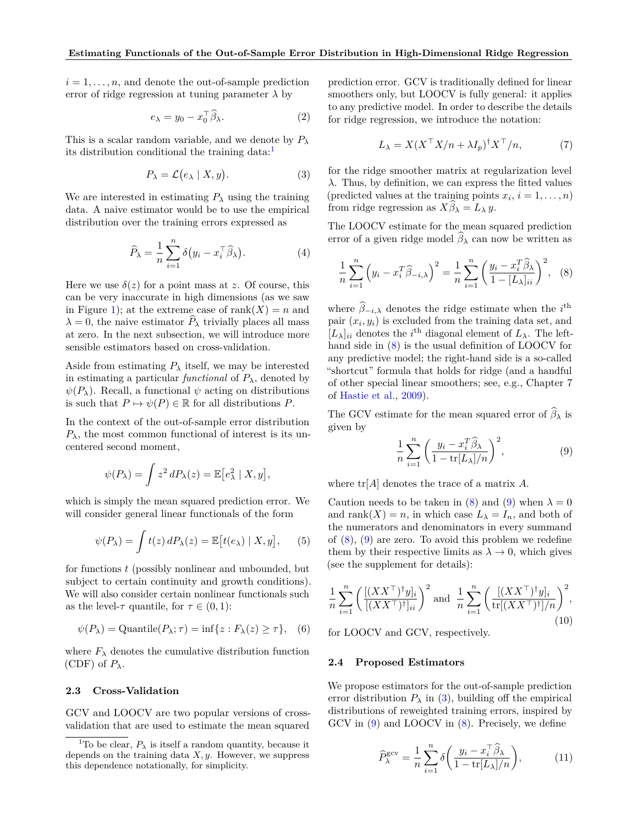$i = 1, \ldots, n$ , and denote the out-of-sample prediction error of ridge regression at tuning parameter  $\lambda$  by

$$
e_{\lambda} = y_0 - x_0^{\top} \widehat{\beta}_{\lambda}.
$$
 (2)

This is a scalar random variable, and we denote by *P<sup>λ</sup>* its distribution conditional the training data: $<sup>1</sup>$  $<sup>1</sup>$  $<sup>1</sup>$ </sup>

<span id="page-3-4"></span>
$$
P_{\lambda} = \mathcal{L}(e_{\lambda} \mid X, y). \tag{3}
$$

We are interested in estimating  $P_\lambda$  using the training data. A naive estimator would be to use the empirical distribution over the training errors expressed as

$$
\widehat{P}_{\lambda} = \frac{1}{n} \sum_{i=1}^{n} \delta(y_i - x_i^{\top} \widehat{\beta}_{\lambda}). \tag{4}
$$

Here we use  $\delta(z)$  for a point mass at *z*. Of course, this can be very inaccurate in high dimensions (as we saw in Figure [1\)](#page-1-0); at the extreme case of rank $(X) = n$  and  $\lambda = 0$ , the naive estimator  $\hat{P}_{\lambda}$  trivially places all mass at zero. In the next subsection, we will introduce more sensible estimators based on cross-validation.

Aside from estimating  $P_\lambda$  itself, we may be interested in estimating a particular *functional* of  $P_\lambda$ , denoted by  $\psi(P_\lambda)$ . Recall, a functional  $\psi$  acting on distributions is such that  $P \mapsto \psi(P) \in \mathbb{R}$  for all distributions *P*.

In the context of the out-of-sample error distribution  $P_{\lambda}$ , the most common functional of interest is its uncentered second moment,

$$
\psi(P_\lambda) = \int z^2 dP_\lambda(z) = \mathbb{E}\big[e_\lambda^2 \mid X, y\big],
$$

which is simply the mean squared prediction error. We will consider general linear functionals of the form

<span id="page-3-6"></span>
$$
\psi(P_{\lambda}) = \int t(z) dP_{\lambda}(z) = \mathbb{E}[t(e_{\lambda}) | X, y], \quad (5)
$$

for functions *t* (possibly nonlinear and unbounded, but subject to certain continuity and growth conditions). We will also consider certain nonlinear functionals such as the level- $\tau$  quantile, for  $\tau \in (0,1)$ :

<span id="page-3-7"></span>
$$
\psi(P_{\lambda}) = \text{Quantile}(P_{\lambda}; \tau) = \inf\{z : F_{\lambda}(z) \ge \tau\}, \quad (6)
$$

where  $F_{\lambda}$  denotes the cumulative distribution function (CDF) of  $P_\lambda$ .

## **2.3 Cross-Validation**

GCV and LOOCV are two popular versions of crossvalidation that are used to estimate the mean squared prediction error. GCV is traditionally defined for linear smoothers only, but LOOCV is fully general: it applies to any predictive model. In order to describe the details for ridge regression, we introduce the notation:

$$
L_{\lambda} = X(X^{\top}X/n + \lambda I_p)^{\dagger} X^{\top}/n, \tag{7}
$$

for the ridge smoother matrix at regularization level *λ*. Thus, by definition, we can express the fitted values (predicted values at the training points  $x_i$ ,  $i = 1, \ldots, n$ ) from ridge regression as  $X\widehat{\beta}_\lambda = L_\lambda y$ .

The LOOCV estimate for the mean squared prediction error of a given ridge model  $\hat{\beta}_{\lambda}$  can now be written as

<span id="page-3-2"></span>
$$
\frac{1}{n}\sum_{i=1}^{n} \left(y_i - x_i^T \widehat{\beta}_{-i,\lambda}\right)^2 = \frac{1}{n}\sum_{i=1}^{n} \left(\frac{y_i - x_i^T \widehat{\beta}_{\lambda}}{1 - [L_{\lambda}]_{ii}}\right)^2, \quad (8)
$$

where  $\hat{\beta}_{-i,\lambda}$  denotes the ridge estimate when the *i*<sup>th</sup> pair  $(x_i, y_i)$  is excluded from the training data set, and  $[L_{\lambda}]_{ii}$  denotes the *i*<sup>th</sup> diagonal element of  $L_{\lambda}$ . The lefthand side in [\(8\)](#page-3-2) is the usual definition of LOOCV for any predictive model; the right-hand side is a so-called "shortcut" formula that holds for ridge (and a handful of other special linear smoothers; see, e.g., Chapter 7 of [Hastie et al.,](#page-9-11) [2009\)](#page-9-11).

The GCV estimate for the mean squared error of  $\widehat{\beta}_{\lambda}$  is given by

<span id="page-3-3"></span>
$$
\frac{1}{n}\sum_{i=1}^{n} \left(\frac{y_i - x_i^T \widehat{\beta}_{\lambda}}{1 - \text{tr}[L_{\lambda}]/n}\right)^2, \tag{9}
$$

where tr[*A*] denotes the trace of a matrix *A*.

Caution needs to be taken in [\(8\)](#page-3-2) and [\(9\)](#page-3-3) when  $\lambda = 0$ and rank $(X) = n$ , in which case  $L_{\lambda} = I_n$ , and both of the numerators and denominators in every summand of  $(8)$ ,  $(9)$  are zero. To avoid this problem we redefine them by their respective limits as  $\lambda \to 0$ , which gives (see the supplement for details):

<span id="page-3-5"></span>
$$
\frac{1}{n}\sum_{i=1}^{n} \left( \frac{\left[ (XX^{\top})^{\dagger} y \right]_i}{\left[ (XX^{\top})^{\dagger} \right]_{ii}} \right)^2 \text{ and } \frac{1}{n}\sum_{i=1}^{n} \left( \frac{\left[ (XX^{\top})^{\dagger} y \right]_i}{\text{tr}\left[ (XX^{\top})^{\dagger} \right] / n} \right)^2,
$$
\n
$$
(10)
$$

for LOOCV and GCV, respectively.

### **2.4 Proposed Estimators**

We propose estimators for the out-of-sample prediction error distribution  $P_\lambda$  in [\(3\)](#page-3-4), building off the empirical distributions of reweighted training errors, inspired by GCV in [\(9\)](#page-3-3) and LOOCV in [\(8\)](#page-3-2). Precisely, we define

<span id="page-3-0"></span>
$$
\widehat{P}_{\lambda}^{\text{gcv}} = \frac{1}{n} \sum_{i=1}^{n} \delta \left( \frac{y_i - x_i^{\top} \widehat{\beta}_{\lambda}}{1 - \text{tr}[L_{\lambda}]/n} \right), \tag{11}
$$

<span id="page-3-1"></span><sup>&</sup>lt;sup>1</sup>To be clear,  $P_\lambda$  is itself a random quantity, because it depends on the training data *X, y*. However, we suppress this dependence notationally, for simplicity.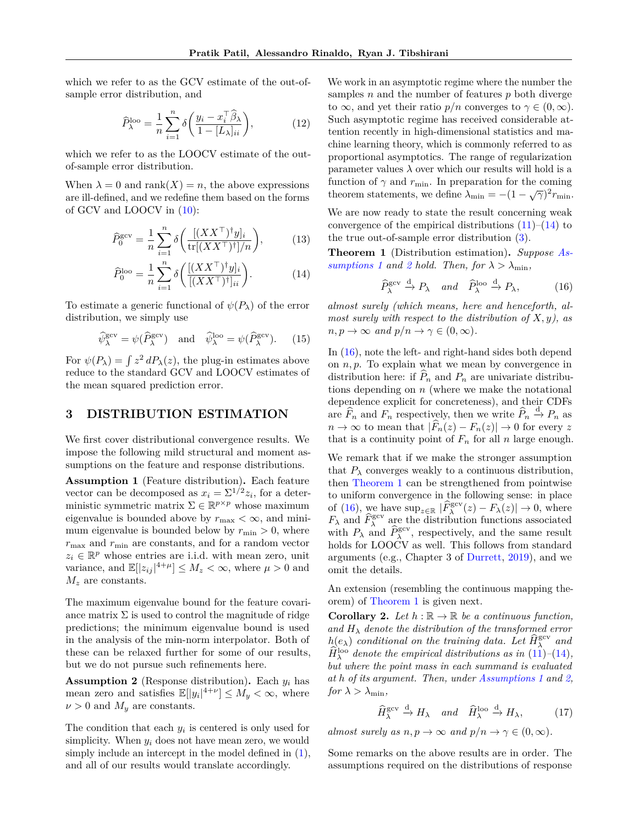which we refer to as the GCV estimate of the out-ofsample error distribution, and

$$
\widehat{P}_{\lambda}^{\text{loo}} = \frac{1}{n} \sum_{i=1}^{n} \delta \left( \frac{y_i - x_i^{\top} \widehat{\beta}_{\lambda}}{1 - [L_{\lambda}]_{ii}} \right), \tag{12}
$$

which we refer to as the LOOCV estimate of the outof-sample error distribution.

When  $\lambda = 0$  and rank $(X) = n$ , the above expressions are ill-defined, and we redefine them based on the forms of GCV and LOOCV in [\(10\)](#page-3-5):

$$
\widehat{P}_0^{\text{gcv}} = \frac{1}{n} \sum_{i=1}^n \delta\bigg(\frac{[(XX^\top)^\dagger y]_i}{\text{tr}[(XX^\top)^\dagger]/n}\bigg),\tag{13}
$$

$$
\widehat{P}_0^{\text{loo}} = \frac{1}{n} \sum_{i=1}^n \delta \left( \frac{[(XX^\top)^\dagger y]_i}{[(XX^\top)^\dagger]_{ii}} \right). \tag{14}
$$

To estimate a generic functional of  $\psi(P_\lambda)$  of the error distribution, we simply use

<span id="page-4-7"></span>
$$
\widehat{\psi}_{\lambda}^{\text{gev}} = \psi(\widehat{P}_{\lambda}^{\text{gev}}) \quad \text{and} \quad \widehat{\psi}_{\lambda}^{\text{loo}} = \psi(\widehat{P}_{\lambda}^{\text{gev}}). \tag{15}
$$

For  $\psi(P_\lambda) = \int z^2 dP_\lambda(z)$ , the plug-in estimates above reduce to the standard GCV and LOOCV estimates of the mean squared prediction error.

# **3 DISTRIBUTION ESTIMATION**

We first cover distributional convergence results. We impose the following mild structural and moment assumptions on the feature and response distributions.

<span id="page-4-2"></span>**Assumption 1** (Feature distribution)**.** Each feature vector can be decomposed as  $x_i = \sum^{1/2} z_i$ , for a deterministic symmetric matrix  $\Sigma \in \mathbb{R}^{p \times p}$  whose maximum eigenvalue is bounded above by  $r_{\text{max}} < \infty$ , and minimum eigenvalue is bounded below by  $r_{\min} > 0$ , where  $r_{\text{max}}$  and  $r_{\text{min}}$  are constants, and for a random vector  $z_i \in \mathbb{R}^p$  whose entries are i.i.d. with mean zero, unit variance, and  $\mathbb{E}[|z_{ij}|^{4+\mu}] \leq M_z < \infty$ , where  $\mu > 0$  and *M<sup>z</sup>* are constants.

The maximum eigenvalue bound for the feature covariance matrix  $\Sigma$  is used to control the magnitude of ridge predictions; the minimum eigenvalue bound is used in the analysis of the min-norm interpolator. Both of these can be relaxed further for some of our results, but we do not pursue such refinements here.

<span id="page-4-3"></span>**Assumption 2** (Response distribution)**.** Each *y<sup>i</sup>* has mean zero and satisfies  $\mathbb{E}[|y_i|^{4+\nu}] \leq M_y < \infty$ , where  $\nu > 0$  and  $M_y$  are constants.

The condition that each *y<sup>i</sup>* is centered is only used for simplicity. When  $y_i$  does not have mean zero, we would simply include an intercept in the model defined in  $(1)$ , and all of our results would translate accordingly.

We work in an asymptotic regime where the number the samples *n* and the number of features *p* both diverge to  $\infty$ , and yet their ratio  $p/n$  converges to  $\gamma \in (0,\infty)$ . Such asymptotic regime has received considerable attention recently in high-dimensional statistics and machine learning theory, which is commonly referred to as proportional asymptotics. The range of regularization parameter values  $\lambda$  over which our results will hold is a function of  $\gamma$  and  $r_{\min}$ . In preparation for the coming theorem statements, we define  $\lambda_{\min} = -(1 - \sqrt{\gamma})^2 r_{\min}$ .

<span id="page-4-0"></span>We are now ready to state the result concerning weak convergence of the empirical distributions  $(11)$ – $(14)$  to the true out-of-sample error distribution [\(3\)](#page-3-4).

<span id="page-4-5"></span><span id="page-4-1"></span>**Theorem 1** (Distribution estimation)**.** *Suppose [As](#page-4-2)[sumptions 1](#page-4-2) and [2](#page-4-3) hold. Then, for*  $\lambda > \lambda_{\min}$ ,

<span id="page-4-4"></span>
$$
\widehat{P}_{\lambda}^{\text{gcv}} \xrightarrow{d} P_{\lambda} \quad and \quad \widehat{P}_{\lambda}^{\text{loo}} \xrightarrow{d} P_{\lambda}, \tag{16}
$$

*almost surely (which means, here and henceforth, almost surely with respect to the distribution of X, y), as*  $n, p \to \infty$  *and*  $p/n \to \gamma \in (0, \infty)$ *.* 

In [\(16\)](#page-4-4), note the left- and right-hand sides both depend on *n, p*. To explain what we mean by convergence in distribution here: if  $\hat{P}_n$  and  $P_n$  are univariate distributions depending on *n* (where we make the notational dependence explicit for concreteness), and their CDFs are  $\widehat{F}_n$  and  $F_n$  respectively, then we write  $\widehat{P}_n \xrightarrow{d} P_n$  as  $n \to \infty$  to mean that  $|\widehat{F}_n(z) - F_n(z)| \to 0$  for every z that is a continuity point of  $F_n$  for all  $n$  large enough.

We remark that if we make the stronger assumption that  $P_\lambda$  converges weakly to a continuous distribution, then [Theorem 1](#page-4-5) can be strengthened from pointwise to uniform convergence in the following sense: in place of [\(16\)](#page-4-4), we have  $\sup_{z \in \mathbb{R}} |\widehat{F}_{\lambda}^{\text{gcv}}(z) - F_{\lambda}(z)| \to 0$ , where  $F_{\lambda}$  and  $\widehat{F}_{\lambda}^{\text{gcv}}$  are the distribution functions associated with  $P_{\lambda}$  and  $\hat{P}_{\lambda}^{\text{gcv}}$ , respectively, and the same result holds for LOOCV as well. This follows from standard arguments (e.g., Chapter 3 of [Durrett,](#page-9-19) [2019\)](#page-9-19), and we omit the details.

An extension (resembling the continuous mapping theorem) of [Theorem 1](#page-4-5) is given next.

**Corollary 2.** Let  $h : \mathbb{R} \to \mathbb{R}$  be a continuous function, and  $H_{\lambda}$  *denote the distribution of the transformed error*  $h(e_{\lambda})$  *conditional on the training data. Let*  $\widehat{H}_{\lambda}^{\text{gcv}}$  *and*  $\widehat{H}_{\lambda}^{\text{hco}}$  *(14)*  $\hat{H}_{\lambda}^{\text{loo}}$  denote the empirical distributions as in [\(11\)](#page-3-0)–[\(14\)](#page-4-1)*, but where the point mass in each summand is evaluated at h of its argument. Then, under [Assumptions 1](#page-4-2) and [2,](#page-4-3) for*  $\lambda > \lambda_{\min}$ ,

<span id="page-4-6"></span>
$$
\widehat{H}_{\lambda}^{\text{gcv}} \xrightarrow{d} H_{\lambda} \quad and \quad \widehat{H}_{\lambda}^{\text{loo}} \xrightarrow{d} H_{\lambda}, \tag{17}
$$

*almost surely as*  $n, p \to \infty$  *and*  $p/n \to \gamma \in (0, \infty)$ *.* 

Some remarks on the above results are in order. The assumptions required on the distributions of response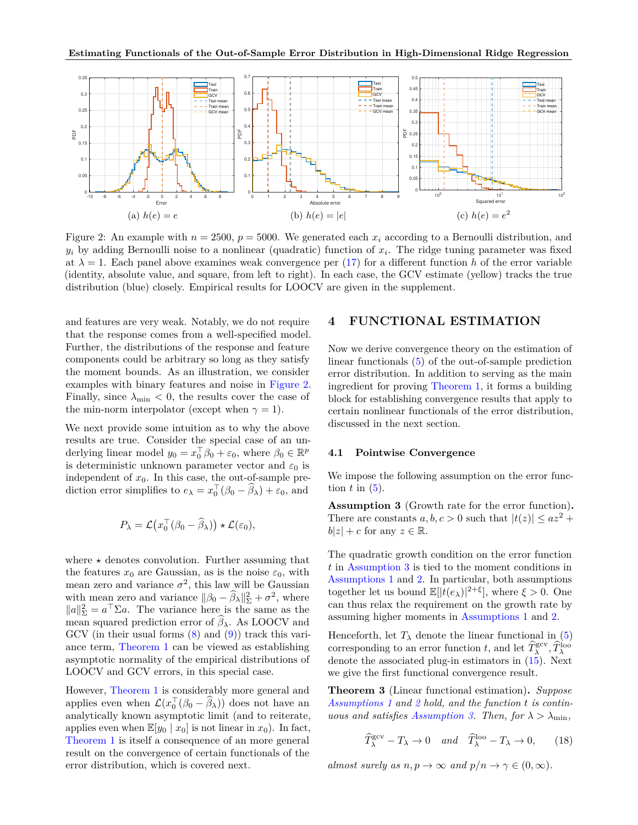<span id="page-5-0"></span>

Figure 2: An example with  $n = 2500$ ,  $p = 5000$ . We generated each  $x_i$  according to a Bernoulli distribution, and  $y_i$  by adding Bernoulli noise to a nonlinear (quadratic) function of  $x_i$ . The ridge tuning parameter was fixed at  $\lambda = 1$ . Each panel above examines weak convergence per [\(17\)](#page-4-6) for a different function h of the error variable (identity, absolute value, and square, from left to right). In each case, the GCV estimate (yellow) tracks the true distribution (blue) closely. Empirical results for LOOCV are given in the supplement.

and features are very weak. Notably, we do not require that the response comes from a well-specified model. Further, the distributions of the response and feature components could be arbitrary so long as they satisfy the moment bounds. As an illustration, we consider examples with binary features and noise in [Figure 2.](#page-5-0) Finally, since  $\lambda_{\min}$  < 0, the results cover the case of the min-norm interpolator (except when  $\gamma = 1$ ).

We next provide some intuition as to why the above results are true. Consider the special case of an underlying linear model  $y_0 = x_0^{\top} \beta_0 + \varepsilon_0$ , where  $\beta_0 \in \mathbb{R}^p$ is deterministic unknown parameter vector and  $\varepsilon_0$  is independent of  $x_0$ . In this case, the out-of-sample prediction error simplifies to  $e_{\lambda} = x_0^{\top} (\beta_0 - \widehat{\beta}_{\lambda}) + \varepsilon_0$ , and

$$
P_{\lambda} = \mathcal{L}(x_0^{\top}(\beta_0 - \widehat{\beta}_{\lambda})) \star \mathcal{L}(\varepsilon_0),
$$

where  $\star$  denotes convolution. Further assuming that the features  $x_0$  are Gaussian, as is the noise  $\varepsilon_0$ , with mean zero and variance  $\sigma^2$ , this law will be Gaussian with mean zero and variance  $||\beta_0 - \hat{\beta}_\lambda||^2_{\Sigma} + \sigma^2$ , where  $||a||_{\Sigma}^2 = a^{\top} \Sigma a$ . The variance here is the same as the mean squared prediction error of  $\beta_{\lambda}$ . As LOOCV and GCV (in their usual forms  $(8)$  and  $(9)$ ) track this variance term, [Theorem 1](#page-4-5) can be viewed as establishing asymptotic normality of the empirical distributions of LOOCV and GCV errors, in this special case.

However, [Theorem 1](#page-4-5) is considerably more general and applies even when  $\mathcal{L}(x_0^{\top}(\beta_0 - \hat{\beta}_\lambda))$  does not have an analytically known asymptotic limit (and to reiterate, applies even when  $\mathbb{E}[y_0 \mid x_0]$  is not linear in  $x_0$ ). In fact, [Theorem 1](#page-4-5) is itself a consequence of an more general result on the convergence of certain functionals of the error distribution, which is covered next.

## <span id="page-5-4"></span>**4 FUNCTIONAL ESTIMATION**

Now we derive convergence theory on the estimation of linear functionals [\(5\)](#page-3-6) of the out-of-sample prediction error distribution. In addition to serving as the main ingredient for proving [Theorem 1,](#page-4-5) it forms a building block for establishing convergence results that apply to certain nonlinear functionals of the error distribution, discussed in the next section.

## **4.1 Pointwise Convergence**

We impose the following assumption on the error function  $t$  in  $(5)$ .

<span id="page-5-1"></span>**Assumption 3** (Growth rate for the error function)**.** There are constants  $a, b, c > 0$  such that  $|t(z)| \leq az^2 +$  $|b|z| + c$  for any  $z \in \mathbb{R}$ .

The quadratic growth condition on the error function *t* in [Assumption 3](#page-5-1) is tied to the moment conditions in [Assumptions 1](#page-4-2) and [2.](#page-4-3) In particular, both assumptions together let us bound  $\mathbb{E}[|t(e_{\lambda})|^{2+\xi}],$  where  $\xi > 0$ . One can thus relax the requirement on the growth rate by assuming higher moments in [Assumptions 1](#page-4-2) and [2.](#page-4-3)

Henceforth, let  $T_{\lambda}$  denote the linear functional in [\(5\)](#page-3-6) corresponding to an error function *t*, and let  $\hat{T}_{\lambda}^{\text{gcv}}, \hat{T}_{\lambda}^{\text{loop}}$ denote the associated plug-in estimators in [\(15\)](#page-4-7). Next we give the first functional convergence result.

<span id="page-5-3"></span>**Theorem 3** (Linear functional estimation)**.** *Suppose [Assumptions 1](#page-4-2) and [2](#page-4-3) hold, and the function t is contin-uous and satisfies [Assumption 3.](#page-5-1) Then, for*  $\lambda > \lambda_{\min}$ ,

<span id="page-5-2"></span>
$$
\widehat{T}_{\lambda}^{\text{gcv}} - T_{\lambda} \to 0 \quad and \quad \widehat{T}_{\lambda}^{\text{loo}} - T_{\lambda} \to 0, \qquad (18)
$$

*almost surely as*  $n, p \to \infty$  *and*  $p/n \to \gamma \in (0, \infty)$ *.*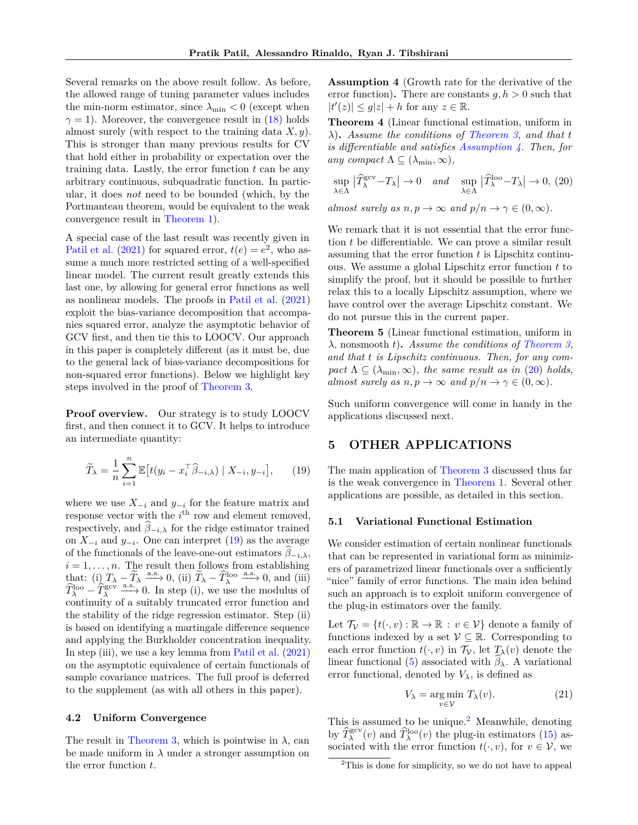Several remarks on the above result follow. As before, the allowed range of tuning parameter values includes the min-norm estimator, since  $\lambda_{\min} < 0$  (except when  $\gamma = 1$ ). Moreover, the convergence result in [\(18\)](#page-5-2) holds almost surely (with respect to the training data *X, y*). This is stronger than many previous results for CV that hold either in probability or expectation over the training data. Lastly, the error function *t* can be any arbitrary continuous, subquadratic function. In particular, it does *not* need to be bounded (which, by the Portmanteau theorem, would be equivalent to the weak convergence result in [Theorem 1\)](#page-4-5).

A special case of the last result was recently given in [Patil et al.](#page-10-20) [\(2021\)](#page-10-20) for squared error,  $t(e) = e^2$ , who assume a much more restricted setting of a well-specified linear model. The current result greatly extends this last one, by allowing for general error functions as well as nonlinear models. The proofs in [Patil et al.](#page-10-20) [\(2021\)](#page-10-20) exploit the bias-variance decomposition that accompanies squared error, analyze the asymptotic behavior of GCV first, and then tie this to LOOCV. Our approach in this paper is completely different (as it must be, due to the general lack of bias-variance decompositions for non-squared error functions). Below we highlight key steps involved in the proof of [Theorem 3.](#page-5-3)

**Proof overview.** Our strategy is to study LOOCV first, and then connect it to GCV. It helps to introduce an intermediate quantity:

<span id="page-6-0"></span>
$$
\widetilde{T}_{\lambda} = \frac{1}{n} \sum_{i=1}^{n} \mathbb{E} \left[ t(y_i - x_i^{\top} \widehat{\beta}_{-i,\lambda}) \mid X_{-i}, y_{-i} \right], \qquad (19)
$$

where we use  $X_{-i}$  and  $y_{-i}$  for the feature matrix and response vector with the  $i^{\text{th}}$  row and element removed, respectively, and  $\widehat{\beta}_{-i,\lambda}$  for the ridge estimator trained on *X*<sup>−</sup>*<sup>i</sup>* and *y*<sup>−</sup>*<sup>i</sup>* . One can interpret [\(19\)](#page-6-0) as the average of the functionals of the leave-one-out estimators  $\beta_{-i,\lambda}$ ,  $i = 1, \ldots, n$ . The result then follows from establishing that: (i)  $T_{\lambda} - \widetilde{T}_{\lambda} \xrightarrow{a.s.} 0$ , (ii)  $\widetilde{T}_{\lambda} - \widehat{T}_{\lambda}^{\text{loop}}$  a.s.  $\rho$ , and (iii)  $\hat{T}_{\lambda}^{\text{loo}} - \hat{T}_{\lambda}^{\text{gcv}} \xrightarrow{a.s.} 0$ . In step (i), we use the modulus of continuity of a suitably truncated error function and the stability of the ridge regression estimator. Step (ii) is based on identifying a martingale difference sequence and applying the Burkholder concentration inequality. In step (iii), we use a key lemma from [Patil et al.](#page-10-20) [\(2021\)](#page-10-20) on the asymptotic equivalence of certain functionals of sample covariance matrices. The full proof is deferred to the supplement (as with all others in this paper).

### **4.2 Uniform Convergence**

<span id="page-6-1"></span>The result in [Theorem 3,](#page-5-3) which is pointwise in  $\lambda$ , can be made uniform in  $\lambda$  under a stronger assumption on the error function *t*.

**Assumption 4** (Growth rate for the derivative of the error function). There are constants  $g, h > 0$  such that  $|t'(z)| \le g|z| + h$  for any  $z \in \mathbb{R}$ .

<span id="page-6-6"></span>**Theorem 4** (Linear functional estimation, uniform in *λ*)**.** *Assume the conditions of [Theorem 3,](#page-5-3) and that t is differentiable and satisfies [Assumption 4.](#page-6-1) Then, for any compact*  $\Lambda \subseteq (\lambda_{\min}, \infty)$ *,* 

<span id="page-6-2"></span>
$$
\sup_{\lambda \in \Lambda} |\widehat{T}_{\lambda}^{\text{gcv}} - T_{\lambda}| \to 0 \quad \text{and} \quad \sup_{\lambda \in \Lambda} |\widehat{T}_{\lambda}^{\text{loo}} - T_{\lambda}| \to 0, (20)
$$

*almost surely as*  $n, p \to \infty$  *and*  $p/n \to \gamma \in (0, \infty)$ *.* 

We remark that it is not essential that the error function *t* be differentiable. We can prove a similar result assuming that the error function *t* is Lipschitz continuous. We assume a global Lipschitz error function *t* to simplify the proof, but it should be possible to further relax this to a locally Lipschitz assumption, where we have control over the average Lipschitz constant. We do not pursue this in the current paper.

<span id="page-6-5"></span>**Theorem 5** (Linear functional estimation, uniform in *λ*, nonsmooth *t*)**.** *Assume the conditions of [Theorem 3,](#page-5-3) and that t is Lipschitz continuous. Then, for any com-* $\text{pact } \Lambda \subseteq (\lambda_{\min}, \infty)$ , the same result as in [\(20\)](#page-6-2) holds, *almost surely as*  $n, p \to \infty$  *and*  $p/n \to \gamma \in (0, \infty)$ *.* 

Such uniform convergence will come in handy in the applications discussed next.

## **5 OTHER APPLICATIONS**

The main application of [Theorem 3](#page-5-3) discussed thus far is the weak convergence in [Theorem 1.](#page-4-5) Several other applications are possible, as detailed in this section.

### **5.1 Variational Functional Estimation**

We consider estimation of certain nonlinear functionals that can be represented in variational form as minimizers of parametrized linear functionals over a sufficiently "nice" family of error functions. The main idea behind such an approach is to exploit uniform convergence of the plug-in estimators over the family.

Let  $\mathcal{T}_{\mathcal{V}} = \{t(\cdot, v) : \mathbb{R} \to \mathbb{R} : v \in \mathcal{V}\}\$  denote a family of functions indexed by a set  $\mathcal{V} \subseteq \mathbb{R}$ . Corresponding to each error function  $t(\cdot, v)$  in  $\mathcal{T}_\mathcal{V}$ , let  $T_\lambda(v)$  denote the linear functional [\(5\)](#page-3-6) associated with  $\beta_{\lambda}$ . A variational error functional, denoted by  $V_{\lambda}$ , is defined as

<span id="page-6-4"></span>
$$
V_{\lambda} = \underset{v \in \mathcal{V}}{\text{arg min}} \ T_{\lambda}(v). \tag{21}
$$

This is assumed to be unique.<sup>[2](#page-6-3)</sup> Meanwhile, denoting by  $\widehat{T}_{\lambda}^{\text{geo}}(v)$  and  $\widehat{T}_{\lambda}^{\text{loo}}(v)$  the plug-in estimators [\(15\)](#page-4-7) associated with the error function  $t(\cdot, v)$ , for  $v \in V$ , we

<span id="page-6-3"></span><sup>2</sup>This is done for simplicity, so we do not have to appeal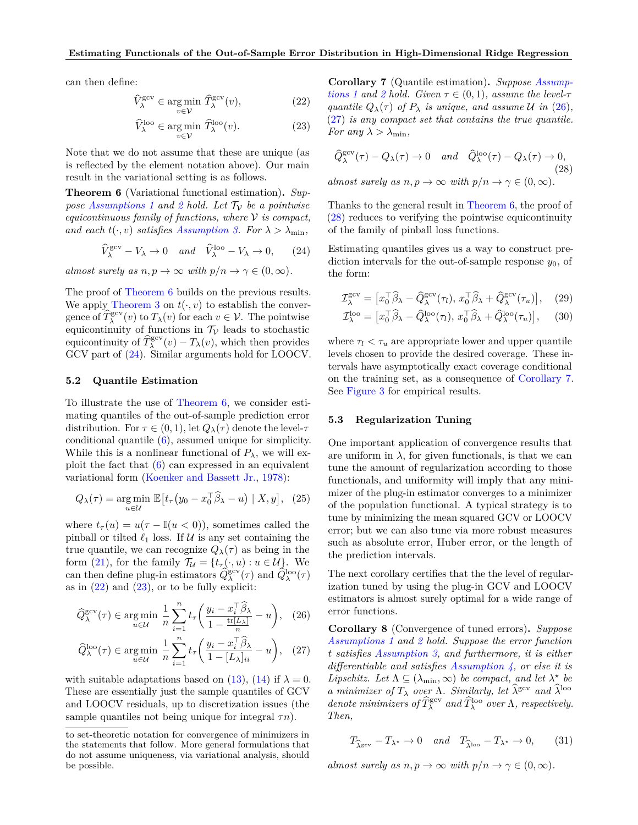can then define:

$$
\widehat{V}_{\lambda}^{\text{gcv}} \in \underset{v \in \mathcal{V}}{\text{arg min}} \ \widehat{T}_{\lambda}^{\text{gcv}}(v),\tag{22}
$$

$$
\widehat{V}^{\text{loo}}_{\lambda} \in \underset{v \in \mathcal{V}}{\text{arg min }} \widehat{T}^{\text{loo}}_{\lambda}(v). \tag{23}
$$

Note that we do not assume that these are unique (as is reflected by the element notation above). Our main result in the variational setting is as follows.

<span id="page-7-0"></span>**Theorem 6** (Variational functional estimation)**.** *Suppose Assumptions* 1 *and* [2](#page-4-3) *hold.* Let  $\mathcal{T}_v$  *be a pointwise equicontinuous family of functions, where* V *is compact, and each*  $t(\cdot, v)$  *satisfies [Assumption 3.](#page-5-1) For*  $\lambda > \lambda_{\min}$ ,

<span id="page-7-1"></span>
$$
\widehat{V}_{\lambda}^{\text{gcv}} - V_{\lambda} \to 0 \quad \text{and} \quad \widehat{V}_{\lambda}^{\text{loo}} - V_{\lambda} \to 0, \qquad (24)
$$

*almost surely as*  $n, p \to \infty$  *with*  $p/n \to \gamma \in (0, \infty)$ *.* 

The proof of [Theorem 6](#page-7-0) builds on the previous results. We apply [Theorem 3](#page-5-3) on  $t(\cdot, v)$  to establish the convergence of  $\widehat{T}_{\lambda}^{\text{gcv}}(v)$  to  $T_{\lambda}(v)$  for each  $v \in \mathcal{V}$ . The pointwise equicontinuity of functions in  $\mathcal{T}_{\mathcal{V}}$  leads to stochastic equicontinuity of  $\widehat{T}_{\lambda}^{\text{gcv}}(v) - T_{\lambda}(v)$ , which then provides GCV part of [\(24\)](#page-7-1). Similar arguments hold for LOOCV.

### **5.2 Quantile Estimation**

To illustrate the use of [Theorem 6,](#page-7-0) we consider estimating quantiles of the out-of-sample prediction error distribution. For  $\tau \in (0,1)$ , let  $Q_{\lambda}(\tau)$  denote the level- $\tau$ conditional quantile [\(6\)](#page-3-7), assumed unique for simplicity. While this is a nonlinear functional of  $P_\lambda$ , we will exploit the fact that [\(6\)](#page-3-7) can expressed in an equivalent variational form [\(Koenker and Bassett Jr.,](#page-9-20) [1978\)](#page-9-20):

$$
Q_{\lambda}(\tau) = \underset{u \in \mathcal{U}}{\arg \min} \ \mathbb{E}\big[t_{\tau}\big(y_0 - x_0^{\top} \widehat{\beta}_{\lambda} - u\big) \mid X, y\big], \tag{25}
$$

where  $t_{\tau}(u) = u(\tau - \mathbb{I}(u < 0))$ , sometimes called the pinball or tilted  $\ell_1$  loss. If  $\mathcal U$  is any set containing the true quantile, we can recognize  $Q_{\lambda}(\tau)$  as being in the form [\(21\)](#page-6-4), for the family  $\mathcal{T}_{\mathcal{U}} = \{t_{\tau}(.,u) : u \in \mathcal{U}\}\)$ . We can then define plug-in estimators  $\widehat{Q}_{\lambda}^{\text{gev}}(\tau)$  and  $\widehat{Q}_{\lambda}^{\text{loop}}(\tau)$ as in  $(22)$  and  $(23)$ , or to be fully explicit:

$$
\widehat{Q}_{\lambda}^{\text{gcv}}(\tau) \in \underset{u \in \mathcal{U}}{\text{arg min }} \frac{1}{n} \sum_{i=1}^{n} t_{\tau} \left( \frac{y_i - x_i^{\top} \widehat{\beta}_{\lambda}}{1 - \frac{\text{tr}[L_{\lambda}]}{n}} - u \right), \quad (26)
$$

$$
\widehat{Q}_{\lambda}^{\text{loo}}(\tau) \in \underset{u \in \mathcal{U}}{\text{arg min }} \frac{1}{n} \sum_{i=1}^{n} t_{\tau} \left( \frac{y_{i} - x_{i}^{\top} \widehat{\beta}_{\lambda}}{1 - [L_{\lambda}]_{ii}} - u \right), \quad (27)
$$

with suitable adaptations based on  $(13)$ ,  $(14)$  if  $\lambda = 0$ . These are essentially just the sample quantiles of GCV and LOOCV residuals, up to discretization issues (the sample quantiles not being unique for integral *τn*).

<span id="page-7-3"></span><span id="page-7-2"></span>**Corollary 7** (Quantile estimation)**.** *Suppose [Assump](#page-4-2)[tions 1](#page-4-2) and [2](#page-4-3) hold. Given*  $\tau \in (0,1)$ *, assume the level-* $\tau$ *quantile*  $Q_{\lambda}(\tau)$  *of*  $P_{\lambda}$  *is unique, and assume*  $\mathcal{U}$  *in* [\(26\)](#page-7-4)*,* [\(27\)](#page-7-5) *is any compact set that contains the true quantile. For any*  $\lambda > \lambda_{\min}$ ,

<span id="page-7-6"></span>
$$
\begin{aligned}\n\widehat{Q}_{\lambda}^{\text{gcv}}(\tau) - Q_{\lambda}(\tau) &\to 0 \quad \text{and} \quad \widehat{Q}_{\lambda}^{\text{loo}}(\tau) - Q_{\lambda}(\tau) &\to 0, \\
\text{almost surely as } n, p &\to \infty \text{ with } p/n \to \gamma \in (0, \infty).\n\end{aligned}
$$

Thanks to the general result in [Theorem 6,](#page-7-0) the proof of [\(28\)](#page-7-6) reduces to verifying the pointwise equicontinuity of the family of pinball loss functions.

Estimating quantiles gives us a way to construct prediction intervals for the out-of-sample response  $y_0$ , of the form:

<span id="page-7-8"></span>
$$
\mathcal{I}_{\lambda}^{\text{gcv}} = \left[ x_0^{\top} \widehat{\beta}_{\lambda} - \widehat{Q}_{\lambda}^{\text{gcv}}(\tau_l), \, x_0^{\top} \widehat{\beta}_{\lambda} + \widehat{Q}_{\lambda}^{\text{gcv}}(\tau_u) \right], \quad (29)
$$

<span id="page-7-9"></span>
$$
\mathcal{I}_{\lambda}^{\text{loo}} = \left[ x_0^{\top} \widehat{\beta}_{\lambda} - \widehat{Q}_{\lambda}^{\text{loo}}(\tau_l), \, x_0^{\top} \widehat{\beta}_{\lambda} + \widehat{Q}_{\lambda}^{\text{loo}}(\tau_u) \right], \quad (30)
$$

where  $\tau_l < \tau_u$  are appropriate lower and upper quantile levels chosen to provide the desired coverage. These intervals have asymptotically exact coverage conditional on the training set, as a consequence of [Corollary 7.](#page-7-7) See [Figure 3](#page-8-3) for empirical results.

#### **5.3 Regularization Tuning**

One important application of convergence results that are uniform in  $\lambda$ , for given functionals, is that we can tune the amount of regularization according to those functionals, and uniformity will imply that any minimizer of the plug-in estimator converges to a minimizer of the population functional. A typical strategy is to tune by minimizing the mean squared GCV or LOOCV error; but we can also tune via more robust measures such as absolute error, Huber error, or the length of the prediction intervals.

The next corollary certifies that the the level of regularization tuned by using the plug-in GCV and LOOCV estimators is almost surely optimal for a wide range of error functions.

<span id="page-7-5"></span><span id="page-7-4"></span>**Corollary 8** (Convergence of tuned errors)**.** *Suppose [Assumptions 1](#page-4-2) and [2](#page-4-3) hold. Suppose the error function t satisfies [Assumption 3,](#page-5-1) and furthermore, it is either differentiable and satisfies [Assumption 4,](#page-6-1) or else it is Lipschitz.* Let  $\Lambda \subseteq (\lambda_{\min}, \infty)$  be compact, and let  $\lambda^*$  be *a* minimizer of  $T_{\lambda}$  *over*  $\Lambda$ *. Similarly, let*  $\hat{\lambda}^{\text{gcv}}$  *and*  $\hat{\lambda}^{\text{loop}}$ *denote minimizers of*  $\widehat{T}_{\lambda}^{\text{gcv}}$  *and*  $\widehat{T}_{\lambda}^{\text{loo}}$  *over*  $\Lambda$ *, respectively. Then,*

$$
T_{\widehat{\lambda}^{\text{gcv}}}-T_{\lambda^*}\to 0 \quad \text{and} \quad T_{\widehat{\lambda}^{\text{loc}}} - T_{\lambda^*}\to 0,\qquad(31)
$$

*almost surely as*  $n, p \to \infty$  *with*  $p/n \to \gamma \in (0, \infty)$ *.* 

<span id="page-7-7"></span>to set-theoretic notation for convergence of minimizers in the statements that follow. More general formulations that do not assume uniqueness, via variational analysis, should be possible.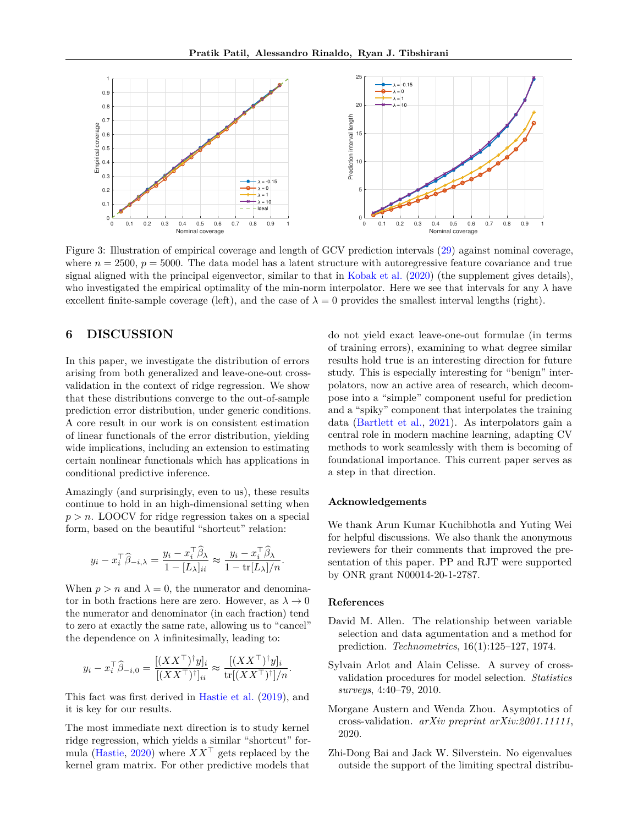<span id="page-8-3"></span>

Figure 3: Illustration of empirical coverage and length of GCV prediction intervals [\(29\)](#page-7-8) against nominal coverage, where  $n = 2500$ ,  $p = 5000$ . The data model has a latent structure with autoregressive feature covariance and true signal aligned with the principal eigenvector, similar to that in [Kobak et al.](#page-9-9) [\(2020\)](#page-9-9) (the supplement gives details), who investigated the empirical optimality of the min-norm interpolator. Here we see that intervals for any *λ* have excellent finite-sample coverage (left), and the case of  $\lambda = 0$  provides the smallest interval lengths (right).

# **6 DISCUSSION**

In this paper, we investigate the distribution of errors arising from both generalized and leave-one-out crossvalidation in the context of ridge regression. We show that these distributions converge to the out-of-sample prediction error distribution, under generic conditions. A core result in our work is on consistent estimation of linear functionals of the error distribution, yielding wide implications, including an extension to estimating certain nonlinear functionals which has applications in conditional predictive inference.

Amazingly (and surprisingly, even to us), these results continue to hold in an high-dimensional setting when *p > n*. LOOCV for ridge regression takes on a special form, based on the beautiful "shortcut" relation:

$$
y_i - x_i^{\top} \widehat{\beta}_{-i,\lambda} = \frac{y_i - x_i^{\top} \widehat{\beta}_{\lambda}}{1 - [L_{\lambda}]_{ii}} \approx \frac{y_i - x_i^{\top} \widehat{\beta}_{\lambda}}{1 - \text{tr}[L_{\lambda}]/n}.
$$

When  $p > n$  and  $\lambda = 0$ , the numerator and denominator in both fractions here are zero. However, as  $\lambda \to 0$ the numerator and denominator (in each fraction) tend to zero at exactly the same rate, allowing us to "cancel" the dependence on  $\lambda$  infinitesimally, leading to:

$$
y_i - x_i^{\top} \widehat{\beta}_{-i,0} = \frac{[(XX^{\top})^{\dagger} y]_i}{[(XX^{\top})^{\dagger}]_{ii}} \approx \frac{[(XX^{\top})^{\dagger} y]_i}{\text{tr}[(XX^{\top})^{\dagger}]/n}.
$$

This fact was first derived in [Hastie et al.](#page-9-8) [\(2019\)](#page-9-8), and it is key for our results.

The most immediate next direction is to study kernel ridge regression, which yields a similar "shortcut" for-mula [\(Hastie,](#page-9-21) [2020\)](#page-9-21) where  $XX^{\top}$  gets replaced by the kernel gram matrix. For other predictive models that do not yield exact leave-one-out formulae (in terms of training errors), examining to what degree similar results hold true is an interesting direction for future study. This is especially interesting for "benign" interpolators, now an active area of research, which decompose into a "simple" component useful for prediction and a "spiky" component that interpolates the training data [\(Bartlett et al.,](#page-9-22) [2021\)](#page-9-22). As interpolators gain a central role in modern machine learning, adapting CV methods to work seamlessly with them is becoming of foundational importance. This current paper serves as a step in that direction.

### **Acknowledgements**

We thank Arun Kumar Kuchibhotla and Yuting Wei for helpful discussions. We also thank the anonymous reviewers for their comments that improved the presentation of this paper. PP and RJT were supported by ONR grant N00014-20-1-2787.

### **References**

- <span id="page-8-0"></span>David M. Allen. The relationship between variable selection and data agumentation and a method for prediction. *Technometrics*, 16(1):125–127, 1974.
- <span id="page-8-1"></span>Sylvain Arlot and Alain Celisse. A survey of crossvalidation procedures for model selection. *Statistics surveys*, 4:40–79, 2010.
- <span id="page-8-2"></span>Morgane Austern and Wenda Zhou. Asymptotics of cross-validation. *arXiv preprint arXiv:2001.11111*, 2020.
- <span id="page-8-4"></span>Zhi-Dong Bai and Jack W. Silverstein. No eigenvalues outside the support of the limiting spectral distribu-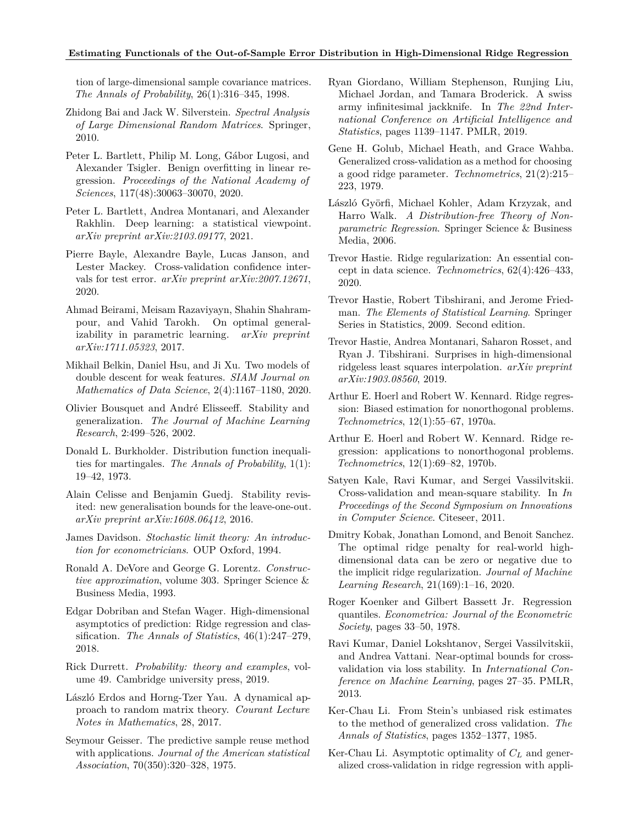### **Estimating Functionals of the Out-of-Sample Error Distribution in High-Dimensional Ridge Regression**

tion of large-dimensional sample covariance matrices. *The Annals of Probability*, 26(1):316–345, 1998.

- <span id="page-9-26"></span>Zhidong Bai and Jack W. Silverstein. *Spectral Analysis of Large Dimensional Random Matrices*. Springer, 2010.
- <span id="page-9-6"></span>Peter L. Bartlett, Philip M. Long, Gábor Lugosi, and Alexander Tsigler. Benign overfitting in linear regression. *Proceedings of the National Academy of Sciences*, 117(48):30063–30070, 2020.
- <span id="page-9-22"></span>Peter L. Bartlett, Andrea Montanari, and Alexander Rakhlin. Deep learning: a statistical viewpoint. *arXiv preprint arXiv:2103.09177*, 2021.
- <span id="page-9-14"></span>Pierre Bayle, Alexandre Bayle, Lucas Janson, and Lester Mackey. Cross-validation confidence intervals for test error. *arXiv preprint arXiv:2007.12671*, 2020.
- <span id="page-9-12"></span>Ahmad Beirami, Meisam Razaviyayn, Shahin Shahrampour, and Vahid Tarokh. On optimal generalizability in parametric learning. *arXiv preprint arXiv:1711.05323*, 2017.
- <span id="page-9-7"></span>Mikhail Belkin, Daniel Hsu, and Ji Xu. Two models of double descent for weak features. *SIAM Journal on Mathematics of Data Science*, 2(4):1167–1180, 2020.
- <span id="page-9-18"></span>Olivier Bousquet and André Elisseeff. Stability and generalization. *The Journal of Machine Learning Research*, 2:499–526, 2002.
- <span id="page-9-25"></span>Donald L. Burkholder. Distribution function inequalities for martingales. *The Annals of Probability*, 1(1): 19–42, 1973.
- <span id="page-9-17"></span>Alain Celisse and Benjamin Guedj. Stability revisited: new generalisation bounds for the leave-one-out. *arXiv preprint arXiv:1608.06412*, 2016.
- <span id="page-9-24"></span>James Davidson. *Stochastic limit theory: An introduction for econometricians*. OUP Oxford, 1994.
- <span id="page-9-23"></span>Ronald A. DeVore and George G. Lorentz. *Constructive approximation*, volume 303. Springer Science & Business Media, 1993.
- <span id="page-9-28"></span>Edgar Dobriban and Stefan Wager. High-dimensional asymptotics of prediction: Ridge regression and classification. *The Annals of Statistics*, 46(1):247–279, 2018.
- <span id="page-9-19"></span>Rick Durrett. *Probability: theory and examples*, volume 49. Cambridge university press, 2019.
- <span id="page-9-27"></span>László Erdos and Horng-Tzer Yau. A dynamical approach to random matrix theory. *Courant Lecture Notes in Mathematics*, 28, 2017.
- <span id="page-9-0"></span>Seymour Geisser. The predictive sample reuse method with applications. *Journal of the American statistical Association*, 70(350):320–328, 1975.
- <span id="page-9-13"></span>Ryan Giordano, William Stephenson, Runjing Liu, Michael Jordan, and Tamara Broderick. A swiss army infinitesimal jackknife. In *The 22nd International Conference on Artificial Intelligence and Statistics*, pages 1139–1147. PMLR, 2019.
- <span id="page-9-1"></span>Gene H. Golub, Michael Heath, and Grace Wahba. Generalized cross-validation as a method for choosing a good ridge parameter. *Technometrics*, 21(2):215– 223, 1979.
- <span id="page-9-10"></span>László Györfi, Michael Kohler, Adam Krzyzak, and Harro Walk. *A Distribution-free Theory of Nonparametric Regression*. Springer Science & Business Media, 2006.
- <span id="page-9-21"></span>Trevor Hastie. Ridge regularization: An essential concept in data science. *Technometrics*, 62(4):426–433, 2020.
- <span id="page-9-11"></span>Trevor Hastie, Robert Tibshirani, and Jerome Friedman. *The Elements of Statistical Learning*. Springer Series in Statistics, 2009. Second edition.
- <span id="page-9-8"></span>Trevor Hastie, Andrea Montanari, Saharon Rosset, and Ryan J. Tibshirani. Surprises in high-dimensional ridgeless least squares interpolation. *arXiv preprint arXiv:1903.08560*, 2019.
- <span id="page-9-4"></span>Arthur E. Hoerl and Robert W. Kennard. Ridge regression: Biased estimation for nonorthogonal problems. *Technometrics*, 12(1):55–67, 1970a.
- <span id="page-9-5"></span>Arthur E. Hoerl and Robert W. Kennard. Ridge regression: applications to nonorthogonal problems. *Technometrics*, 12(1):69–82, 1970b.
- <span id="page-9-15"></span>Satyen Kale, Ravi Kumar, and Sergei Vassilvitskii. Cross-validation and mean-square stability. In *In Proceedings of the Second Symposium on Innovations in Computer Science*. Citeseer, 2011.
- <span id="page-9-9"></span>Dmitry Kobak, Jonathan Lomond, and Benoit Sanchez. The optimal ridge penalty for real-world highdimensional data can be zero or negative due to the implicit ridge regularization. *Journal of Machine Learning Research*, 21(169):1–16, 2020.
- <span id="page-9-20"></span>Roger Koenker and Gilbert Bassett Jr. Regression quantiles. *Econometrica: Journal of the Econometric Society*, pages 33–50, 1978.
- <span id="page-9-16"></span>Ravi Kumar, Daniel Lokshtanov, Sergei Vassilvitskii, and Andrea Vattani. Near-optimal bounds for crossvalidation via loss stability. In *International Conference on Machine Learning*, pages 27–35. PMLR, 2013.
- <span id="page-9-2"></span>Ker-Chau Li. From Stein's unbiased risk estimates to the method of generalized cross validation. *The Annals of Statistics*, pages 1352–1377, 1985.
- <span id="page-9-3"></span>Ker-Chau Li. Asymptotic optimality of *C<sup>L</sup>* and generalized cross-validation in ridge regression with appli-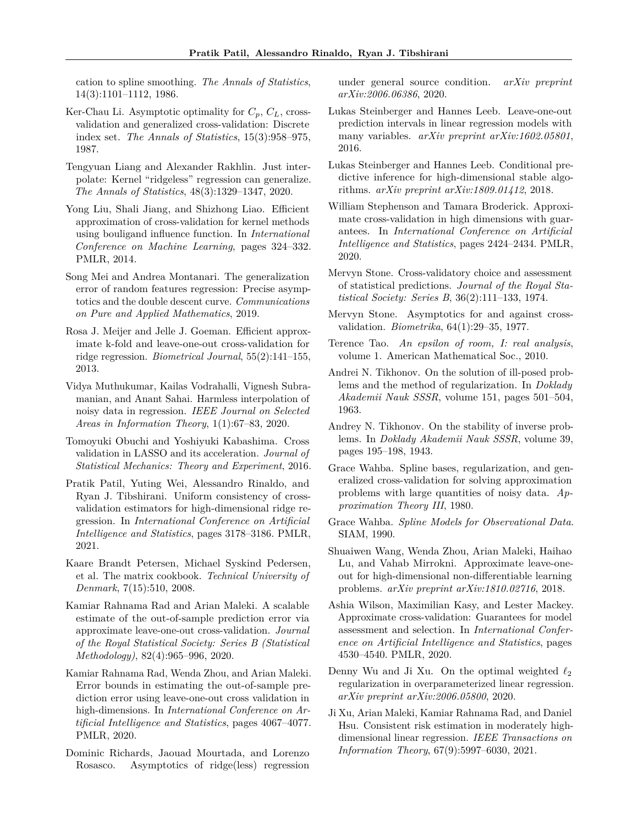cation to spline smoothing. *The Annals of Statistics*, 14(3):1101–1112, 1986.

- <span id="page-10-4"></span>Ker-Chau Li. Asymptotic optimality for *Cp*, *CL*, crossvalidation and generalized cross-validation: Discrete index set. *The Annals of Statistics*, 15(3):958–975, 1987.
- <span id="page-10-10"></span>Tengyuan Liang and Alexander Rakhlin. Just interpolate: Kernel "ridgeless" regression can generalize. *The Annals of Statistics*, 48(3):1329–1347, 2020.
- <span id="page-10-13"></span>Yong Liu, Shali Jiang, and Shizhong Liao. Efficient approximation of cross-validation for kernel methods using bouligand influence function. In *International Conference on Machine Learning*, pages 324–332. PMLR, 2014.
- <span id="page-10-25"></span>Song Mei and Andrea Montanari. The generalization error of random features regression: Precise asymptotics and the double descent curve. *Communications on Pure and Applied Mathematics*, 2019.
- <span id="page-10-12"></span>Rosa J. Meijer and Jelle J. Goeman. Efficient approximate k-fold and leave-one-out cross-validation for ridge regression. *Biometrical Journal*, 55(2):141–155, 2013.
- <span id="page-10-7"></span>Vidya Muthukumar, Kailas Vodrahalli, Vignesh Subramanian, and Anant Sahai. Harmless interpolation of noisy data in regression. *IEEE Journal on Selected Areas in Information Theory*, 1(1):67–83, 2020.
- <span id="page-10-14"></span>Tomoyuki Obuchi and Yoshiyuki Kabashima. Cross validation in LASSO and its acceleration. *Journal of Statistical Mechanics: Theory and Experiment*, 2016.
- <span id="page-10-20"></span>Pratik Patil, Yuting Wei, Alessandro Rinaldo, and Ryan J. Tibshirani. Uniform consistency of crossvalidation estimators for high-dimensional ridge regression. In *International Conference on Artificial Intelligence and Statistics*, pages 3178–3186. PMLR, 2021.
- <span id="page-10-23"></span>Kaare Brandt Petersen, Michael Syskind Pedersen, et al. The matrix cookbook. *Technical University of Denmark*, 7(15):510, 2008.
- <span id="page-10-11"></span>Kamiar Rahnama Rad and Arian Maleki. A scalable estimate of the out-of-sample prediction error via approximate leave-one-out cross-validation. *Journal of the Royal Statistical Society: Series B (Statistical Methodology)*, 82(4):965–996, 2020.
- <span id="page-10-18"></span>Kamiar Rahnama Rad, Wenda Zhou, and Arian Maleki. Error bounds in estimating the out-of-sample prediction error using leave-one-out cross validation in high-dimensions. In *International Conference on Artificial Intelligence and Statistics*, pages 4067–4077. PMLR, 2020.
- <span id="page-10-9"></span>Dominic Richards, Jaouad Mourtada, and Lorenzo Rosasco. Asymptotics of ridge(less) regression

under general source condition. *arXiv preprint arXiv:2006.06386*, 2020.

- <span id="page-10-21"></span>Lukas Steinberger and Hannes Leeb. Leave-one-out prediction intervals in linear regression models with many variables. *arXiv preprint arXiv:1602.05801*, 2016.
- <span id="page-10-22"></span>Lukas Steinberger and Hannes Leeb. Conditional predictive inference for high-dimensional stable algorithms. *arXiv preprint arXiv:1809.01412*, 2018.
- <span id="page-10-16"></span>William Stephenson and Tamara Broderick. Approximate cross-validation in high dimensions with guarantees. In *International Conference on Artificial Intelligence and Statistics*, pages 2424–2434. PMLR, 2020.
- <span id="page-10-0"></span>Mervyn Stone. Cross-validatory choice and assessment of statistical predictions. *Journal of the Royal Statistical Society: Series B*, 36(2):111–133, 1974.
- <span id="page-10-1"></span>Mervyn Stone. Asymptotics for and against crossvalidation. *Biometrika*, 64(1):29–35, 1977.
- <span id="page-10-24"></span>Terence Tao. *An epsilon of room, I: real analysis*, volume 1. American Mathematical Soc., 2010.
- <span id="page-10-6"></span>Andrei N. Tikhonov. On the solution of ill-posed problems and the method of regularization. In *Doklady Akademii Nauk SSSR*, volume 151, pages 501–504, 1963.
- <span id="page-10-5"></span>Andrey N. Tikhonov. On the stability of inverse problems. In *Doklady Akademii Nauk SSSR*, volume 39, pages 195–198, 1943.
- <span id="page-10-2"></span>Grace Wahba. Spline bases, regularization, and generalized cross-validation for solving approximation problems with large quantities of noisy data. *Approximation Theory III*, 1980.
- <span id="page-10-3"></span>Grace Wahba. *Spline Models for Observational Data*. SIAM, 1990.
- <span id="page-10-15"></span>Shuaiwen Wang, Wenda Zhou, Arian Maleki, Haihao Lu, and Vahab Mirrokni. Approximate leave-oneout for high-dimensional non-differentiable learning problems. *arXiv preprint arXiv:1810.02716*, 2018.
- <span id="page-10-17"></span>Ashia Wilson, Maximilian Kasy, and Lester Mackey. Approximate cross-validation: Guarantees for model assessment and selection. In *International Conference on Artificial Intelligence and Statistics*, pages 4530–4540. PMLR, 2020.
- <span id="page-10-8"></span>Denny Wu and Ji Xu. On the optimal weighted *ℓ*<sup>2</sup> regularization in overparameterized linear regression. *arXiv preprint arXiv:2006.05800*, 2020.
- <span id="page-10-19"></span>Ji Xu, Arian Maleki, Kamiar Rahnama Rad, and Daniel Hsu. Consistent risk estimation in moderately highdimensional linear regression. *IEEE Transactions on Information Theory*, 67(9):5997–6030, 2021.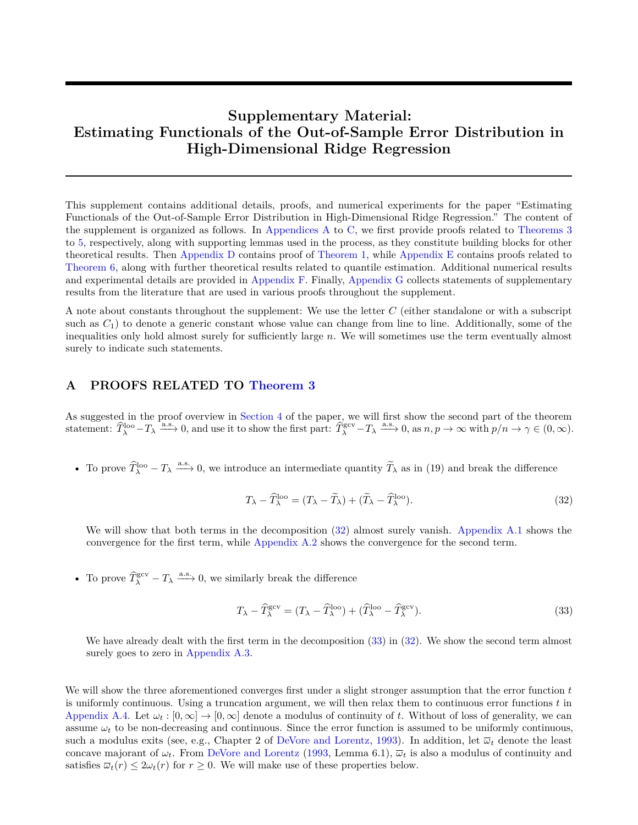# **Supplementary Material: Estimating Functionals of the Out-of-Sample Error Distribution in High-Dimensional Ridge Regression**

This supplement contains additional details, proofs, and numerical experiments for the paper "Estimating Functionals of the Out-of-Sample Error Distribution in High-Dimensional Ridge Regression." The content of the supplement is organized as follows. In [Appendices A](#page-11-0) to [C,](#page-25-0) we first provide proofs related to [Theorems 3](#page-5-3) to [5,](#page-6-5) respectively, along with supporting lemmas used in the process, as they constitute building blocks for other theoretical results. Then [Appendix D](#page-26-0) contains proof of [Theorem 1,](#page-4-5) while [Appendix E](#page-28-0) contains proofs related to [Theorem 6,](#page-7-0) along with further theoretical results related to quantile estimation. Additional numerical results and experimental details are provided in [Appendix F.](#page-29-0) Finally, [Appendix G](#page-30-0) collects statements of supplementary results from the literature that are used in various proofs throughout the supplement.

A note about constants throughout the supplement: We use the letter *C* (either standalone or with a subscript such as  $C_1$ ) to denote a generic constant whose value can change from line to line. Additionally, some of the inequalities only hold almost surely for sufficiently large *n*. We will sometimes use the term eventually almost surely to indicate such statements.

# <span id="page-11-0"></span>**A PROOFS RELATED TO [Theorem 3](#page-5-3)**

As suggested in the proof overview in [Section 4](#page-5-4) of the paper, we will first show the second part of the theorem statement:  $\widehat{T}_{\lambda}^{\text{loo}}-T_{\lambda} \xrightarrow{\text{a.s.}} 0$ , and use it to show the first part:  $\widehat{T}_{\lambda}^{\text{gev}}-T_{\lambda} \xrightarrow{\text{a.s.}} 0$ , as  $n, p \to \infty$  with  $p/n \to \gamma \in (0, \infty)$ .

• To prove  $\widehat{T}_{\lambda}^{\text{loop}} - T_{\lambda} \xrightarrow{\text{a.s.}} 0$ , we introduce an intermediate quantity  $\widetilde{T}_{\lambda}$  as in (19) and break the difference

<span id="page-11-1"></span>
$$
T_{\lambda} - \widehat{T}_{\lambda}^{\text{loo}} = (T_{\lambda} - \widetilde{T}_{\lambda}) + (\widetilde{T}_{\lambda} - \widehat{T}_{\lambda}^{\text{loo}}). \tag{32}
$$

We will show that both terms in the decomposition [\(32\)](#page-11-1) almost surely vanish. [Appendix A.1](#page-12-0) shows the convergence for the first term, while [Appendix A.2](#page-13-0) shows the convergence for the second term.

• To prove  $\widehat{T}_{\lambda}^{\text{gcv}} - T_{\lambda} \xrightarrow{\text{a.s.}} 0$ , we similarly break the difference

<span id="page-11-2"></span>
$$
T_{\lambda} - \widehat{T}_{\lambda}^{\text{gcv}} = (T_{\lambda} - \widehat{T}_{\lambda}^{\text{loo}}) + (\widehat{T}_{\lambda}^{\text{loo}} - \widehat{T}_{\lambda}^{\text{gcv}}).
$$
\n(33)

We have already dealt with the first term in the decomposition  $(33)$  in  $(32)$ . We show the second term almost surely goes to zero in [Appendix A.3.](#page-16-0)

We will show the three aforementioned converges first under a slight stronger assumption that the error function *t* is uniformly continuous. Using a truncation argument, we will then relax them to continuous error functions *t* in [Appendix A.4.](#page-18-0) Let  $\omega_t : [0, \infty] \to [0, \infty]$  denote a modulus of continuity of t. Without of loss of generality, we can assume  $\omega_t$  to be non-decreasing and continuous. Since the error function is assumed to be uniformly continuous, such a modulus exits (see, e.g., Chapter 2 of [DeVore and Lorentz,](#page-9-23) [1993\)](#page-9-23). In addition, let  $\bar{\omega}_t$  denote the least concave majorant of  $\omega_t$ . From [DeVore and Lorentz](#page-9-23) [\(1993,](#page-9-23) Lemma 6.1),  $\overline{\omega}_t$  is also a modulus of continuity and satisfies  $\overline{\omega}_t(r) \leq 2\omega_t(r)$  for  $r \geq 0$ . We will make use of these properties below.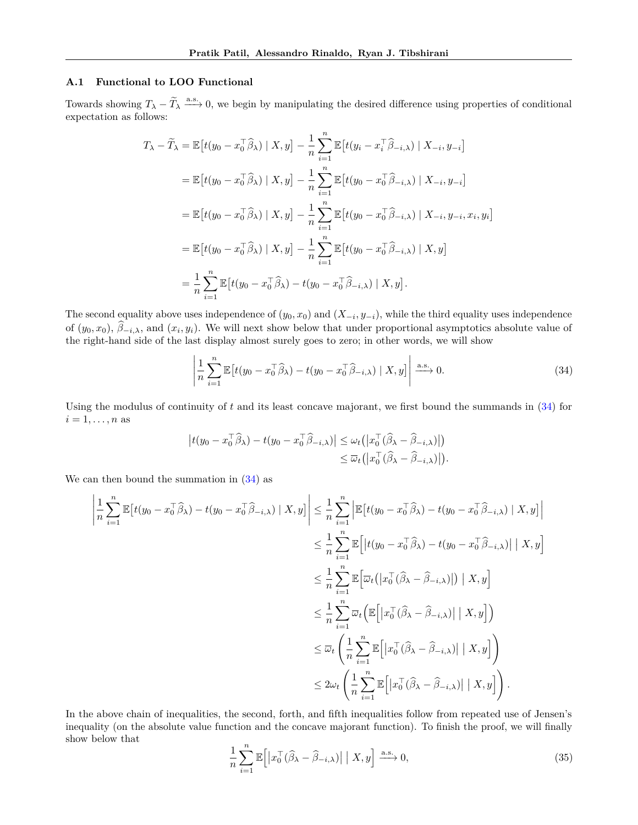## <span id="page-12-0"></span>**A.1 Functional to LOO Functional**

Towards showing  $T_{\lambda} - \widetilde{T}_{\lambda} \xrightarrow{a.s.} 0$ , we begin by manipulating the desired difference using properties of conditional expectation as follows:

$$
T_{\lambda} - \widetilde{T}_{\lambda} = \mathbb{E}\left[t(y_0 - x_0^{\top}\widehat{\beta}_{\lambda}) \mid X, y\right] - \frac{1}{n} \sum_{i=1}^{n} \mathbb{E}\left[t(y_i - x_i^{\top}\widehat{\beta}_{-i,\lambda}) \mid X_{-i}, y_{-i}\right]
$$
  
\n
$$
= \mathbb{E}\left[t(y_0 - x_0^{\top}\widehat{\beta}_{\lambda}) \mid X, y\right] - \frac{1}{n} \sum_{i=1}^{n} \mathbb{E}\left[t(y_0 - x_0^{\top}\widehat{\beta}_{-i,\lambda}) \mid X_{-i}, y_{-i}\right]
$$
  
\n
$$
= \mathbb{E}\left[t(y_0 - x_0^{\top}\widehat{\beta}_{\lambda}) \mid X, y\right] - \frac{1}{n} \sum_{i=1}^{n} \mathbb{E}\left[t(y_0 - x_0^{\top}\widehat{\beta}_{-i,\lambda}) \mid X_{-i}, y_{-i}, x_i, y_i\right]
$$
  
\n
$$
= \mathbb{E}\left[t(y_0 - x_0^{\top}\widehat{\beta}_{\lambda}) \mid X, y\right] - \frac{1}{n} \sum_{i=1}^{n} \mathbb{E}\left[t(y_0 - x_0^{\top}\widehat{\beta}_{-i,\lambda}) \mid X, y\right]
$$
  
\n
$$
= \frac{1}{n} \sum_{i=1}^{n} \mathbb{E}\left[t(y_0 - x_0^{\top}\widehat{\beta}_{\lambda}) - t(y_0 - x_0^{\top}\widehat{\beta}_{-i,\lambda}) \mid X, y\right].
$$

The second equality above uses independence of  $(y_0, x_0)$  and  $(X_{-i}, y_{-i})$ , while the third equality uses independence of  $(y_0, x_0)$ ,  $\beta_{-i,\lambda}$ , and  $(x_i, y_i)$ . We will next show below that under proportional asymptotics absolute value of the right-hand side of the last display almost surely goes to zero; in other words, we will show

<span id="page-12-1"></span>
$$
\left| \frac{1}{n} \sum_{i=1}^{n} \mathbb{E} \left[ t(y_0 - x_0^{\top} \widehat{\beta}_{\lambda}) - t(y_0 - x_0^{\top} \widehat{\beta}_{-i,\lambda}) \mid X, y \right] \right| \xrightarrow{\text{a.s.}} 0. \tag{34}
$$

*.*

Using the modulus of continuity of *t* and its least concave majorant, we first bound the summands in [\(34\)](#page-12-1) for  $i = 1, \ldots, n$  as

$$
\begin{aligned} \left| t(y_0 - x_0^\top \widehat{\beta}_\lambda) - t(y_0 - x_0^\top \widehat{\beta}_{-i,\lambda}) \right| &\leq \omega_t \left( \left| x_0^\top (\widehat{\beta}_\lambda - \widehat{\beta}_{-i,\lambda}) \right| \right) \\ &\leq \overline{\omega}_t \left( \left| x_0^\top (\widehat{\beta}_\lambda - \widehat{\beta}_{-i,\lambda}) \right| \right) \end{aligned}
$$

We can then bound the summation in  $(34)$  as

$$
\left| \frac{1}{n} \sum_{i=1}^{n} \mathbb{E} \left[ t(y_0 - x_0^\top \widehat{\beta}_{\lambda}) - t(y_0 - x_0^\top \widehat{\beta}_{-i,\lambda}) \mid X, y \right] \right| \leq \frac{1}{n} \sum_{i=1}^{n} \left| \mathbb{E} \left[ t(y_0 - x_0^\top \widehat{\beta}_{\lambda}) - t(y_0 - x_0^\top \widehat{\beta}_{-i,\lambda}) \mid X, y \right] \right|
$$
  
\n
$$
\leq \frac{1}{n} \sum_{i=1}^{n} \mathbb{E} \left[ \left| t(y_0 - x_0^\top \widehat{\beta}_{\lambda}) - t(y_0 - x_0^\top \widehat{\beta}_{-i,\lambda}) \right| \mid X, y \right]
$$
  
\n
$$
\leq \frac{1}{n} \sum_{i=1}^{n} \mathbb{E} \left[ \overline{\omega}_t \left( \left| x_0^\top (\widehat{\beta}_{\lambda} - \widehat{\beta}_{-i,\lambda}) \right|) \mid X, y \right]
$$
  
\n
$$
\leq \frac{1}{n} \sum_{i=1}^{n} \overline{\omega}_t \left( \mathbb{E} \left[ \left| x_0^\top (\widehat{\beta}_{\lambda} - \widehat{\beta}_{-i,\lambda}) \right| \mid X, y \right] \right)
$$
  
\n
$$
\leq \overline{\omega}_t \left( \frac{1}{n} \sum_{i=1}^{n} \mathbb{E} \left[ \left| x_0^\top (\widehat{\beta}_{\lambda} - \widehat{\beta}_{-i,\lambda}) \right| \mid X, y \right] \right)
$$
  
\n
$$
\leq 2\omega_t \left( \frac{1}{n} \sum_{i=1}^{n} \mathbb{E} \left[ \left| x_0^\top (\widehat{\beta}_{\lambda} - \widehat{\beta}_{-i,\lambda}) \right| \mid X, y \right] \right).
$$

In the above chain of inequalities, the second, forth, and fifth inequalities follow from repeated use of Jensen's inequality (on the absolute value function and the concave majorant function). To finish the proof, we will finally show below that

<span id="page-12-2"></span>
$$
\frac{1}{n}\sum_{i=1}^{n}\mathbb{E}\left[\left|x_{0}^{\top}(\widehat{\beta}_{\lambda}-\widehat{\beta}_{-i,\lambda})\right|\mid X,y\right] \xrightarrow{\text{a.s.}} 0,\tag{35}
$$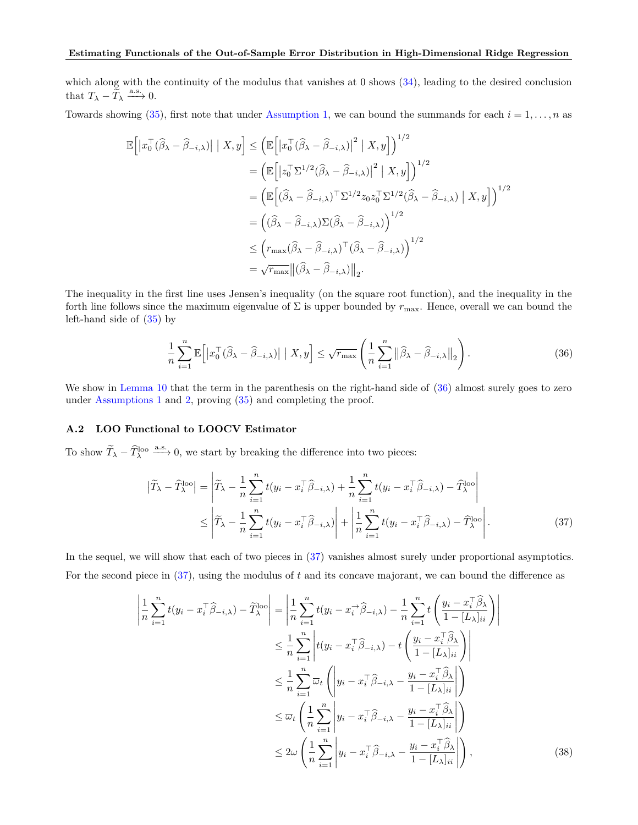which along with the continuity of the modulus that vanishes at  $0$  shows  $(34)$ , leading to the desired conclusion that  $T_{\lambda} - \tilde{T}_{\lambda} \xrightarrow{a.s.} 0.$ 

Towards showing [\(35\)](#page-12-2), first note that under [Assumption 1,](#page-4-2) we can bound the summands for each  $i = 1, \ldots, n$  as

$$
\mathbb{E}\left[\left|x_{0}^{\top}(\widehat{\beta}_{\lambda}-\widehat{\beta}_{-i,\lambda})\right| \mid X,y\right] \leq \left(\mathbb{E}\left[\left|x_{0}^{\top}(\widehat{\beta}_{\lambda}-\widehat{\beta}_{-i,\lambda})\right|^{2} \mid X,y\right]\right)^{1/2} \n= \left(\mathbb{E}\left[\left|z_{0}^{\top}\Sigma^{1/2}(\widehat{\beta}_{\lambda}-\widehat{\beta}_{-i,\lambda})\right|^{2} \mid X,y\right]\right)^{1/2} \n= \left(\mathbb{E}\left[(\widehat{\beta}_{\lambda}-\widehat{\beta}_{-i,\lambda})^{\top}\Sigma^{1/2}z_{0}z_{0}^{\top}\Sigma^{1/2}(\widehat{\beta}_{\lambda}-\widehat{\beta}_{-i,\lambda}) \mid X,y\right]\right)^{1/2} \n= \left((\widehat{\beta}_{\lambda}-\widehat{\beta}_{-i,\lambda})\Sigma(\widehat{\beta}_{\lambda}-\widehat{\beta}_{-i,\lambda})\right)^{1/2} \n\leq \left(r_{\max}(\widehat{\beta}_{\lambda}-\widehat{\beta}_{-i,\lambda})^{\top}(\widehat{\beta}_{\lambda}-\widehat{\beta}_{-i,\lambda})\right)^{1/2} \n= \sqrt{r_{\max}}\|(\widehat{\beta}_{\lambda}-\widehat{\beta}_{-i,\lambda})\|_{2}.
$$

The inequality in the first line uses Jensen's inequality (on the square root function), and the inequality in the forth line follows since the maximum eigenvalue of  $\Sigma$  is upper bounded by  $r_{\text{max}}$ . Hence, overall we can bound the left-hand side of [\(35\)](#page-12-2) by

<span id="page-13-1"></span>
$$
\frac{1}{n}\sum_{i=1}^{n}\mathbb{E}\left[\left|x_{0}^{\top}(\widehat{\beta}_{\lambda}-\widehat{\beta}_{-i,\lambda})\right|\mid X,y\right] \leq \sqrt{r_{\max}}\left(\frac{1}{n}\sum_{i=1}^{n}\left\|\widehat{\beta}_{\lambda}-\widehat{\beta}_{-i,\lambda}\right\|_{2}\right).
$$
\n(36)

We show in [Lemma 10](#page-21-0) that the term in the parenthesis on the right-hand side of  $(36)$  almost surely goes to zero under [Assumptions 1](#page-4-2) and [2,](#page-4-3) proving [\(35\)](#page-12-2) and completing the proof.

## <span id="page-13-0"></span>**A.2 LOO Functional to LOOCV Estimator**

To show  $\widetilde{T}_{\lambda} - \widehat{T}_{\lambda}^{\text{loop}} \stackrel{\text{a.s.}}{\longrightarrow} 0$ , we start by breaking the difference into two pieces:

<span id="page-13-2"></span>
$$
\left| \widetilde{T}_{\lambda} - \widehat{T}_{\lambda}^{\text{loo}} \right| = \left| \widetilde{T}_{\lambda} - \frac{1}{n} \sum_{i=1}^{n} t(y_i - x_i^{\top} \widehat{\beta}_{-i,\lambda}) + \frac{1}{n} \sum_{i=1}^{n} t(y_i - x_i^{\top} \widehat{\beta}_{-i,\lambda}) - \widehat{T}_{\lambda}^{\text{loo}} \right|
$$
\n
$$
\leq \left| \widetilde{T}_{\lambda} - \frac{1}{n} \sum_{i=1}^{n} t(y_i - x_i^{\top} \widehat{\beta}_{-i,\lambda}) \right| + \left| \frac{1}{n} \sum_{i=1}^{n} t(y_i - x_i^{\top} \widehat{\beta}_{-i,\lambda}) - \widehat{T}_{\lambda}^{\text{loo}} \right|.
$$
\n(37)

In the sequel, we will show that each of two pieces in  $(37)$  vanishes almost surely under proportional asymptotics. For the second piece in [\(37\)](#page-13-2), using the modulus of *t* and its concave majorant, we can bound the difference as

<span id="page-13-3"></span>
$$
\left| \frac{1}{n} \sum_{i=1}^{n} t(y_i - x_i^{\top} \hat{\beta}_{-i,\lambda}) - \tilde{T}_{\lambda}^{\text{loo}} \right| = \left| \frac{1}{n} \sum_{i=1}^{n} t(y_i - x_i^{\top} \hat{\beta}_{-i,\lambda}) - \frac{1}{n} \sum_{i=1}^{n} t \left( \frac{y_i - x_i^{\top} \hat{\beta}_{\lambda}}{1 - [L_{\lambda}]_{ii}} \right) \right|
$$
  
\n
$$
\leq \frac{1}{n} \sum_{i=1}^{n} \left| t(y_i - x_i^{\top} \hat{\beta}_{-i,\lambda}) - t \left( \frac{y_i - x_i^{\top} \hat{\beta}_{\lambda}}{1 - [L_{\lambda}]_{ii}} \right) \right|
$$
  
\n
$$
\leq \frac{1}{n} \sum_{i=1}^{n} \overline{\omega}_t \left( \left| y_i - x_i^{\top} \hat{\beta}_{-i,\lambda} - \frac{y_i - x_i^{\top} \hat{\beta}_{\lambda}}{1 - [L_{\lambda}]_{ii}} \right| \right)
$$
  
\n
$$
\leq \overline{\omega}_t \left( \frac{1}{n} \sum_{i=1}^{n} \left| y_i - x_i^{\top} \hat{\beta}_{-i,\lambda} - \frac{y_i - x_i^{\top} \hat{\beta}_{\lambda}}{1 - [L_{\lambda}]_{ii}} \right| \right)
$$
  
\n
$$
\leq 2\omega \left( \frac{1}{n} \sum_{i=1}^{n} \left| y_i - x_i^{\top} \hat{\beta}_{-i,\lambda} - \frac{y_i - x_i^{\top} \hat{\beta}_{\lambda}}{1 - [L_{\lambda}]_{ii}} \right| \right),
$$
\n(38)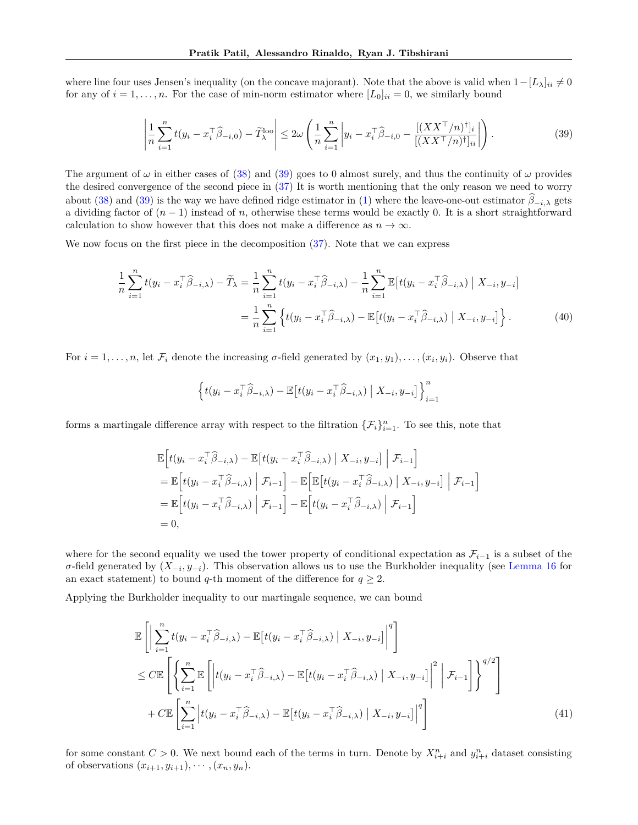where line four uses Jensen's inequality (on the concave majorant). Note that the above is valid when  $1-[L_\lambda]_{ii} \neq 0$ for any of  $i = 1, \ldots, n$ . For the case of min-norm estimator where  $[L_0]_{ii} = 0$ , we similarly bound

<span id="page-14-0"></span>
$$
\left|\frac{1}{n}\sum_{i=1}^{n}t(y_i - x_i^{\top}\widehat{\beta}_{-i,0}) - \widetilde{T}_{\lambda}^{\text{loo}}\right| \le 2\omega \left(\frac{1}{n}\sum_{i=1}^{n}\left|y_i - x_i^{\top}\widehat{\beta}_{-i,0} - \frac{[(XX^{\top}/n)^{\top}]_i}{[(XX^{\top}/n)^{\top}]_{ii}}\right|\right). \tag{39}
$$

The argument of  $\omega$  in either cases of [\(38\)](#page-13-3) and [\(39\)](#page-14-0) goes to 0 almost surely, and thus the continuity of  $\omega$  provides the desired convergence of the second piece in [\(37\)](#page-13-2) It is worth mentioning that the only reason we need to worry about [\(38\)](#page-13-3) and [\(39\)](#page-14-0) is the way we have defined ridge estimator in [\(1\)](#page-2-0) where the leave-one-out estimator  $\beta_{-i,\lambda}$  gets a dividing factor of  $(n-1)$  instead of *n*, otherwise these terms would be exactly 0. It is a short straightforward calculation to show however that this does not make a difference as  $n \to \infty$ .

We now focus on the first piece in the decomposition [\(37\)](#page-13-2). Note that we can express

$$
\frac{1}{n}\sum_{i=1}^{n}t(y_i - x_i^{\top}\widehat{\beta}_{-i,\lambda}) - \widetilde{T}_{\lambda} = \frac{1}{n}\sum_{i=1}^{n}t(y_i - x_i^{\top}\widehat{\beta}_{-i,\lambda}) - \frac{1}{n}\sum_{i=1}^{n}\mathbb{E}\left[t(y_i - x_i^{\top}\widehat{\beta}_{-i,\lambda}) \mid X_{-i}, y_{-i}\right]
$$
\n
$$
= \frac{1}{n}\sum_{i=1}^{n}\left\{t(y_i - x_i^{\top}\widehat{\beta}_{-i,\lambda}) - \mathbb{E}\left[t(y_i - x_i^{\top}\widehat{\beta}_{-i,\lambda}) \mid X_{-i}, y_{-i}\right]\right\}.
$$
\n(40)

For  $i = 1, \ldots, n$ , let  $\mathcal{F}_i$  denote the increasing  $\sigma$ -field generated by  $(x_1, y_1), \ldots, (x_i, y_i)$ . Observe that

<span id="page-14-2"></span>
$$
\left\{ t(y_i - x_i^{\top} \widehat{\beta}_{-i,\lambda}) - \mathbb{E}\left[t(y_i - x_i^{\top} \widehat{\beta}_{-i,\lambda}) \mid X_{-i}, y_{-i}\right] \right\}_{i=1}^n
$$

forms a martingale difference array with respect to the filtration  $\{\mathcal{F}_i\}_{i=1}^n$ . To see this, note that

$$
\mathbb{E}\left[t(y_i - x_i^\top \widehat{\beta}_{-i,\lambda}) - \mathbb{E}\left[t(y_i - x_i^\top \widehat{\beta}_{-i,\lambda}) \mid X_{-i}, y_{-i}\right] \middle| \mathcal{F}_{i-1}\right]
$$
\n
$$
= \mathbb{E}\left[t(y_i - x_i^\top \widehat{\beta}_{-i,\lambda}) \mid \mathcal{F}_{i-1}\right] - \mathbb{E}\left[\mathbb{E}\left[t(y_i - x_i^\top \widehat{\beta}_{-i,\lambda}) \mid X_{-i}, y_{-i}\right] \mid \mathcal{F}_{i-1}\right]
$$
\n
$$
= \mathbb{E}\left[t(y_i - x_i^\top \widehat{\beta}_{-i,\lambda}) \mid \mathcal{F}_{i-1}\right] - \mathbb{E}\left[t(y_i - x_i^\top \widehat{\beta}_{-i,\lambda}) \mid \mathcal{F}_{i-1}\right]
$$
\n
$$
= 0,
$$

where for the second equality we used the tower property of conditional expectation as  $\mathcal{F}_{i-1}$  is a subset of the *σ*-field generated by  $(X_{-i}, y_{-i})$ . This observation allows us to use the Burkholder inequality (see [Lemma 16](#page-30-1) for an exact statement) to bound *q*-th moment of the difference for  $q \geq 2$ .

Applying the Burkholder inequality to our martingale sequence, we can bound

<span id="page-14-1"></span>
$$
\mathbb{E}\left[\left|\sum_{i=1}^{n}t(y_{i}-x_{i}^{\top}\widehat{\beta}_{-i,\lambda})-\mathbb{E}\left[t(y_{i}-x_{i}^{\top}\widehat{\beta}_{-i,\lambda})\mid X_{-i},y_{-i}\right]\right|^{q}\right]
$$
\n
$$
\leq C\mathbb{E}\left[\left\{\sum_{i=1}^{n}\mathbb{E}\left[\left|t(y_{i}-x_{i}^{\top}\widehat{\beta}_{-i,\lambda})-\mathbb{E}\left[t(y_{i}-x_{i}^{\top}\widehat{\beta}_{-i,\lambda})\mid X_{-i},y_{-i}\right]\right|^{2}\middle|\mathcal{F}_{i-1}\right]\right\}^{q/2}\right]
$$
\n
$$
+ C\mathbb{E}\left[\sum_{i=1}^{n}\left|t(y_{i}-x_{i}^{\top}\widehat{\beta}_{-i,\lambda})-\mathbb{E}\left[t(y_{i}-x_{i}^{\top}\widehat{\beta}_{-i,\lambda})\mid X_{-i},y_{-i}\right]\right|^{q}\right]
$$
\n
$$
(41)
$$

for some constant  $C > 0$ . We next bound each of the terms in turn. Denote by  $X_{i+i}^n$  and  $y_{i+i}^n$  dataset consisting of observations  $(x_{i+1}, y_{i+1}), \cdots, (x_n, y_n)$ .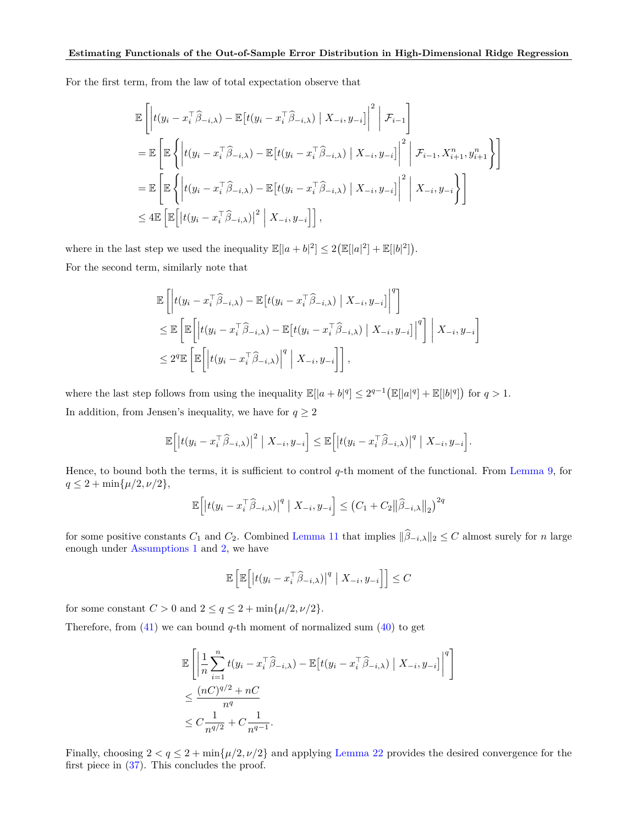For the first term, from the law of total expectation observe that

$$
\mathbb{E}\left[\left|t(y_i - x_i^{\top}\widehat{\beta}_{-i,\lambda}) - \mathbb{E}\left[t(y_i - x_i^{\top}\widehat{\beta}_{-i,\lambda}) \mid X_{-i}, y_{-i}\right]\right|^2 \middle| \mathcal{F}_{i-1}\right]
$$
\n
$$
= \mathbb{E}\left[\mathbb{E}\left\{\left|t(y_i - x_i^{\top}\widehat{\beta}_{-i,\lambda}) - \mathbb{E}\left[t(y_i - x_i^{\top}\widehat{\beta}_{-i,\lambda}) \mid X_{-i}, y_{-i}\right]\right|^2 \middle| \mathcal{F}_{i-1}, X_{i+1}^n, y_{i+1}^n\right\}\right]
$$
\n
$$
= \mathbb{E}\left[\mathbb{E}\left\{\left|t(y_i - x_i^{\top}\widehat{\beta}_{-i,\lambda}) - \mathbb{E}\left[t(y_i - x_i^{\top}\widehat{\beta}_{-i,\lambda}) \mid X_{-i}, y_{-i}\right]\right|^2 \middle| X_{-i}, y_{-i}\right\}\right]
$$
\n
$$
\leq 4\mathbb{E}\left[\mathbb{E}\left[\left|t(y_i - x_i^{\top}\widehat{\beta}_{-i,\lambda})\right|^2 \mid X_{-i}, y_{-i}\right]\right],
$$

where in the last step we used the inequality  $\mathbb{E}[|a+b|^2] \leq 2(\mathbb{E}[|a|^2] + \mathbb{E}[|b|^2])$ . For the second term, similarly note that

$$
\mathbb{E}\left[\left|t(y_i - x_i^\top \widehat{\beta}_{-i,\lambda}) - \mathbb{E}\left[t(y_i - x_i^\top \widehat{\beta}_{-i,\lambda}) \mid X_{-i}, y_{-i}\right]\right|^q\right] \n\leq \mathbb{E}\left[\mathbb{E}\left[\left|t(y_i - x_i^\top \widehat{\beta}_{-i,\lambda}) - \mathbb{E}\left[t(y_i - x_i^\top \widehat{\beta}_{-i,\lambda}) \mid X_{-i}, y_{-i}\right]\right|^q\right] \mid X_{-i}, y_{-i}\right] \n\leq 2^q \mathbb{E}\left[\mathbb{E}\left[\left|t(y_i - x_i^\top \widehat{\beta}_{-i,\lambda})\right|^q \mid X_{-i}, y_{-i}\right]\right],
$$

where the last step follows from using the inequality  $\mathbb{E}[|a+b|^q] \leq 2^{q-1} (\mathbb{E}[|a|^q] + \mathbb{E}[|b|^q])$  for  $q > 1$ . In addition, from Jensen's inequality, we have for  $q \geq 2$ 

$$
\mathbb{E}\Big[\big|t(y_i - x_i^\top \widehat{\beta}_{-i,\lambda})\big|^2 \big| X_{-i}, y_{-i} \Big] \leq \mathbb{E}\Big[\big|t(y_i - x_i^\top \widehat{\beta}_{-i,\lambda})\big|^q \big| X_{-i}, y_{-i} \Big].
$$

Hence, to bound both the terms, it is sufficient to control *q*-th moment of the functional. From [Lemma 9,](#page-21-1) for  $q \leq 2 + \min\{\mu/2, \nu/2\},\$ 

$$
\mathbb{E}\Big[\big|t(y_i - x_i^\top \widehat{\beta}_{-i,\lambda})\big|^q \mid X_{-i}, y_{-i}\Big] \leq \big(C_1 + C_2 \big\|\widehat{\beta}_{-i,\lambda}\big\|_2\big)^{2q}
$$

for some positive constants  $C_1$  and  $C_2$ . Combined [Lemma 11](#page-22-0) that implies  $\|\widehat{\beta}_{-i,\lambda}\|_2 \leq C$  almost surely for *n* large enough under [Assumptions 1](#page-4-2) and [2,](#page-4-3) we have

$$
\mathbb{E}\left[\mathbb{E}\left[\left|t(y_i - x_i^{\top}\widehat{\beta}_{-i,\lambda})\right|^q \mid X_{-i}, y_{-i}\right]\right] \leq C
$$

for some constant  $C > 0$  and  $2 \le q \le 2 + \min\{\mu/2, \nu/2\}.$ 

Therefore, from [\(41\)](#page-14-1) we can bound *q*-th moment of normalized sum [\(40\)](#page-14-2) to get

$$
\mathbb{E}\left[\left|\frac{1}{n}\sum_{i=1}^{n}t(y_{i}-x_{i}^{\top}\widehat{\beta}_{-i,\lambda})-\mathbb{E}\left[t(y_{i}-x_{i}^{\top}\widehat{\beta}_{-i,\lambda})\mid X_{-i},y_{-i}\right]\right|^{q}\right]
$$
\n
$$
\leq \frac{(nC)^{q/2}+nC}{n^{q}}
$$
\n
$$
\leq C\frac{1}{n^{q/2}}+C\frac{1}{n^{q-1}}.
$$

Finally, choosing  $2 < q \le 2 + \min\{\mu/2, \nu/2\}$  and applying [Lemma 22](#page-32-0) provides the desired convergence for the first piece in [\(37\)](#page-13-2). This concludes the proof.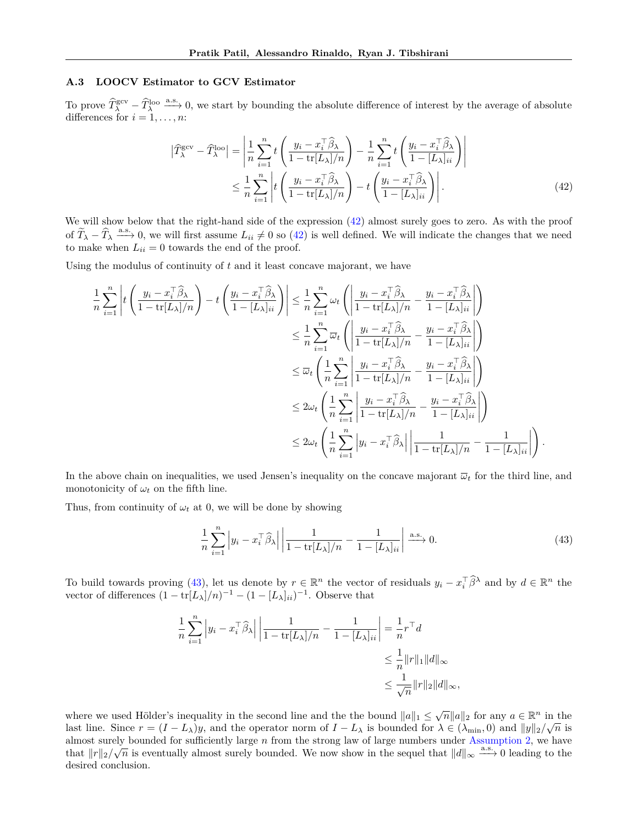### <span id="page-16-0"></span>**A.3 LOOCV Estimator to GCV Estimator**

To prove  $\widehat{T}^{\text{gcv}}_{\lambda} - \widehat{T}^{\text{loo}}_{\lambda}$  a.s. 0, we start by bounding the absolute difference of interest by the average of absolute differences for  $i = 1, \ldots, n$ :

<span id="page-16-1"></span>
$$
\left| \widehat{T}_{\lambda}^{\text{gcv}} - \widehat{T}_{\lambda}^{\text{loo}} \right| = \left| \frac{1}{n} \sum_{i=1}^{n} t \left( \frac{y_i - x_i^{\top} \widehat{\beta}_{\lambda}}{1 - \text{tr}[L_{\lambda}]/n} \right) - \frac{1}{n} \sum_{i=1}^{n} t \left( \frac{y_i - x_i^{\top} \widehat{\beta}_{\lambda}}{1 - [L_{\lambda}]_{ii}} \right) \right|
$$
  

$$
\leq \frac{1}{n} \sum_{i=1}^{n} \left| t \left( \frac{y_i - x_i^{\top} \widehat{\beta}_{\lambda}}{1 - \text{tr}[L_{\lambda}]/n} \right) - t \left( \frac{y_i - x_i^{\top} \widehat{\beta}_{\lambda}}{1 - [L_{\lambda}]_{ii}} \right) \right|.
$$
 (42)

We will show below that the right-hand side of the expression  $(42)$  almost surely goes to zero. As with the proof of  $\widetilde{T}_{\lambda} - \widehat{T}_{\lambda} \stackrel{\text{a.s.}}{\longrightarrow} 0$ , we will first assume  $L_{ii} \neq 0$  so [\(42\)](#page-16-1) is well defined. We will indicate the changes that we need to make when  $L_{ii} = 0$  towards the end of the proof.

Using the modulus of continuity of *t* and it least concave majorant, we have

$$
\frac{1}{n} \sum_{i=1}^{n} \left| t \left( \frac{y_i - x_i^{\top} \hat{\beta}_{\lambda}}{1 - \text{tr}[L_{\lambda}]/n} \right) - t \left( \frac{y_i - x_i^{\top} \hat{\beta}_{\lambda}}{1 - [L_{\lambda}]_{ii}} \right) \right| \leq \frac{1}{n} \sum_{i=1}^{n} \omega_t \left( \left| \frac{y_i - x_i^{\top} \hat{\beta}_{\lambda}}{1 - \text{tr}[L_{\lambda}]/n} - \frac{y_i - x_i^{\top} \hat{\beta}_{\lambda}}{1 - [L_{\lambda}]_{ii}} \right| \right)
$$
  
\n
$$
\leq \frac{1}{n} \sum_{i=1}^{n} \overline{\omega}_t \left( \left| \frac{y_i - x_i^{\top} \hat{\beta}_{\lambda}}{1 - \text{tr}[L_{\lambda}]/n} - \frac{y_i - x_i^{\top} \hat{\beta}_{\lambda}}{1 - [L_{\lambda}]_{ii}} \right| \right)
$$
  
\n
$$
\leq \overline{\omega}_t \left( \frac{1}{n} \sum_{i=1}^{n} \left| \frac{y_i - x_i^{\top} \hat{\beta}_{\lambda}}{1 - \text{tr}[L_{\lambda}]/n} - \frac{y_i - x_i^{\top} \hat{\beta}_{\lambda}}{1 - [L_{\lambda}]_{ii}} \right| \right)
$$
  
\n
$$
\leq 2\omega_t \left( \frac{1}{n} \sum_{i=1}^{n} \left| \frac{y_i - x_i^{\top} \hat{\beta}_{\lambda}}{1 - \text{tr}[L_{\lambda}]/n} - \frac{y_i - x_i^{\top} \hat{\beta}_{\lambda}}{1 - [L_{\lambda}]_{ii}} \right| \right)
$$
  
\n
$$
\leq 2\omega_t \left( \frac{1}{n} \sum_{i=1}^{n} \left| y_i - x_i^{\top} \hat{\beta}_{\lambda} \right| \left| \frac{1}{1 - \text{tr}[L_{\lambda}]/n} - \frac{1}{1 - [L_{\lambda}]_{ii}} \right| \right).
$$

In the above chain on inequalities, we used Jensen's inequality on the concave majorant  $\bar{\omega}_t$  for the third line, and monotonicity of  $\omega_t$  on the fifth line.

Thus, from continuity of  $\omega_t$  at 0, we will be done by showing

<span id="page-16-2"></span>
$$
\frac{1}{n}\sum_{i=1}^{n} \left| y_i - x_i^{\top} \widehat{\beta}_{\lambda} \right| \left| \frac{1}{1 - \text{tr}[L_{\lambda}]/n} - \frac{1}{1 - [L_{\lambda}]_{ii}} \right| \xrightarrow{\text{a.s.}} 0. \tag{43}
$$

To build towards proving [\(43\)](#page-16-2), let us denote by  $r \in \mathbb{R}^n$  the vector of residuals  $y_i - x_i^{\top} \hat{\beta}^{\lambda}$  and by  $d \in \mathbb{R}^n$  the vector of differences  $(1 - \text{tr}[L_\lambda]/n)^{-1} - (1 - [L_\lambda]_{ii})^{-1}$ . Observe that

$$
\frac{1}{n} \sum_{i=1}^{n} \left| y_i - x_i^{\top} \widehat{\beta}_{\lambda} \right| \left| \frac{1}{1 - \text{tr}[L_{\lambda}] / n} - \frac{1}{1 - [L_{\lambda}]_{ii}} \right| = \frac{1}{n} r^{\top} d
$$
  

$$
\leq \frac{1}{n} ||r||_1 ||d||_{\infty}
$$
  

$$
\leq \frac{1}{\sqrt{n}} ||r||_2 ||d||_{\infty},
$$

where we used Hölder's inequality in the second line and the the bound  $||a||_1 \leq \sqrt{n} ||a||_2$  for any  $a \in \mathbb{R}^n$  in the last line. Since  $r = (I - L_{\lambda})y$ , and the operator norm of  $I - L_{\lambda}$  is bounded for  $\lambda \in (\lambda_{\min}, 0)$  and  $||y||_2/\sqrt{n}$  is almost surely bounded for sufficiently large *n* from the strong law of large numbers under [Assumption 2,](#page-4-3) we have almost surely bounded for sunctently large *n* from the strong law of large numbers under Assumption 2, we have that  $||r||_2/\sqrt{n}$  is eventually almost surely bounded. We now show in the sequel that  $||d||_{\infty}$  a.s. → 0 lead desired conclusion.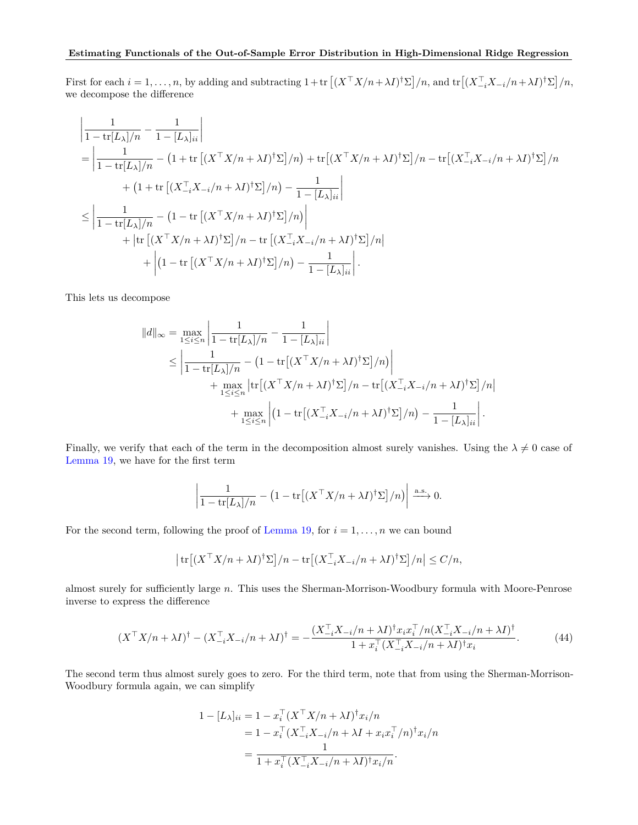First for each  $i = 1, \ldots, n$ , by adding and subtracting  $1 + \text{tr}\left[ (X^{\top}X/n + \lambda I)^{\dagger} \Sigma \right] / n$ , and  $\text{tr}\left[ (X_{-i}^{\top}X_{-i}/n + \lambda I)^{\dagger} \Sigma \right] / n$ , we decompose the difference

$$
\begin{split}\n&\left|\frac{1}{1-\text{tr}[L_{\lambda}]/n} - \frac{1}{1-[L_{\lambda}]_{ii}}\right| \\
&= \left|\frac{1}{1-\text{tr}[L_{\lambda}]/n} - \left(1+\text{tr}\left[(X^{\top}X/n+\lambda I)^{\dagger}\Sigma\right]/n\right) + \text{tr}\left[(X^{\top}X/n+\lambda I)^{\dagger}\Sigma\right]/n - \text{tr}\left[(X_{-i}^{\top}X_{-i}/n+\lambda I)^{\dagger}\Sigma\right]/n \\
&+ \left(1+\text{tr}\left[(X_{-i}^{\top}X_{-i}/n+\lambda I)^{\dagger}\Sigma\right]/n\right) - \frac{1}{1-[L_{\lambda}]_{ii}}\right| \\
&\leq \left|\frac{1}{1-\text{tr}[L_{\lambda}]/n} - \left(1-\text{tr}\left[(X^{\top}X/n+\lambda I)^{\dagger}\Sigma\right]/n\right)\right| \\
&+ \left|\text{tr}\left[(X^{\top}X/n+\lambda I)^{\dagger}\Sigma\right]/n - \text{tr}\left[(X_{-i}^{\top}X_{-i}/n+\lambda I)^{\dagger}\Sigma\right]/n\right| \\
&+ \left|(1-\text{tr}\left[(X^{\top}X/n+\lambda I)^{\dagger}\Sigma\right]/n\right) - \frac{1}{1-[L_{\lambda}]_{ii}}\right|.\n\end{split}
$$

This lets us decompose

$$
||d||_{\infty} = \max_{1 \leq i \leq n} \left| \frac{1}{1 - \text{tr}[L_{\lambda}]/n} - \frac{1}{1 - [L_{\lambda}]_{ii}} \right|
$$
  
\n
$$
\leq \left| \frac{1}{1 - \text{tr}[L_{\lambda}]/n} - \left( 1 - \text{tr}[(X^{\top}X/n + \lambda I)^{\dagger} \Sigma]/n) \right|
$$
  
\n
$$
+ \max_{1 \leq i \leq n} \left| \text{tr}[(X^{\top}X/n + \lambda I)^{\dagger} \Sigma]/n - \text{tr}[(X_{-i}^{\top}X_{-i}/n + \lambda I)^{\dagger} \Sigma]/n \right|
$$
  
\n
$$
+ \max_{1 \leq i \leq n} \left| \left( 1 - \text{tr}[(X_{-i}^{\top}X_{-i}/n + \lambda I)^{\dagger} \Sigma]/n \right) - \frac{1}{1 - [L_{\lambda}]_{ii}} \right|.
$$

Finally, we verify that each of the term in the decomposition almost surely vanishes. Using the  $\lambda \neq 0$  case of [Lemma 19,](#page-32-1) we have for the first term

$$
\left| \frac{1}{1 - \text{tr}[L_{\lambda}]/n} - \left( 1 - \text{tr}\left[ (X^{\top} X/n + \lambda I)^{\dagger} \Sigma \right] / n \right) \right| \xrightarrow{\text{a.s.}} 0.
$$

For the second term, following the proof of [Lemma 19,](#page-32-1) for  $i = 1, \ldots, n$  we can bound

$$
\left| \text{tr} \left[ (X^\top X/n + \lambda I)^\dagger \Sigma \right] / n - \text{tr} \left[ (X_{-i}^\top X_{-i}/n + \lambda I)^\dagger \Sigma \right] / n \right| \le C/n,
$$

almost surely for sufficiently large *n*. This uses the Sherman-Morrison-Woodbury formula with Moore-Penrose inverse to express the difference

<span id="page-17-0"></span>
$$
(X^{\top}X/n + \lambda I)^{\dagger} - (X_{-i}^{\top}X_{-i}/n + \lambda I)^{\dagger} = -\frac{(X_{-i}^{\top}X_{-i}/n + \lambda I)^{\dagger}x_{i}x_{i}^{\top}/n(X_{-i}^{\top}X_{-i}/n + \lambda I)^{\dagger}}{1 + x_{i}^{\top}(X_{-i}^{\top}X_{-i}/n + \lambda I)^{\dagger}x_{i}}.
$$
(44)

The second term thus almost surely goes to zero. For the third term, note that from using the Sherman-Morrison-Woodbury formula again, we can simplify

$$
1 - [L_{\lambda}]_{ii} = 1 - x_i^{\top} (X^{\top} X/n + \lambda I)^{\dagger} x_i/n
$$
  
= 
$$
1 - x_i^{\top} (X_{-i}^{\top} X_{-i}/n + \lambda I + x_i x_i^{\top}/n)^{\dagger} x_i/n
$$
  
= 
$$
\frac{1}{1 + x_i^{\top} (X_{-i}^{\top} X_{-i}/n + \lambda I)^{\dagger} x_i/n}.
$$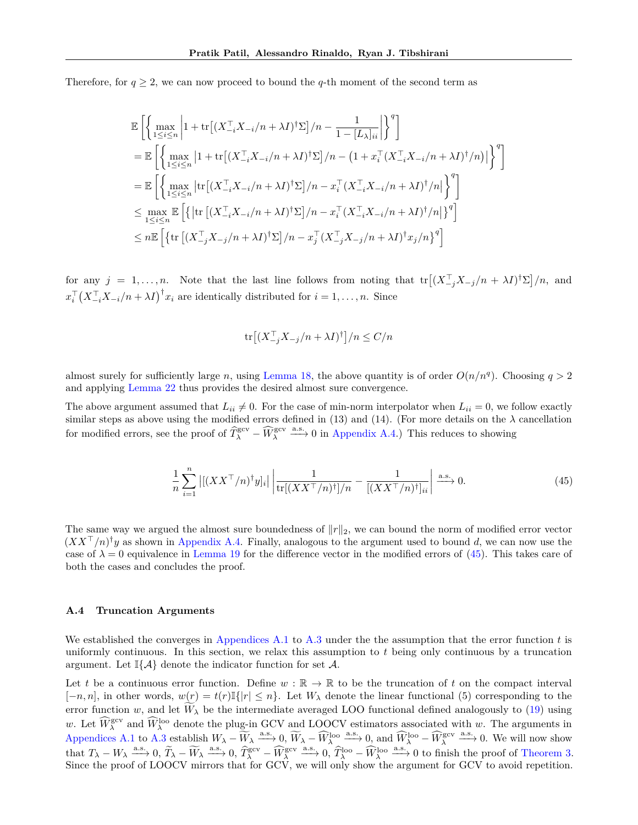Therefore, for  $q \ge 2$ , we can now proceed to bound the *q*-th moment of the second term as

$$
\begin{split} &\mathbb{E}\left[\left\{\max_{1\leq i\leq n}\left|1+\text{tr}\big[(X_{-i}^\top X_{-i}/n+\lambda I)^\dagger \Sigma\big]/n-\frac{1}{1-[L_\lambda]_{ii}}\right|\right\}^q\right]\\ &=\mathbb{E}\left[\left\{\max_{1\leq i\leq n}\left|1+\text{tr}\big[(X_{-i}^\top X_{-i}/n+\lambda I)^\dagger \Sigma\big]/n-\left(1+x_i^\top (X_{-i}^\top X_{-i}/n+\lambda I)^\dagger/n\right)\right|\right\}^q\right]\\ &=\mathbb{E}\left[\left\{\max_{1\leq i\leq n}\left|\text{tr}\big[(X_{-i}^\top X_{-i}/n+\lambda I)^\dagger \Sigma\big]/n-x_i^\top (X_{-i}^\top X_{-i}/n+\lambda I)^\dagger/n\big|\right\}^q\right]\\ &\leq \max_{1\leq i\leq n}\mathbb{E}\left[\left\{\left|\text{tr}\big[(X_{-i}^\top X_{-i}/n+\lambda I)^\dagger \Sigma\big]/n-x_i^\top (X_{-i}^\top X_{-i}/n+\lambda I)^\dagger/n\big|\right\}^q\right]\\ &\leq n\mathbb{E}\left[\left\{\text{tr}\big[(X_{-j}^\top X_{-j}/n+\lambda I)^\dagger \Sigma\big]/n-x_j^\top (X_{-j}^\top X_{-j}/n+\lambda I)^\dagger x_j/n\right\}^q\right] \end{split}
$$

for any  $j = 1, ..., n$ . Note that the last line follows from noting that  $tr[(X_{-j}^{\top}X_{-j}/n + \lambda I)^{\dagger}\Sigma]/n$ , and  $x_i^{\top} (X_{-i}^{\top} X_{-i}/n + \lambda I)^{\dagger} x_i$  are identically distributed for  $i = 1, \ldots, n$ . Since

$$
\text{tr}\big[(X_{-j}^{\top}X_{-j}/n+\lambda I)^{\dagger}\big]/n\leq C/n
$$

almost surely for sufficiently large *n*, using [Lemma 18,](#page-31-0) the above quantity is of order  $O(n/n<sup>q</sup>)$ . Choosing  $q > 2$ and applying [Lemma 22](#page-32-0) thus provides the desired almost sure convergence.

The above argument assumed that  $L_{ii} \neq 0$ . For the case of min-norm interpolator when  $L_{ii} = 0$ , we follow exactly similar steps as above using the modified errors defined in (13) and (14). (For more details on the  $\lambda$  cancellation for modified errors, see the proof of  $\widehat{T}_{\lambda}^{\text{gcv}} - \widehat{W}_{\lambda}^{\text{gcv}} \stackrel{\text{a.s.}}{\longrightarrow} 0$  in [Appendix A.4.](#page-18-0)) This reduces to showing

<span id="page-18-1"></span>
$$
\frac{1}{n}\sum_{i=1}^{n} \left| \left[ (XX^\top/n)^\dagger y_i \right]_i \right| \left| \frac{1}{\text{tr}[(XX^\top/n)^\dagger]/n} - \frac{1}{\left[ (XX^\top/n)^\dagger \right]_{ii}} \right| \xrightarrow{\text{a.s.}} 0. \tag{45}
$$

The same way we argued the almost sure boundedness of ∥*r*∥2, we can bound the norm of modified error vector  $(XX^{\top}/n)^{\dagger}y$  as shown in [Appendix A.4.](#page-18-0) Finally, analogous to the argument used to bound *d*, we can now use the case of  $\lambda = 0$  equivalence in [Lemma 19](#page-32-1) for the difference vector in the modified errors of [\(45\)](#page-18-1). This takes care of both the cases and concludes the proof.

### <span id="page-18-0"></span>**A.4 Truncation Arguments**

We established the converges in [Appendices A.1](#page-12-0) to [A.3](#page-16-0) under the the assumption that the error function *t* is uniformly continuous. In this section, we relax this assumption to *t* being only continuous by a truncation argument. Let  $\mathbb{I}\{\mathcal{A}\}\$  denote the indicator function for set  $\mathcal{A}$ .

Let t be a continuous error function. Define  $w : \mathbb{R} \to \mathbb{R}$  to be the truncation of t on the compact interval  $[-n, n]$ , in other words,  $w(r) = t(r) \mathbb{I}\{|r| \leq n\}$ . Let  $W_{\lambda}$  denote the linear functional (5) corresponding to the error function *w*, and let  $W_{\lambda}$  be the intermediate averaged LOO functional defined analogously to [\(19\)](#page-6-0) using *w*. Let  $\widehat{W}_{\lambda}^{\text{geo}}$  and  $\widehat{W}_{\lambda}^{\text{loo}}$  denote the plug-in GCV and LOOCV estimators associated with *w*. The arguments in [Appendices A.1](#page-12-0) to [A.3](#page-16-0) establish  $W_{\lambda} - \widetilde{W}_{\lambda} \stackrel{a.s.}{\longrightarrow} 0$ ,  $\widetilde{W}_{\lambda} - \widetilde{W}_{\lambda}^{\text{loc}} \stackrel{a.s.}{\longrightarrow} 0$ , and  $\widehat{W}_{\lambda}^{\text{loc}} - \widehat{W}_{\lambda}^{\text{geo}} \stackrel{a.s.}{\longrightarrow} 0$ . We will now show that  $T_{\lambda} - W_{\lambda} \xrightarrow{a.s.} 0$ ,  $\widetilde{T}_{\lambda} - \widetilde{W}_{\lambda} \xrightarrow{a.s.} 0$ ,  $\widehat{T}_{\lambda}^{\text{gev}} - \widehat{W}_{\lambda}^{\text{gev}} \xrightarrow{a.s.} 0$ ,  $\widehat{T}_{\lambda}^{\text{loop}} - \widehat{W}_{\lambda}^{\text{loop}} \xrightarrow{a.s.} 0$  to finish the proof of [Theorem 3.](#page-5-3) Since the proof of LOOCV mirrors that for GCV, we will only show the argument for GCV to avoid repetition.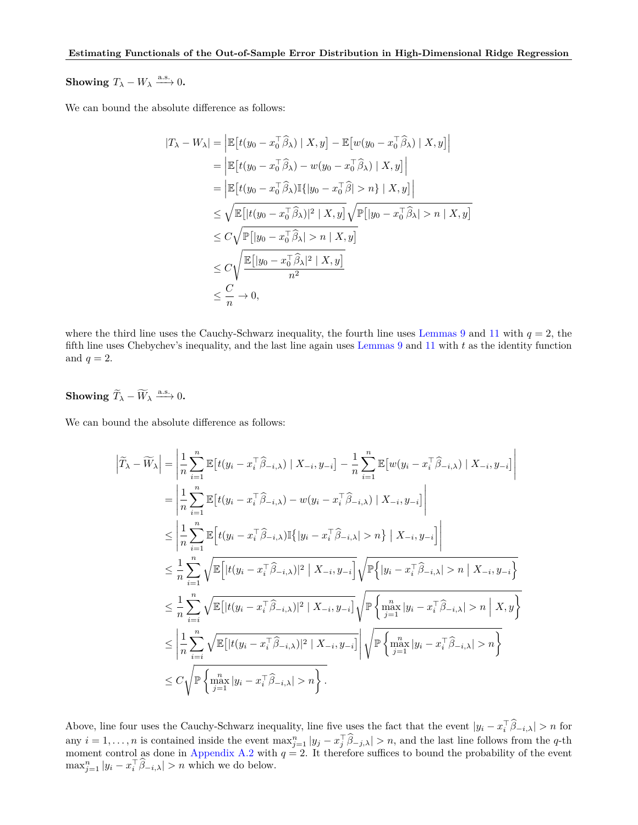**Showing**  $T_{\lambda} - W_{\lambda} \xrightarrow{a.s.} 0$ .

We can bound the absolute difference as follows:

$$
|T_{\lambda} - W_{\lambda}| = \left| \mathbb{E} \left[ t(y_0 - x_0^{\top} \hat{\beta}_{\lambda}) \mid X, y \right] - \mathbb{E} \left[ w(y_0 - x_0^{\top} \hat{\beta}_{\lambda}) \mid X, y \right] \right|
$$
  
\n
$$
= \left| \mathbb{E} \left[ t(y_0 - x_0^{\top} \hat{\beta}_{\lambda}) - w(y_0 - x_0^{\top} \hat{\beta}_{\lambda}) \mid X, y \right] \right|
$$
  
\n
$$
= \left| \mathbb{E} \left[ t(y_0 - x_0^{\top} \hat{\beta}_{\lambda}) \mathbb{I} \{ |y_0 - x_0^{\top} \hat{\beta}| > n \} \mid X, y \right] \right|
$$
  
\n
$$
\leq \sqrt{\mathbb{E} \left[ |t(y_0 - x_0^{\top} \hat{\beta}_{\lambda})|^2 \mid X, y \right]} \sqrt{\mathbb{P} \left[ |y_0 - x_0^{\top} \hat{\beta}_{\lambda}| > n \mid X, y \right]}
$$
  
\n
$$
\leq C \sqrt{\mathbb{P} \left[ |y_0 - x_0^{\top} \hat{\beta}_{\lambda}| > n \mid X, y \right]}
$$
  
\n
$$
\leq C \sqrt{\mathbb{E} \left[ |y_0 - x_0^{\top} \hat{\beta}_{\lambda}|^2 \mid X, y \right]}
$$
  
\n
$$
\leq \frac{C}{n} \to 0,
$$

where the third line uses the Cauchy-Schwarz inequality, the fourth line uses [Lemmas 9](#page-21-1) and [11](#page-22-0) with  $q = 2$ , the fifth line uses Chebychev's inequality, and the last line again uses [Lemmas 9](#page-21-1) and [11](#page-22-0) with *t* as the identity function and  $q=2$ .

**Showing** 
$$
\widetilde{T}_{\lambda} - \widetilde{W}_{\lambda} \xrightarrow{\text{a.s.}} 0.
$$

We can bound the absolute difference as follows:

$$
\begin{split}\n\left|\widetilde{T}_{\lambda}-\widetilde{W}_{\lambda}\right| &= \left|\frac{1}{n}\sum_{i=1}^{n}\mathbb{E}\left[t(y_{i}-x_{i}^{\top}\widehat{\beta}_{-i,\lambda})\mid X_{-i}, y_{-i}\right] - \frac{1}{n}\sum_{i=1}^{n}\mathbb{E}\left[w(y_{i}-x_{i}^{\top}\widehat{\beta}_{-i,\lambda})\mid X_{-i}, y_{-i}\right]\right| \\
&= \left|\frac{1}{n}\sum_{i=1}^{n}\mathbb{E}\left[t(y_{i}-x_{i}^{\top}\widehat{\beta}_{-i,\lambda})-w(y_{i}-x_{i}^{\top}\widehat{\beta}_{-i,\lambda})\mid X_{-i}, y_{-i}\right]\right| \\
&\leq \left|\frac{1}{n}\sum_{i=1}^{n}\mathbb{E}\left[t(y_{i}-x_{i}^{\top}\widehat{\beta}_{-i,\lambda})\mathbb{I}\{|y_{i}-x_{i}^{\top}\widehat{\beta}_{-i,\lambda}|>n\}\mid X_{-i}, y_{-i}\right]\right| \\
&\leq \frac{1}{n}\sum_{i=1}^{n}\sqrt{\mathbb{E}\left[|t(y_{i}-x_{i}^{\top}\widehat{\beta}_{-i,\lambda})|^{2}\mid X_{-i}, y_{-i}\right]}\sqrt{\mathbb{P}\left\{|y_{i}-x_{i}^{\top}\widehat{\beta}_{-i,\lambda}|>n\mid X_{-i}, y_{-i}\right]} \\
&\leq \frac{1}{n}\sum_{i=i}^{n}\sqrt{\mathbb{E}\left[|t(y_{i}-x_{i}^{\top}\widehat{\beta}_{-i,\lambda})|^{2}\mid X_{-i}, y_{-i}\right]}\sqrt{\mathbb{P}\left\{\max_{j=1}^{n}|y_{i}-x_{i}^{\top}\widehat{\beta}_{-i,\lambda}|>n\right\}}X, y\right]} \\
&\leq \left|\frac{1}{n}\sum_{i=i}^{n}\sqrt{\mathbb{E}\left[|t(y_{i}-x_{i}^{\top}\widehat{\beta}_{-i,\lambda})|^{2}\mid X_{-i}, y_{-i}\right]}\sqrt{\mathbb{P}\left\{\max_{j=1}^{n}|y_{i}-x_{i}^{\top}\widehat{\beta}_{-i,\lambda}|>n\right\}}X\right| \\
&\leq C\sqrt{\mathbb{P}\left\{\max_{j=1}^{n}|y_{i}-x_{i}^{\top}\widehat{\beta}_{-i
$$

Above, line four uses the Cauchy-Schwarz inequality, line five uses the fact that the event  $|y_i - x_i^{\top} \hat{\beta}_{-i,\lambda}| > n$  for any  $i = 1, ..., n$  is contained inside the event  $\max_{j=1}^{n} |y_j - x_j^{\top} \hat{\beta}_{-j,\lambda}| > n$ , and the last line follows from the q-th moment control as done in [Appendix A.2](#page-13-0) with  $q = 2$ . It therefore suffices to bound the probability of  $\max_{j=1}^{n} |y_i - x_i^{\top} \hat{\beta}_{-i,\lambda}| > n$  which we do below.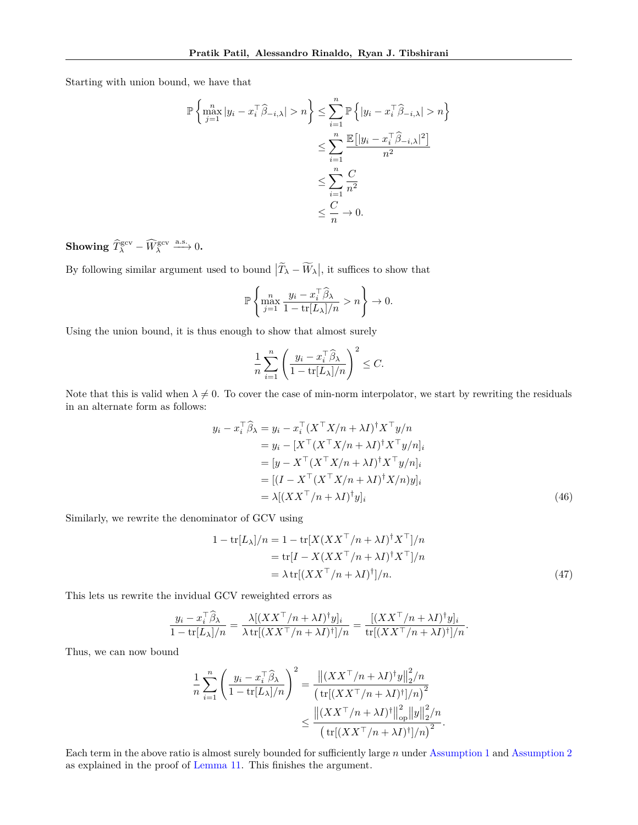Starting with union bound, we have that

$$
\mathbb{P}\left\{\max_{j=1}^{n} |y_i - x_i^{\top} \hat{\beta}_{-i,\lambda}| > n\right\} \le \sum_{i=1}^{n} \mathbb{P}\left\{|y_i - x_i^{\top} \hat{\beta}_{-i,\lambda}| > n\right\}
$$

$$
\le \sum_{i=1}^{n} \frac{\mathbb{E}\left[|y_i - x_i^{\top} \hat{\beta}_{-i,\lambda}|^2\right]}{n^2}
$$

$$
\le \sum_{i=1}^{n} \frac{C}{n^2}
$$

$$
\le \frac{C}{n} \to 0.
$$

**Showing**  $\widehat{T}_{\lambda}^{\text{gcv}} - \widehat{W}_{\lambda}^{\text{gcv}} \stackrel{\text{a.s.}}{\longrightarrow} 0$ .

By following similar argument used to bound  $|\tilde{T}_{\lambda} - W_{\lambda}|$ , it suffices to show that

$$
\mathbb{P}\left\{\max_{j=1}^n \frac{y_i - x_i^\top \widehat{\beta}_{\lambda}}{1 - \text{tr}[L_\lambda]/n} > n\right\} \to 0.
$$

Using the union bound, it is thus enough to show that almost surely

$$
\frac{1}{n} \sum_{i=1}^{n} \left( \frac{y_i - x_i^{\top} \widehat{\beta}_{\lambda}}{1 - \text{tr}[L_{\lambda}] / n} \right)^2 \leq C.
$$

Note that this is valid when  $\lambda \neq 0$ . To cover the case of min-norm interpolator, we start by rewriting the residuals in an alternate form as follows:

$$
y_i - x_i^{\top} \hat{\beta}_{\lambda} = y_i - x_i^{\top} (X^{\top} X/n + \lambda I)^{\dagger} X^{\top} y/n
$$
  
\n
$$
= y_i - [X^{\top} (X^{\top} X/n + \lambda I)^{\dagger} X^{\top} y/n]_i
$$
  
\n
$$
= [y - X^{\top} (X^{\top} X/n + \lambda I)^{\dagger} X^{\top} y/n]_i
$$
  
\n
$$
= [(I - X^{\top} (X^{\top} X/n + \lambda I)^{\dagger} X/n) y]_i
$$
  
\n
$$
= \lambda [(XX^{\top}/n + \lambda I)^{\dagger} y]_i
$$
\n(46)

Similarly, we rewrite the denominator of GCV using

$$
1 - \text{tr}[L_{\lambda}]/n = 1 - \text{tr}[X(XX^{\top}/n + \lambda I)^{\dagger} X^{\top}]/n
$$
  
= 
$$
\text{tr}[I - X(XX^{\top}/n + \lambda I)^{\dagger} X^{\top}]/n
$$
  
= 
$$
\lambda \text{tr}[(XX^{\top}/n + \lambda I)^{\dagger}]/n.
$$
 (47)

<span id="page-20-1"></span><span id="page-20-0"></span>*.*

This lets us rewrite the invidual GCV reweighted errors as

$$
\frac{y_i - x_i^{\top} \widehat{\beta}_{\lambda}}{1 - \text{tr}[L_{\lambda}]/n} = \frac{\lambda[(XX^{\top}/n + \lambda I)^{\dagger}y]_i}{\lambda \text{ tr}[(XX^{\top}/n + \lambda I)^{\dagger}]/n} = \frac{[(XX^{\top}/n + \lambda I)^{\dagger}y]_i}{\text{tr}[(XX^{\top}/n + \lambda I)^{\dagger}]/n}.
$$

Thus, we can now bound

$$
\frac{1}{n} \sum_{i=1}^{n} \left( \frac{y_i - x_i^{\top} \widehat{\beta}_{\lambda}}{1 - \text{tr}[L_{\lambda}]/n} \right)^2 = \frac{\left\| (XX^{\top}/n + \lambda I)^{\dagger} y \right\|_2^2 / n}{\left( \text{tr}[(XX^{\top}/n + \lambda I)^{\dagger}]/n \right)^2} \le \frac{\left\| (XX^{\top}/n + \lambda I)^{\dagger} \right\|_{\text{op}}^2 \|y\|_2^2 / n}{\left( \text{tr}[(XX^{\top}/n + \lambda I)^{\dagger}]/n \right)^2}
$$

Each term in the above ratio is almost surely bounded for sufficiently large *n* under [Assumption 1](#page-4-2) and [Assumption 2](#page-4-3) as explained in the proof of [Lemma 11.](#page-22-0) This finishes the argument.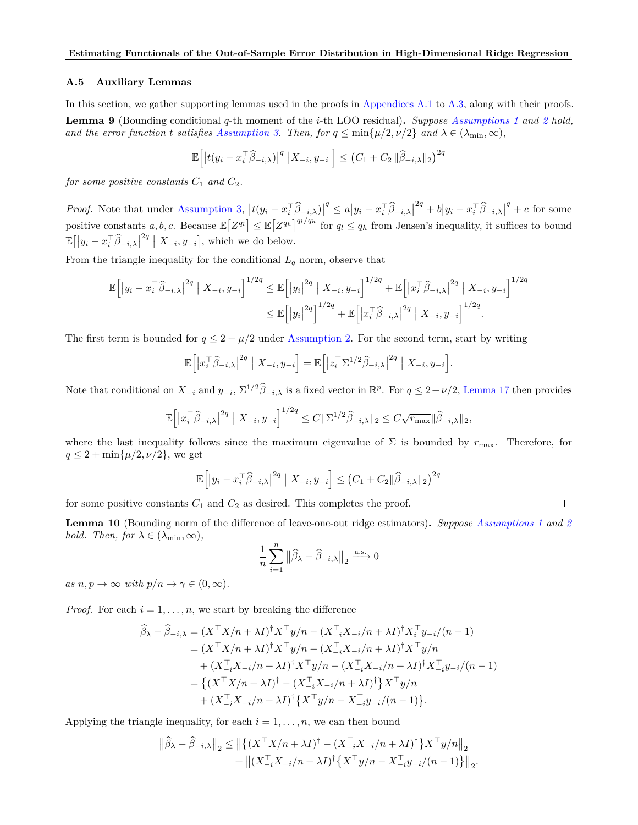### **A.5 Auxiliary Lemmas**

<span id="page-21-1"></span>In this section, we gather supporting lemmas used in the proofs in [Appendices A.1](#page-12-0) to [A.3,](#page-16-0) along with their proofs. **Lemma 9** (Bounding conditional *q*-th moment of the *i*-th LOO residual)**.** *Suppose [Assumptions 1](#page-4-2) and [2](#page-4-3) hold, and the error function t satisfies [Assumption 3.](#page-5-1) Then, for*  $q \leq \min\{\mu/2, \nu/2\}$  *and*  $\lambda \in (\lambda_{\min}, \infty)$ *,* 

$$
\mathbb{E}\left[\left|t(y_i - x_i^\top \widehat{\beta}_{-i,\lambda})\right|^q \left|X_{-i}, y_{-i}\right.\right] \leq \left(C_1 + C_2 \|\widehat{\beta}_{-i,\lambda}\|_2\right)^{2q}
$$

*for some positive constants*  $C_1$  *and*  $C_2$ *.* 

*Proof.* Note that under [Assumption 3,](#page-5-1)  $|t(y_i - x_i^T \hat{\beta}_{-i,\lambda})|$  $\mathscr{A}$  ≤  $a|y_i - x_i^{\top} \widehat{\beta}_{-i,\lambda}|$  $2q + b|y_i - x_i^{\top} \widehat{\beta}_{-i,\lambda}|$  $q$ <sup> $q$ </sup> + *c* for some positive constants  $a, b, c$ . Because  $\mathbb{E}\left[Z^{q_l}\right] \leq \mathbb{E}\left[Z^{q_h}\right]^{q_l/q_h}$  for  $q_l \leq q_h$  from Jensen's inequality, it suffices to bound  $\mathbb{E}\left[\left|y_i - x_i^{\top}\widehat{\beta}_{-i,\lambda}\right|\right]$  $\left[ X_{-i}, y_{-i} \right]$ , which we do below.

From the triangle inequality for the conditional  $L_q$  norm, observe that

$$
\mathbb{E}\Big[|y_i - x_i^{\top}\widehat{\beta}_{-i,\lambda}|^{2q} | X_{-i}, y_{-i}|^{1/2q} \leq \mathbb{E}\Big[|y_i|^{2q} | X_{-i}, y_{-i}\Big]^{1/2q} + \mathbb{E}\Big[|x_i^{\top}\widehat{\beta}_{-i,\lambda}|^{2q} | X_{-i}, y_{-i}\Big]^{1/2q} \leq \mathbb{E}\Big[|y_i|^{2q}\Big]^{1/2q} + \mathbb{E}\Big[|x_i^{\top}\widehat{\beta}_{-i,\lambda}|^{2q} | X_{-i}, y_{-i}\Big]^{1/2q}.
$$

The first term is bounded for  $q \leq 2 + \mu/2$  under [Assumption 2.](#page-4-3) For the second term, start by writing

$$
\mathbb{E}\Big[\big|x_i^\top \widehat{\beta}_{-i,\lambda}\big|^{2q} \big| \ X_{-i}, y_{-i}\Big] = \mathbb{E}\Big[\big|z_i^\top \Sigma^{1/2} \widehat{\beta}_{-i,\lambda}\big|^{2q} \big| \ X_{-i}, y_{-i}\Big].
$$

Note that conditional on  $X_{-i}$  and  $y_{-i}$ ,  $\Sigma^{1/2} \widehat{\beta}_{-i,\lambda}$  is a fixed vector in  $\mathbb{R}^p$ . For  $q \leq 2 + \nu/2$ , [Lemma 17](#page-31-1) then provides

$$
\mathbb{E}\Big[\big|x_i^{\top}\widehat{\beta}_{-i,\lambda}\big|^{2q} \big| X_{-i}, y_{-i}\Big]^{1/2q} \leq C \|\Sigma^{1/2}\widehat{\beta}_{-i,\lambda}\|_2 \leq C\sqrt{r_{\max}} \|\widehat{\beta}_{-i,\lambda}\|_2,
$$

where the last inequality follows since the maximum eigenvalue of  $\Sigma$  is bounded by  $r_{\text{max}}$ . Therefore, for  $q \leq 2 + \min\{\mu/2, \nu/2\}$ , we get

$$
\mathbb{E}\Big[\big|y_i - x_i^{\top}\widehat{\beta}_{-i,\lambda}\big|^{2q} \mid X_{-i}, y_{-i}\Big] \leq \big(C_1 + C_2 \|\widehat{\beta}_{-i,\lambda}\|_2\big)^{2q}
$$

for some positive constants  $C_1$  and  $C_2$  as desired. This completes the proof.

<span id="page-21-0"></span>**Lemma 10** (Bounding norm of the difference of leave-one-out ridge estimators)**.** *Suppose [Assumptions 1](#page-4-2) and [2](#page-4-3) hold.* Then, for  $\lambda \in (\lambda_{\min}, \infty)$ ,

 $\Box$ 

$$
\frac{1}{n}\sum_{i=1}^{n} \left\|\widehat{\beta}_{\lambda} - \widehat{\beta}_{-i,\lambda}\right\|_{2} \xrightarrow{\text{a.s.}} 0
$$

 $as n, p \to \infty$  *with*  $p/n \to \gamma \in (0, \infty)$ *.* 

*Proof.* For each  $i = 1, \ldots, n$ , we start by breaking the difference

$$
\widehat{\beta}_{\lambda} - \widehat{\beta}_{-i,\lambda} = (X^{\top} X/n + \lambda I)^{\dagger} X^{\top} y/n - (X_{-i}^{\top} X_{-i}/n + \lambda I)^{\dagger} X_{i}^{\top} y_{-i}/(n-1) \n= (X^{\top} X/n + \lambda I)^{\dagger} X^{\top} y/n - (X_{-i}^{\top} X_{-i}/n + \lambda I)^{\dagger} X^{\top} y/n \n+ (X_{-i}^{\top} X_{-i}/n + \lambda I)^{\dagger} X^{\top} y/n - (X_{-i}^{\top} X_{-i}/n + \lambda I)^{\dagger} X_{-i}^{\top} y_{-i}/(n-1) \n= \left\{ (X^{\top} X/n + \lambda I)^{\dagger} - (X_{-i}^{\top} X_{-i}/n + \lambda I)^{\dagger} \right\} X^{\top} y/n \n+ (X_{-i}^{\top} X_{-i}/n + \lambda I)^{\dagger} \left\{ X^{\top} y/n - X_{-i}^{\top} y_{-i}/(n-1) \right\}.
$$

Applying the triangle inequality, for each  $i = 1, \ldots, n$ , we can then bound

$$
\|\widehat{\beta}_{\lambda} - \widehat{\beta}_{-i,\lambda}\|_{2} \le \left\|\left\{(X^{\top}X/n + \lambda I)^{\dagger} - (X_{-i}^{\top}X_{-i}/n + \lambda I)^{\dagger}\right\}X^{\top}y/n\right\|_{2} + \left\|(X_{-i}^{\top}X_{-i}/n + \lambda I)^{\dagger}\left\{X^{\top}y/n - X_{-i}^{\top}y_{-i}/(n-1)\right\}\right\|_{2}.
$$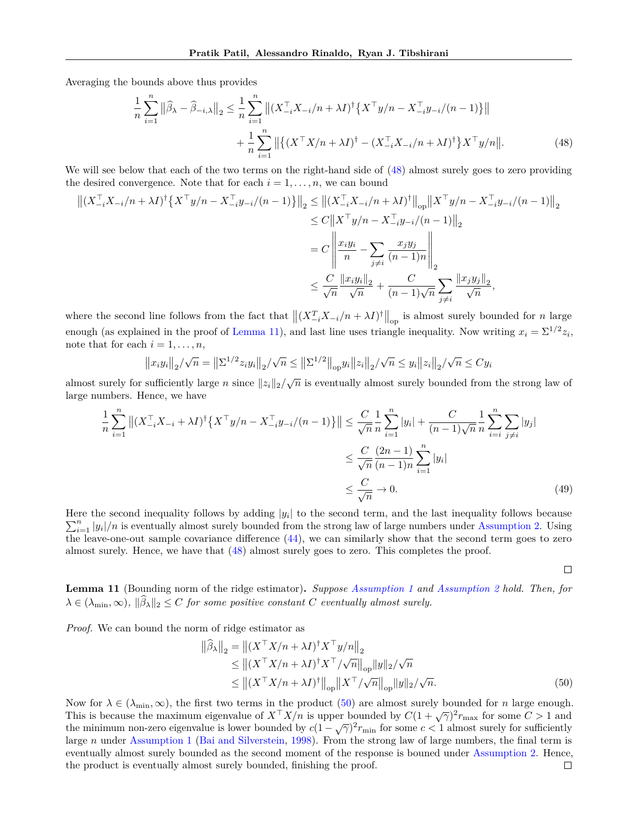Averaging the bounds above thus provides

<span id="page-22-1"></span>
$$
\frac{1}{n} \sum_{i=1}^{n} \left\| \widehat{\beta}_{\lambda} - \widehat{\beta}_{-i,\lambda} \right\|_{2} \leq \frac{1}{n} \sum_{i=1}^{n} \left\| (X_{-i}^{\top} X_{-i}/n + \lambda I)^{\dagger} \{ X^{\top} y/n - X_{-i}^{\top} y_{-i}/(n-1) \} \right\| + \frac{1}{n} \sum_{i=1}^{n} \left\| \{ (X^{\top} X/n + \lambda I)^{\dagger} - (X_{-i}^{\top} X_{-i}/n + \lambda I)^{\dagger} \} X^{\top} y/n \right\|. \tag{48}
$$

We will see below that each of the two terms on the right-hand side of  $(48)$  almost surely goes to zero providing the desired convergence. Note that for each  $i = 1, \ldots, n$ , we can bound

$$
\begin{split} \left\| (X_{-i}^{\top} X_{-i}/n + \lambda I)^{\dagger} \left\{ X^{\top} y/n - X_{-i}^{\top} y_{-i}/(n-1) \right\} \right\|_{2} &\leq \left\| (X_{-i}^{\top} X_{-i}/n + \lambda I)^{\dagger} \right\|_{op} \left\| X^{\top} y/n - X_{-i}^{\top} y_{-i}/(n-1) \right\|_{2} \\ &\leq C \left\| X^{\top} y/n - X_{-i}^{\top} y_{-i}/(n-1) \right\|_{2} \\ &= C \left\| \frac{x_i y_i}{n} - \sum_{j \neq i} \frac{x_j y_j}{(n-1)n} \right\|_{2} \\ &\leq \frac{C}{\sqrt{n}} \frac{\left\| x_i y_i \right\|_{2}}{\sqrt{n}} + \frac{C}{(n-1)\sqrt{n}} \sum_{j \neq i} \frac{\left\| x_j y_j \right\|_{2}}{\sqrt{n}}, \end{split}
$$

where the second line follows from the fact that  $\|(X_{-i}^T X_{-i}/n + \lambda I)^{\dagger}\|_{op}$  is almost surely bounded for *n* large enough (as explained in the proof of [Lemma 11\)](#page-22-0), and last line uses triangle inequality. Now writing  $x_i = \sum^{1/2} z_i$ , note that for each  $i = 1, \ldots, n$ ,

$$
||x_iy_i||_2/\sqrt{n} = ||\Sigma^{1/2}z_iy_i||_2/\sqrt{n} \le ||\Sigma^{1/2}||_{op}y_i||z_i||_2/\sqrt{n} \le y_i||z_i||_2/\sqrt{n} \le Cy_i
$$

almost surely for sufficiently large *n* since  $||z_i||_2/\sqrt{n}$  is eventually almost surely bounded from the strong law of large numbers. Hence, we have

$$
\frac{1}{n} \sum_{i=1}^{n} \left\| (X_{-i}^{\top} X_{-i} + \lambda I)^{\dagger} \{ X^{\top} y / n - X_{-i}^{\top} y_{-i} / (n-1) \} \right\| \leq \frac{C}{\sqrt{n}} \frac{1}{n} \sum_{i=1}^{n} |y_i| + \frac{C}{(n-1)\sqrt{n}} \frac{1}{n} \sum_{i=i}^{n} \sum_{j \neq i} |y_j|
$$
  

$$
\leq \frac{C}{\sqrt{n}} \frac{(2n-1)}{(n-1)n} \sum_{i=1}^{n} |y_i|
$$
  

$$
\leq \frac{C}{\sqrt{n}} \to 0.
$$
 (49)

Here the second inequality follows by adding  $|y_i|$  to the second term, and the last inequality follows because  $\sum_{i=1}^{n} |y_i|/n$  is eventually almost surely bounded from the strong law of large numbers under [Assumption 2.](#page-4-3) Using the leave-one-out sample covariance difference [\(44\)](#page-17-0), we can similarly show that the second term goes to zero almost surely. Hence, we have that [\(48\)](#page-22-1) almost surely goes to zero. This completes the proof.

<span id="page-22-2"></span> $\Box$ 

<span id="page-22-0"></span>**Lemma 11** (Bounding norm of the ridge estimator)**.** *Suppose [Assumption 1](#page-4-2) and [Assumption 2](#page-4-3) hold. Then, for*  $\lambda \in (\lambda_{\min}, \infty)$ ,  $\|\widehat{\beta}_{\lambda}\|_2 \leq C$  *for some positive constant C eventually almost surely.* 

*Proof.* We can bound the norm of ridge estimator as

$$
\|\widehat{\beta}_{\lambda}\|_{2} = \left\|(X^{\top}X/n + \lambda I)^{\dagger}X^{\top}y/n\right\|_{2}
$$
  
\n
$$
\leq \left\|(X^{\top}X/n + \lambda I)^{\dagger}X^{\top}/\sqrt{n}\right\|_{\text{op}}\|y\|_{2}/\sqrt{n}
$$
  
\n
$$
\leq \left\|(X^{\top}X/n + \lambda I)^{\dagger}\right\|_{\text{op}}\|X^{\top}/\sqrt{n}\right\|_{\text{op}}\|y\|_{2}/\sqrt{n}.
$$
 (50)

Now for  $\lambda \in (\lambda_{\min}, \infty)$ , the first two terms in the product [\(50\)](#page-22-2) are almost surely bounded for *n* large enough. This is because the maximum eigenvalue of  $X^{\top}X/n$  is upper bounded by  $C(1 + \sqrt{\gamma})^2 r_{\text{max}}$  for some  $C > 1$  and the minimum non-zero eigenvalue is lower bounded by  $c(1 - \sqrt{\gamma})^2 r_{\min}$  for some  $c < 1$  almost surely for sufficiently large *n* under [Assumption 1](#page-4-2) [\(Bai and Silverstein,](#page-8-4) [1998\)](#page-8-4). From the strong law of large numbers, the final term is eventually almost surely bounded as the second moment of the response is bouned under [Assumption 2.](#page-4-3) Hence, the product is eventually almost surely bounded, finishing the proof. $\Box$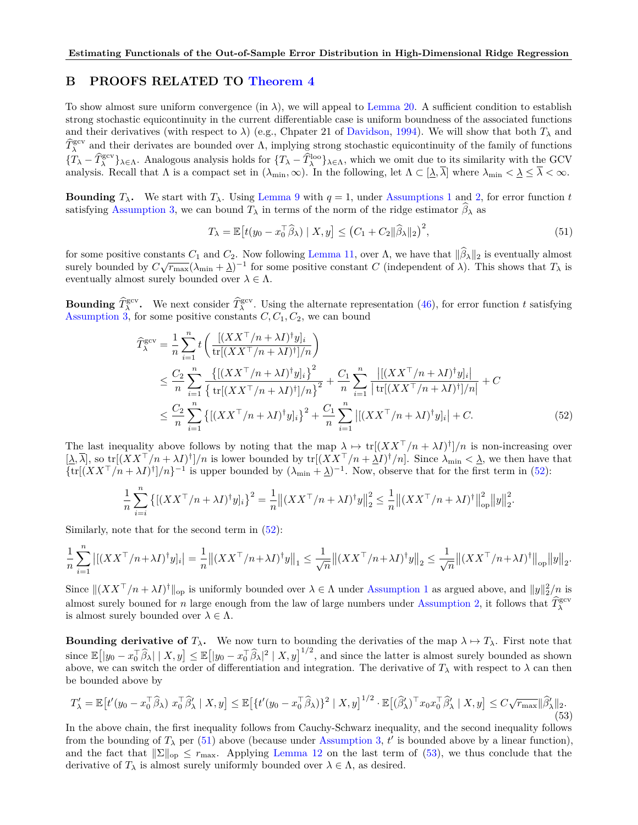## **B PROOFS RELATED TO [Theorem 4](#page-6-6)**

To show almost sure uniform convergence (in  $\lambda$ ), we will appeal to [Lemma 20.](#page-32-2) A sufficient condition to establish strong stochastic equicontinuity in the current differentiable case is uniform boundness of the associated functions and their derivatives (with respect to  $\lambda$ ) (e.g., Chpater 21 of [Davidson,](#page-9-24) [1994\)](#page-9-24). We will show that both  $T_{\lambda}$  and  $\hat{T}_{\lambda}^{\text{gcv}}$  and their derivates are bounded over Λ, implying strong stochastic equicontinuity of the family of functions  ${T_{\lambda} - \widehat{T}_{\lambda}^{\text{geo}}}$   $\lambda \in \Lambda$ . Analogous analysis holds for  ${T_{\lambda} - \widehat{T}_{\lambda}^{\text{loo}}}$ , which we omit due to its similarity with the GCV analysis. Recall that  $\Lambda$  is a compact set in  $(\lambda_{\min}, \infty)$ . In the following, let  $\Lambda \subset [\underline{\lambda}, \overline{\lambda}]$  where  $\lambda_{\min} < \underline{\lambda} \leq \overline{\lambda} < \infty$ .

**Bounding**  $T_{\lambda}$ . We start with  $T_{\lambda}$ . Using [Lemma 9](#page-21-1) with  $q = 1$ , under [Assumptions 1](#page-4-2) and [2,](#page-4-3) for error function *t* satisfying [Assumption 3,](#page-5-1) we can bound  $T_\lambda$  in terms of the norm of the ridge estimator  $\beta_\lambda$  as

<span id="page-23-1"></span><span id="page-23-0"></span>
$$
T_{\lambda} = \mathbb{E}\left[t(y_0 - x_0^{\top}\widehat{\beta}_{\lambda}) \mid X, y\right] \le \left(C_1 + C_2\|\widehat{\beta}_{\lambda}\|_2\right)^2,\tag{51}
$$

for some positive constants  $C_1$  and  $C_2$ . Now following [Lemma 11,](#page-22-0) over  $\Lambda$ , we have that  $\|\beta_\lambda\|_2$  is eventually almost surely bounded by  $C\sqrt{r_{\text{max}}}(\lambda_{\text{min}} + \underline{\lambda})^{-1}$  for some positive constant *C* (independent of  $\lambda$ ). This shows that  $T_{\lambda}$  is eventually almost surely bounded over  $\lambda \in \Lambda$ .

**Bounding**  $\hat{T}_{\lambda}^{\text{gcv}}$ . We next consider  $\hat{T}_{\lambda}^{\text{gcv}}$ . Using the alternate representation [\(46\)](#page-20-0), for error function *t* satisfying [Assumption 3,](#page-5-1) for some positive constants  $C, C_1, C_2$ , we can bound

$$
\widehat{T}_{\lambda}^{\text{gcv}} = \frac{1}{n} \sum_{i=1}^{n} t \left( \frac{[(XX^{\top}/n + \lambda I)^{\dagger} y]_{i}}{\text{tr}[(XX^{\top}/n + \lambda I)^{\dagger}]/n} \right)
$$
\n
$$
\leq \frac{C_{2}}{n} \sum_{i=1}^{n} \frac{\{[(XX^{\top}/n + \lambda I)^{\dagger} y]_{i}\}^{2}}{\left\{ \text{tr}[(XX^{\top}/n + \lambda I)^{\dagger}]/n \right\}^{2}} + \frac{C_{1}}{n} \sum_{i=1}^{n} \frac{|[(XX^{\top}/n + \lambda I)^{\dagger} y]_{i}|}{\text{tr}[(XX^{\top}/n + \lambda I)^{\dagger}]/n} + C
$$
\n
$$
\leq \frac{C_{2}}{n} \sum_{i=1}^{n} \left\{ [(XX^{\top}/n + \lambda I)^{\dagger} y]_{i} \right\}^{2} + \frac{C_{1}}{n} \sum_{i=1}^{n} |[(XX^{\top}/n + \lambda I)^{\dagger} y]_{i}| + C. \tag{52}
$$

The last inequality above follows by noting that the map  $\lambda \mapsto \text{tr}[(XX^{\top}/n + \lambda I)^{\dagger}]/n$  is non-increasing over  $[\Delta, \overline{\lambda}]$ , so tr $[(XX^{\top}/n + \lambda I)^{\dagger}]/n$  is lower bounded by tr $[(XX^{\top}/n + \Delta I)^{\dagger}/n]$ . Since  $\lambda_{\min} < \underline{\lambda}$ , we then have that  $\{\text{tr}[(XX^{\top}/n + \lambda I)^{\dagger}]/n\}^{-1}$  is upper bounded by  $(\lambda_{\min} + \underline{\lambda})^{-1}$ . Now, observe that for the first term in [\(52\)](#page-23-0):

$$
\frac{1}{n}\sum_{i=i}^{n} \left\{ \left[ (XX^{\top}/n + \lambda I)^{\dagger} y \right]_i \right\}^2 = \frac{1}{n} \left\| (XX^{\top}/n + \lambda I)^{\dagger} y \right\|_2^2 \le \frac{1}{n} \left\| (XX^{\top}/n + \lambda I)^{\dagger} \right\|_{\text{op}}^2 \left\| y \right\|_2^2.
$$

Similarly, note that for the second term in [\(52\)](#page-23-0):

$$
\frac{1}{n}\sum_{i=1}^n\left|\left[(XX^\top/n+\lambda I)^\dagger y]_i\right|=\frac{1}{n}\left|\left|(XX^\top/n+\lambda I)^\dagger y\right|\right|_1\leq \frac{1}{\sqrt{n}}\left|\left|(XX^\top/n+\lambda I)^\dagger y\right|\right|_2\leq \frac{1}{\sqrt{n}}\left|\left|(XX^\top/n+\lambda I)^\dagger\right|\right|_{\text{op}}\left\|y\right\|_2.
$$

Since  $||(XX^{\top}/n + \lambda I)^{\dagger}||_{op}$  is uniformly bounded over  $\lambda \in \Lambda$  under [Assumption 1](#page-4-2) as argued above, and  $||y||_2^2/n$  is almost surely bouned for *n* large enough from the law of large numbers under [Assumption 2,](#page-4-3) it follows that  $\hat{T}_{\lambda}^{\text{gev}}$ is almost surely bounded over  $\lambda \in \Lambda$ .

**Bounding derivative of**  $T_\lambda$ **.** We now turn to bounding the derivaties of the map  $\lambda \mapsto T_\lambda$ . First note that since  $\mathbb{E}[|y_0 - x_0^\top \widehat{\beta}_\lambda| \mid X, y] \leq \mathbb{E}[|y_0 - x_0^\top \widehat{\beta}_\lambda|^2 \mid X, y]^{1/2}$ , and since the latter is almost surely bounded as shown above, we can switch the order of differentiation and integration. The derivative of  $T_\lambda$  with respect to  $\lambda$  can then be bounded above by

<span id="page-23-2"></span>
$$
T'_{\lambda} = \mathbb{E}\left[t'(y_0 - x_0^\top \widehat{\beta}_{\lambda}) \ x_0^\top \widehat{\beta}_{\lambda}' \mid X, y\right] \le \mathbb{E}\left[\left\{t'(y_0 - x_0^\top \widehat{\beta}_{\lambda})\right\}^2 \mid X, y\right]^{1/2} \cdot \mathbb{E}\left[(\widehat{\beta}_{\lambda}')^\top x_0 x_0^\top \widehat{\beta}_{\lambda}' \mid X, y\right] \le C\sqrt{r_{\max}} \|\widehat{\beta}_{\lambda}'\|_2. \tag{53}
$$

In the above chain, the first inequality follows from Cauchy-Schwarz inequality, and the second inequality follows from the bounding of  $T<sub>\lambda</sub>$  per [\(51\)](#page-23-1) above (because under [Assumption 3,](#page-5-1)  $t'$  is bounded above by a linear function), and the fact that  $\|\Sigma\|_{op} \leq r_{\text{max}}$ . Applying [Lemma 12](#page-24-0) on the last term of [\(53\)](#page-23-2), we thus conclude that the derivative of  $T_{\lambda}$  is almost surely uniformly bounded over  $\lambda \in \Lambda$ , as desired.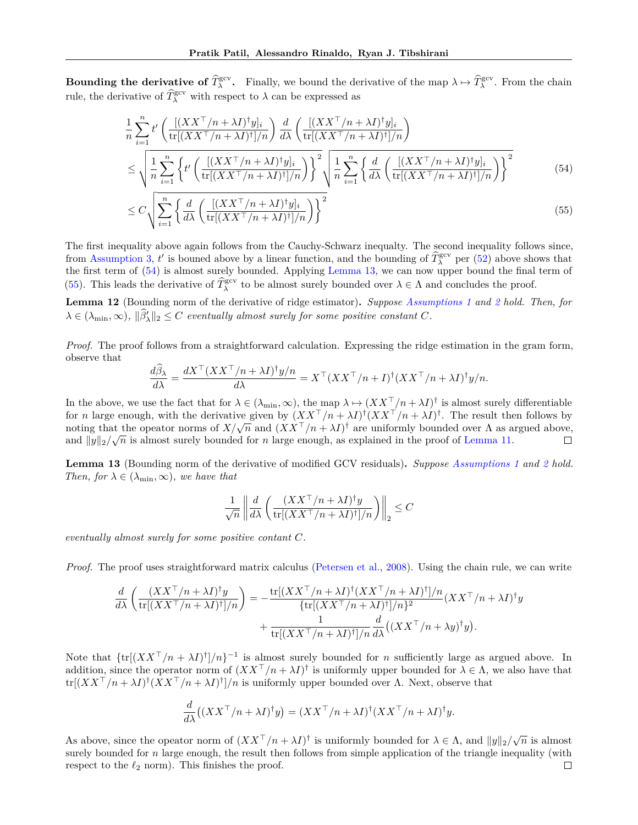**Bounding the derivative of**  $\hat{T}_{\lambda}^{\text{gcv}}$ **.** Finally, we bound the derivative of the map  $\lambda \mapsto \hat{T}_{\lambda}^{\text{gcv}}$ . From the chain rule, the derivative of  $\widehat{T}_{\lambda}^{\text{gev}}$  with respect to  $\lambda$  can be expressed as

$$
\frac{1}{n} \sum_{i=1}^{n} t' \left( \frac{\left[ (XX^{\top}/n + \lambda I)^{\dagger} y \right]_i}{\text{tr}[(XX^{\top}/n + \lambda I)^{\dagger}]/n} \right) \frac{d}{d\lambda} \left( \frac{\left[ (XX^{\top}/n + \lambda I)^{\dagger} y \right]_i}{\text{tr}[(XX^{\top}/n + \lambda I)^{\dagger}]/n} \right) \n\leq \sqrt{\frac{1}{n} \sum_{i=1}^{n} \left\{ t' \left( \frac{\left[ (XX^{\top}/n + \lambda I)^{\dagger} y \right]_i}{\text{tr}[(XX^{\top}/n + \lambda I)^{\dagger}]/n} \right) \right\}^2} \sqrt{\frac{1}{n} \sum_{i=1}^{n} \left\{ \frac{d}{d\lambda} \left( \frac{\left[ (XX^{\top}/n + \lambda I)^{\dagger} y \right]_i}{\text{tr}[(XX^{\top}/n + \lambda I)^{\dagger}]/n} \right) \right\}^2} \tag{54}
$$

<span id="page-24-3"></span><span id="page-24-1"></span>
$$
\leq C \sqrt{\sum_{i=1}^{n} \left\{ \frac{d}{d\lambda} \left( \frac{[(XX^{\top}/n + \lambda I)^{\dagger} y]_i}{\text{tr}[(XX^{\top}/n + \lambda I)^{\dagger}]/n} \right) \right\}^2}
$$
(55)

The first inequality above again follows from the Cauchy-Schwarz inequalty. The second inequality follows since, from [Assumption 3,](#page-5-1) *t'* is bouned above by a linear function, and the bounding of  $\widehat{T}_{\lambda}^{\text{gcv}}$  per [\(52\)](#page-23-0) above shows that the first term of [\(54\)](#page-24-1) is almost surely bounded. Applying [Lemma 13,](#page-24-2) we can now upper bound the final term of [\(55\)](#page-24-3). This leads the derivative of  $\widehat{T}_{\lambda}^{\text{gcv}}$  to be almost surely bounded over  $\lambda \in \Lambda$  and concludes the proof.

<span id="page-24-0"></span>**Lemma 12** (Bounding norm of the derivative of ridge estimator)**.** *Suppose [Assumptions 1](#page-4-2) and [2](#page-4-3) hold. Then, for*  $\lambda \in (\lambda_{\min}, \infty)$ ,  $\|\hat{\beta}'_{\lambda}\|_2 \leq C$  *eventually almost surely for some positive constant C.* 

*Proof.* The proof follows from a straightforward calculation. Expressing the ridge estimation in the gram form, observe that

$$
\frac{d\widehat{\beta}_{\lambda}}{d\lambda} = \frac{dX^{\top} (XX^{\top}/n + \lambda I)^{\dagger} y/n}{d\lambda} = X^{\top} (XX^{\top}/n + I)^{\dagger} (XX^{\top}/n + \lambda I)^{\dagger} y/n.
$$

In the above, we use the fact that for  $\lambda \in (\lambda_{\min}, \infty)$ , the map  $\lambda \mapsto (XX^{\top}/n + \lambda I)^{\dagger}$  is almost surely differentiable for *n* large enough, with the derivative given by  $(XX^{\top}/n + \lambda I)^{\dagger} (XX^{\top}/n + \lambda I)^{\dagger}$ . The result then follows by noting that the opeator norms of  $X/\sqrt{n}$  and  $(XX^{\top}/n + \lambda I)^{\dagger}$  are uniformly bounded over  $\Lambda$  as argued above, and  $||y||_2/\sqrt{n}$  is almost surely bounded for *n* large enough, as explained in the proof of [Lemma 11.](#page-22-0)  $\Box$ 

<span id="page-24-2"></span>**Lemma 13** (Bounding norm of the derivative of modified GCV residuals)**.** *Suppose [Assumptions 1](#page-4-2) and [2](#page-4-3) hold. Then, for*  $\lambda \in (\lambda_{\min}, \infty)$ *, we have that* 

$$
\frac{1}{\sqrt{n}} \left\| \frac{d}{d\lambda} \left( \frac{(XX^\top/n + \lambda I)^\dagger y}{\text{tr}[(XX^\top/n + \lambda I)^\dagger]/n} \right) \right\|_2 \le C
$$

*eventually almost surely for some positive contant C.*

*Proof.* The proof uses straightforward matrix calculus [\(Petersen et al.,](#page-10-23) [2008\)](#page-10-23). Using the chain rule, we can write

$$
\frac{d}{d\lambda} \left( \frac{(XX^\top/n + \lambda I)^\dagger y}{\text{tr}[(XX^\top/n + \lambda I)^\dagger]/n} \right) = -\frac{\text{tr}[(XX^\top/n + \lambda I)^\dagger (XX^\top/n + \lambda I)^\dagger]/n}{\text{tr}[(XX^\top/n + \lambda I)^\dagger]/n\}^2} (XX^\top/n + \lambda I)^\dagger y
$$
\n
$$
+ \frac{1}{\text{tr}[(XX^\top/n + \lambda I)^\dagger]/n} \frac{d}{d\lambda} ((XX^\top/n + \lambda y)^\dagger y).
$$

Note that  $\{\text{tr}[(XX^{\top}/n + \lambda I)^{\dagger}]/n\}^{-1}$  is almost surely bounded for *n* sufficiently large as argued above. In addition, since the operator norm of  $(XX^{\top}/n + \lambda I)^{\dagger}$  is uniformly upper bounded for  $\lambda \in \Lambda$ , we also have that  $tr[(XX^{\top}/n + \lambda I)^{\dagger}(XX^{\top}/n + \lambda I)^{\dagger}]/n$  is uniformly upper bounded over  $\Lambda$ . Next, observe that

$$
\frac{d}{d\lambda}((XX^{\top}/n+\lambda I)^{\dagger}y) = (XX^{\top}/n+\lambda I)^{\dagger}(XX^{\top}/n+\lambda I)^{\dagger}y.
$$

As above, since the opeator norm of  $(XX^{\top}/n + \lambda I)^{\dagger}$  is uniformly bounded for  $\lambda \in \Lambda$ , and  $||y||_2/\sqrt{n}$  is almost surely bounded for *n* large enough, the result then follows from simple application of the triangle inequality (with respect to the  $\ell_2$  norm). This finishes the proof.  $\Box$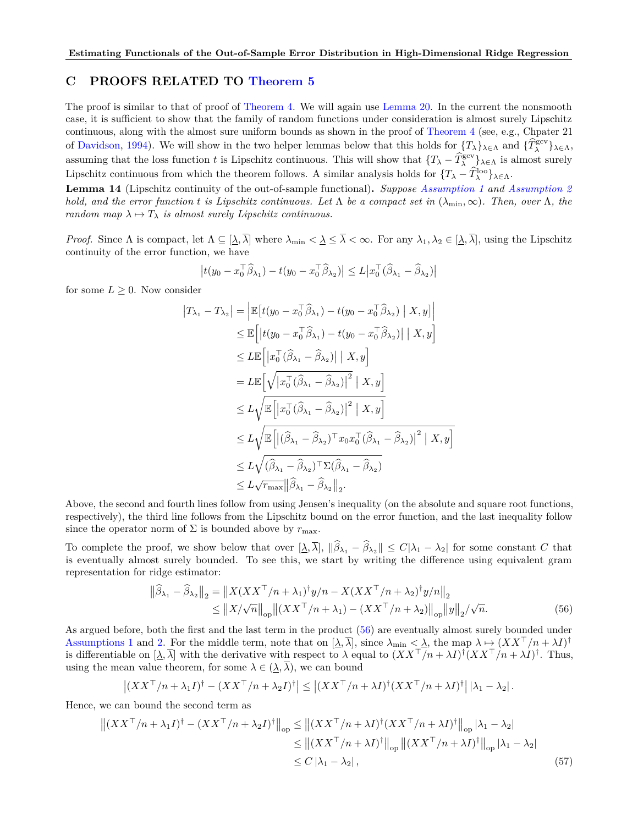## <span id="page-25-0"></span>**C PROOFS RELATED TO [Theorem 5](#page-6-5)**

The proof is similar to that of proof of [Theorem 4.](#page-6-6) We will again use [Lemma 20.](#page-32-2) In the current the nonsmooth case, it is sufficient to show that the family of random functions under consideration is almost surely Lipschitz continuous, along with the almost sure uniform bounds as shown in the proof of [Theorem 4](#page-6-6) (see, e.g., Chpater 21 of [Davidson,](#page-9-24) [1994\)](#page-9-24). We will show in the two helper lemmas below that this holds for  ${T_\lambda \}_{\lambda \in \Lambda}$  and  ${\{\hat{T}_\lambda^{\text{gcv}}\}}_{\lambda \in \Lambda}$ , assuming that the loss function *t* is Lipschitz continuous. This will show that  $\{T_{\lambda} - \hat{T}_{\lambda}^{\text{geo}}\}_{\lambda \in \Lambda}$  is almost surely Lipschitz continuous from which the theorem follows. A similar analysis holds for  $\{T_{\lambda} - \widehat{T}_{\lambda}^{\text{loo}}\}_{\lambda \in \Lambda}$ .

**Lemma 14** (Lipschitz continuity of the out-of-sample functional)**.** *Suppose [Assumption 1](#page-4-2) and [Assumption 2](#page-4-3) hold, and the error function t is Lipschitz continuous. Let*  $\Lambda$  *be a compact set in*  $(\lambda_{\min}, \infty)$ *. Then, over*  $\Lambda$ *, the random map*  $\lambda \mapsto T_{\lambda}$  *is almost surely Lipschitz continuous.* 

*Proof.* Since  $\Lambda$  is compact, let  $\Lambda \subseteq [\lambda, \overline{\lambda}]$  where  $\lambda_{\min} < \underline{\lambda} \leq \overline{\lambda} < \infty$ . For any  $\lambda_1, \lambda_2 \in [\lambda, \overline{\lambda}]$ , using the Lipschitz continuity of the error function, we have

$$
\left|t(y_0 - x_0^\top \widehat{\beta}_{\lambda_1}) - t(y_0 - x_0^\top \widehat{\beta}_{\lambda_2})\right| \leq L \left|x_0^\top (\widehat{\beta}_{\lambda_1} - \widehat{\beta}_{\lambda_2})\right|
$$

for some  $L \geq 0$ . Now consider

$$
|T_{\lambda_1} - T_{\lambda_2}| = \left| \mathbb{E} \left[ t(y_0 - x_0^\top \widehat{\beta}_{\lambda_1}) - t(y_0 - x_0^\top \widehat{\beta}_{\lambda_2}) \mid X, y \right] \right|
$$
  
\n
$$
\leq \mathbb{E} \left[ \left| t(y_0 - x_0^\top \widehat{\beta}_{\lambda_1}) - t(y_0 - x_0^\top \widehat{\beta}_{\lambda_2}) \right| \mid X, y \right]
$$
  
\n
$$
\leq L \mathbb{E} \left[ \left| x_0^\top (\widehat{\beta}_{\lambda_1} - \widehat{\beta}_{\lambda_2}) \right| \mid X, y \right]
$$
  
\n
$$
= L \mathbb{E} \left[ \sqrt{\left| x_0^\top (\widehat{\beta}_{\lambda_1} - \widehat{\beta}_{\lambda_2}) \right|^2} \mid X, y \right]
$$
  
\n
$$
\leq L \sqrt{\mathbb{E} \left[ \left| x_0^\top (\widehat{\beta}_{\lambda_1} - \widehat{\beta}_{\lambda_2}) \right|^2 \mid X, y \right]}
$$
  
\n
$$
\leq L \sqrt{\mathbb{E} \left[ \left| (\widehat{\beta}_{\lambda_1} - \widehat{\beta}_{\lambda_2})^\top x_0 x_0^\top (\widehat{\beta}_{\lambda_1} - \widehat{\beta}_{\lambda_2}) \right|^2 \mid X, y \right]}
$$
  
\n
$$
\leq L \sqrt{(\widehat{\beta}_{\lambda_1} - \widehat{\beta}_{\lambda_2})^\top \Sigma (\widehat{\beta}_{\lambda_1} - \widehat{\beta}_{\lambda_2})}
$$
  
\n
$$
\leq L \sqrt{r_{\text{max}}} \|\widehat{\beta}_{\lambda_1} - \widehat{\beta}_{\lambda_2}\|_2.
$$

Above, the second and fourth lines follow from using Jensen's inequality (on the absolute and square root functions, respectively), the third line follows from the Lipschitz bound on the error function, and the last inequality follow since the operator norm of  $\Sigma$  is bounded above by  $r_{\text{max}}$ .

To complete the proof, we show below that over  $[\underline{\lambda}, \overline{\lambda}]$ ,  $\|\hat{\beta}_{\lambda_1} - \hat{\beta}_{\lambda_2}\| \le C|\lambda_1 - \lambda_2|$  for some constant *C* that is eventually almost surely bounded. To see this, we start by writing the difference using equivalent gram representation for ridge estimator:

<span id="page-25-2"></span><span id="page-25-1"></span>
$$
\|\widehat{\beta}_{\lambda_1} - \widehat{\beta}_{\lambda_2}\|_2 = \|X(XX^\top/n + \lambda_1)^{\dagger}y/n - X(XX^\top/n + \lambda_2)^{\dagger}y/n\|_2
$$
  
\n
$$
\leq \|X/\sqrt{n}\|_{op} \|(XX^\top/n + \lambda_1) - (XX^\top/n + \lambda_2)\|_{op} \|y\|_2/\sqrt{n}.
$$
\n(56)

As argued before, both the first and the last term in the product [\(56\)](#page-25-1) are eventually almost surely bounded under [Assumptions 1](#page-4-2) and [2.](#page-4-3) For the middle term, note that on  $[\underline{\lambda}, \overline{\lambda}]$ , since  $\lambda_{\min} < \underline{\lambda}$ , the map  $\lambda \mapsto (XX^{\top}/n + \lambda I)^{\dagger}$ is differentiable on  $[\lambda, \overline{\lambda}]$  with the derivative with respect to  $\lambda$  equal to  $(XX^{\top}/n + \lambda I)^{\dagger} (XX^{\top}/n + \lambda I)^{\dagger}$ . Thus, using the mean value theorem, for some  $\lambda \in (\underline{\lambda}, \overline{\lambda})$ , we can bound

$$
\left| (XX^\top/n + \lambda_1 I)^\dagger - (XX^\top/n + \lambda_2 I)^\dagger \right| \leq \left| (XX^\top/n + \lambda I)^\dagger (XX^\top/n + \lambda I)^\dagger \right| |\lambda_1 - \lambda_2|.
$$

Hence, we can bound the second term as

$$
\left\| (XX^\top/n + \lambda_1 I)^\dagger - (XX^\top/n + \lambda_2 I)^\dagger \right\|_{\text{op}} \leq \left\| (XX^\top/n + \lambda I)^\dagger (XX^\top/n + \lambda I)^\dagger \right\|_{\text{op}} |\lambda_1 - \lambda_2|
$$
  
\n
$$
\leq \left\| (XX^\top/n + \lambda I)^\dagger \right\|_{\text{op}} \left\| (XX^\top/n + \lambda I)^\dagger \right\|_{\text{op}} |\lambda_1 - \lambda_2|
$$
  
\n
$$
\leq C |\lambda_1 - \lambda_2|, \tag{57}
$$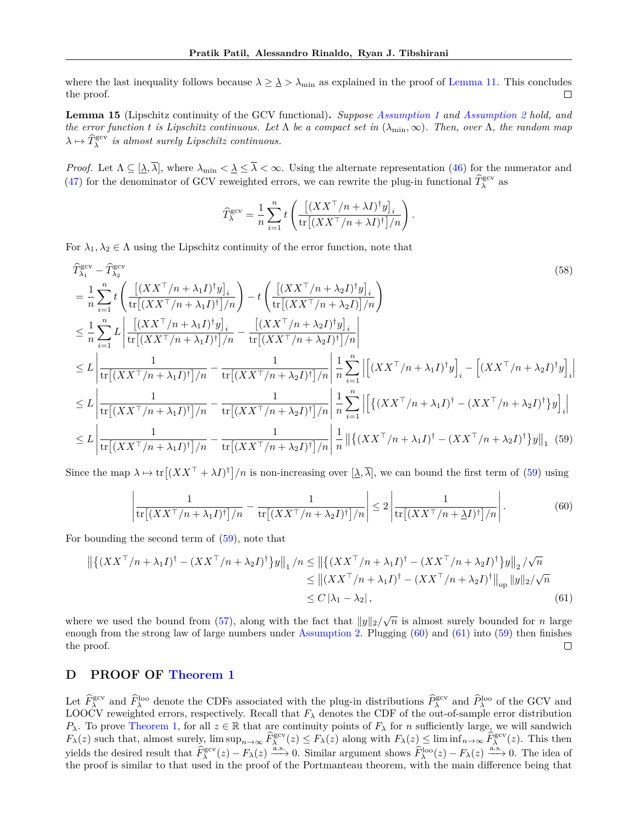where the last inequality follows because  $\lambda \geq \lambda > \lambda_{\text{min}}$  as explained in the proof of [Lemma 11.](#page-22-0) This concludes the proof. П

**Lemma 15** (Lipschitz continuity of the GCV functional)**.** *Suppose [Assumption 1](#page-4-2) and [Assumption 2](#page-4-3) hold, and the error function t is Lipschitz continuous. Let*  $\Lambda$  *be a compact set in* ( $\lambda_{\min}, \infty$ ). Then, over  $\Lambda$ , the random map  $\lambda \mapsto \hat{T}_{\lambda}^{\text{gcv}}$  *is almost surely Lipschitz continuous.* 

*Proof.* Let  $\Lambda \subseteq [\underline{\lambda}, \overline{\lambda}]$ , where  $\lambda_{\min} < \underline{\lambda} \le \overline{\lambda} < \infty$ . Using the alternate representation [\(46\)](#page-20-0) for the numerator and [\(47\)](#page-20-1) for the denominator of GCV reweighted errors, we can rewrite the plug-in functional  $\hat{T}_{\lambda}^{\text{gcv}}$  as

<span id="page-26-1"></span>
$$
\widehat{T}_{\lambda}^{\text{gcv}} = \frac{1}{n} \sum_{i=1}^{n} t \left( \frac{\left[ (XX^{\top}/n + \lambda I)^{\dagger} y \right]_i}{\text{tr} \left[ (XX^{\top}/n + \lambda I)^{\dagger} \right] / n} \right).
$$

For  $\lambda_1, \lambda_2 \in \Lambda$  using the Lipschitz continuity of the error function, note that

$$
\hat{T}_{\lambda_1}^{\text{gcv}} - \hat{T}_{\lambda_2}^{\text{gcv}} \qquad (58)
$$
\n
$$
= \frac{1}{n} \sum_{i=1}^n t \left( \frac{\left[ (XX^\top/n + \lambda_1 I)^\dagger y \right]_i}{\text{tr} \left[ (XX^\top/n + \lambda_1 I)^\dagger \right] / n} \right) - t \left( \frac{\left[ (XX^\top/n + \lambda_2 I)^\dagger y \right]_i}{\text{tr} \left[ (XX^\top/n + \lambda_2 I) \right] / n} \right)
$$
\n
$$
\leq \frac{1}{n} \sum_{i=1}^n L \left| \frac{\left[ (XX^\top/n + \lambda_1 I)^\dagger y \right]_i}{\text{tr} \left[ (XX^\top/n + \lambda_1 I)^\dagger \right] / n} - \frac{\left[ (XX^\top/n + \lambda_2 I)^\dagger y \right]_i}{\text{tr} \left[ (XX^\top/n + \lambda_2 I)^\dagger \right] / n} \right|
$$
\n
$$
\leq L \left| \frac{1}{\text{tr} \left[ (XX^\top/n + \lambda_1 I)^\dagger \right] / n} - \frac{1}{\text{tr} \left[ (XX^\top/n + \lambda_2 I)^\dagger \right] / n} \right| \frac{1}{n} \sum_{i=1}^n \left| \left[ (XX^\top/n + \lambda_1 I)^\dagger y \right]_i - \left[ (XX^\top/n + \lambda_2 I)^\dagger y \right]_i \right|
$$
\n
$$
\leq L \left| \frac{1}{\text{tr} \left[ (XX^\top/n + \lambda_1 I)^\dagger \right] / n} - \frac{1}{\text{tr} \left[ (XX^\top/n + \lambda_2 I)^\dagger \right] / n} \right| \frac{1}{n} \sum_{i=1}^n \left| \left[ \left\{ (XX^\top/n + \lambda_1 I)^\dagger - (XX^\top/n + \lambda_2 I)^\dagger \right\} y \right]_i \right|
$$
\n
$$
\leq L \left| \frac{1}{\text{tr} \left[ (XX^\top/n + \lambda_1 I)^\dagger \right] / n} - \frac{1}{\text{tr} \left[ (XX^\top/n + \lambda_2 I)^\dagger \right] / n} \right| \frac{1}{n} \left| \left[ \left\{ (
$$

Since the map  $\lambda \mapsto \text{tr}[(XX^\top + \lambda I)^\dagger]/n$  is non-increasing over  $[\lambda, \overline{\lambda}]$ , we can bound the first term of [\(59\)](#page-26-1) using

<span id="page-26-3"></span><span id="page-26-2"></span>
$$
\left|\frac{1}{\text{tr}\left[(XX^\top/n + \lambda_1 I)^\dagger\right] / n} - \frac{1}{\text{tr}\left[(XX^\top/n + \lambda_2 I)^\dagger\right] / n}\right| \le 2 \left|\frac{1}{\text{tr}\left[(XX^\top/n + \lambda I)^\dagger\right] / n}\right|.
$$
(60)

For bounding the second term of [\(59\)](#page-26-1), note that

$$
\begin{split} \left\| \left\{ (XX^\top/n + \lambda_1 I)^\dagger - (XX^\top/n + \lambda_2 I)^\dagger \right\} y \right\|_1 / n &\le \left\| \left\{ (XX^\top/n + \lambda_1 I)^\dagger - (XX^\top/n + \lambda_2 I)^\dagger \right\} y \right\|_2 / \sqrt{n} \\ &\le \left\| (XX^\top/n + \lambda_1 I)^\dagger - (XX^\top/n + \lambda_2 I)^\dagger \right\|_{\text{op}} \|y\|_2 / \sqrt{n} \\ &\le C \left| \lambda_1 - \lambda_2 \right|, \end{split} \tag{61}
$$

where we used the bound from [\(57\)](#page-25-2), along with the fact that  $||y||_2/\sqrt{n}$  is almost surely bounded for *n* large enough from the strong law of large numbers under [Assumption 2.](#page-4-3) Plugging [\(60\)](#page-26-2) and [\(61\)](#page-26-3) into [\(59\)](#page-26-1) then finishes the proof.  $\Box$ 

## <span id="page-26-0"></span>**D PROOF OF [Theorem 1](#page-4-5)**

Let  $\hat{F}_{\lambda}^{\text{geo}}$  and  $\hat{F}_{\lambda}^{\text{loo}}$  denote the CDFs associated with the plug-in distributions  $\hat{P}_{\lambda}^{\text{geo}}$  and  $\hat{P}_{\lambda}^{\text{loo}}$  of the GCV and LOOCV reweighted errors, respectively. Recall that  $F_\lambda$  denotes the CDF of the out-of-sample error distribution *P*<sub>*λ*</sub>. To prove [Theorem 1,](#page-4-5) for all  $z \in \mathbb{R}$  that are continuity points of *F*<sub>*λ*</sub> for *n* sufficiently large, we will sandwich  $F_{\lambda}(z)$  such that, almost surely,  $\limsup_{n\to\infty} \widehat{F}_{\lambda}^{\text{gcv}}(z) \leq F_{\lambda}(z)$  along with  $F_{\lambda}(z) \leq \liminf_{n\to\infty} \widehat{F}_{\lambda}^{\text{gcv}}(z)$ . This then yields the desired result that  $\widehat{F}_{\lambda}^{\text{gcv}}(z) - F_{\lambda}(z) \xrightarrow{\text{a.s.}} 0$ . Similar argument shows  $\widehat{F}_{\lambda}^{\text{loo}}(z) - F_{\lambda}(z) \xrightarrow{\text{a.s.}} 0$ . The idea of the proof is similar to that used in the proof of the Portmanteau theorem, with the main difference being that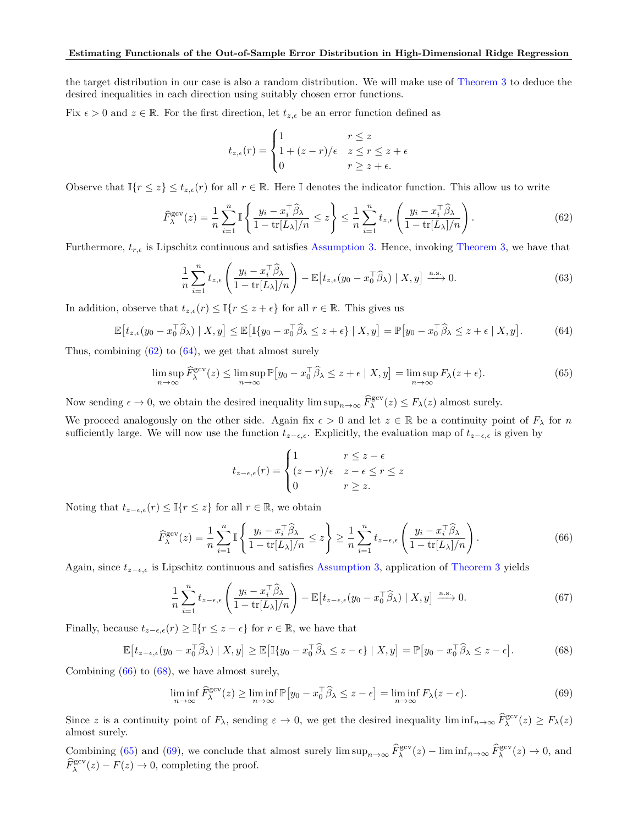the target distribution in our case is also a random distribution. We will make use of [Theorem 3](#page-5-3) to deduce the desired inequalities in each direction using suitably chosen error functions.

Fix  $\epsilon > 0$  and  $z \in \mathbb{R}$ . For the first direction, let  $t_{z,\epsilon}$  be an error function defined as

$$
t_{z,\epsilon}(r) = \begin{cases} 1 & r \leq z \\ 1 + (z - r)/\epsilon & z \leq r \leq z + \epsilon \\ 0 & r \geq z + \epsilon. \end{cases}
$$

Observe that  $\mathbb{I}\{r \leq z\} \leq t_{z,\epsilon}(r)$  for all  $r \in \mathbb{R}$ . Here I denotes the indicator function. This allow us to write

<span id="page-27-0"></span>
$$
\widehat{F}_{\lambda}^{\text{gcv}}(z) = \frac{1}{n} \sum_{i=1}^{n} \mathbb{I} \left\{ \frac{y_i - x_i^{\top} \widehat{\beta}_{\lambda}}{1 - \text{tr}[L_{\lambda}]/n} \le z \right\} \le \frac{1}{n} \sum_{i=1}^{n} t_{z,\epsilon} \left( \frac{y_i - x_i^{\top} \widehat{\beta}_{\lambda}}{1 - \text{tr}[L_{\lambda}]/n} \right). \tag{62}
$$

Furthermore,  $t_{r,\epsilon}$  is Lipschitz continuous and satisfies [Assumption 3.](#page-5-1) Hence, invoking [Theorem 3,](#page-5-3) we have that

$$
\frac{1}{n}\sum_{i=1}^{n}t_{z,\epsilon}\left(\frac{y_i - x_i^{\top}\widehat{\beta}_{\lambda}}{1 - \text{tr}[L_{\lambda}]/n}\right) - \mathbb{E}\left[t_{z,\epsilon}(y_0 - x_0^{\top}\widehat{\beta}_{\lambda}) \mid X, y\right] \xrightarrow{\text{a.s.}} 0. \tag{63}
$$

In addition, observe that  $t_{z,\epsilon}(r) \leq \mathbb{I}\{r \leq z + \epsilon\}$  for all  $r \in \mathbb{R}$ . This gives us

<span id="page-27-1"></span>
$$
\mathbb{E}\left[t_{z,\epsilon}(y_0 - x_0^{\top}\widehat{\beta}_{\lambda}) \mid X, y\right] \leq \mathbb{E}\left[\mathbb{I}\{y_0 - x_0^{\top}\widehat{\beta}_{\lambda} \leq z + \epsilon\} \mid X, y\right] = \mathbb{P}\left[y_0 - x_0^{\top}\widehat{\beta}_{\lambda} \leq z + \epsilon \mid X, y\right].\tag{64}
$$

Thus, combining  $(62)$  to  $(64)$ , we get that almost surely

<span id="page-27-4"></span>
$$
\limsup_{n \to \infty} \widehat{F}_{\lambda}^{\text{gcv}}(z) \le \limsup_{n \to \infty} \mathbb{P}\big[y_0 - x_0^\top \widehat{\beta}_\lambda \le z + \epsilon \mid X, y\big] = \limsup_{n \to \infty} F_\lambda(z + \epsilon). \tag{65}
$$

Now sending  $\epsilon \to 0$ , we obtain the desired inequality  $\limsup_{n\to\infty} \widehat{F}_{\lambda}^{\text{gcv}}(z) \leq F_{\lambda}(z)$  almost surely.

We proceed analogously on the other side. Again fix  $\epsilon > 0$  and let  $z \in \mathbb{R}$  be a continuity point of  $F_\lambda$  for *n* sufficiently large. We will now use the function  $t_{z-\epsilon,\epsilon}$ . Explicitly, the evaluation map of  $t_{z-\epsilon,\epsilon}$  is given by

$$
t_{z-\epsilon,\epsilon}(r) = \begin{cases} 1 & r \le z - \epsilon \\ (z-r)/\epsilon & z - \epsilon \le r \le z \\ 0 & r \ge z. \end{cases}
$$

Noting that  $t_{z-\epsilon,\epsilon}(r) \leq \mathbb{I}\{r \leq z\}$  for all  $r \in \mathbb{R}$ , we obtain

<span id="page-27-2"></span>
$$
\widehat{F}_{\lambda}^{\text{gcv}}(z) = \frac{1}{n} \sum_{i=1}^{n} \mathbb{I} \left\{ \frac{y_i - x_i^{\top} \widehat{\beta}_{\lambda}}{1 - \text{tr}[L_{\lambda}]/n} \le z \right\} \ge \frac{1}{n} \sum_{i=1}^{n} t_{z-\epsilon,\epsilon} \left( \frac{y_i - x_i^{\top} \widehat{\beta}_{\lambda}}{1 - \text{tr}[L_{\lambda}]/n} \right). \tag{66}
$$

Again, since *tz*−*ϵ,ϵ* is Lipschitz continuous and satisfies [Assumption 3,](#page-5-1) application of [Theorem 3](#page-5-3) yields

$$
\frac{1}{n}\sum_{i=1}^{n}t_{z-\epsilon,\epsilon}\left(\frac{y_i - x_i^{\top}\widehat{\beta}_{\lambda}}{1 - \text{tr}[L_{\lambda}]/n}\right) - \mathbb{E}\left[t_{z-\epsilon,\epsilon}(y_0 - x_0^{\top}\widehat{\beta}_{\lambda}) \mid X, y\right] \xrightarrow{\text{a.s.}} 0. \tag{67}
$$

Finally, because  $t_{z-\epsilon,\epsilon}(r) \geq \mathbb{I}\{r \leq z-\epsilon\}$  for  $r \in \mathbb{R}$ , we have that

<span id="page-27-3"></span>
$$
\mathbb{E}\left[t_{z-\epsilon,\epsilon}(y_0 - x_0^{\top}\widehat{\beta}_{\lambda}) \mid X, y\right] \ge \mathbb{E}\left[\mathbb{I}\{y_0 - x_0^{\top}\widehat{\beta}_{\lambda} \le z - \epsilon\} \mid X, y\right] = \mathbb{P}\left[y_0 - x_0^{\top}\widehat{\beta}_{\lambda} \le z - \epsilon\right].\tag{68}
$$

Combining  $(66)$  to  $(68)$ , we have almost surely,

<span id="page-27-5"></span>
$$
\liminf_{n \to \infty} \widehat{F}_{\lambda}^{\text{gcv}}(z) \ge \liminf_{n \to \infty} \mathbb{P}\big[y_0 - x_0^\top \widehat{\beta}_\lambda \le z - \epsilon\big] = \liminf_{n \to \infty} F_\lambda(z - \epsilon). \tag{69}
$$

Since *z* is a continuity point of  $F_{\lambda}$ , sending  $\varepsilon \to 0$ , we get the desired inequality lim  $\inf_{n\to\infty} \widehat{F}_{\lambda}^{\text{gcv}}(z) \geq F_{\lambda}(z)$ almost surely.

Combining [\(65\)](#page-27-4) and [\(69\)](#page-27-5), we conclude that almost surely  $\limsup_{n\to\infty} \widehat{F}_{\lambda}^{\text{gcv}}(z) - \liminf_{n\to\infty} \widehat{F}_{\lambda}^{\text{gcv}}(z) \to 0$ , and  $\widehat{F}_{\lambda}^{\text{gcv}}(z) - F(z) \to 0$ , completing the proof.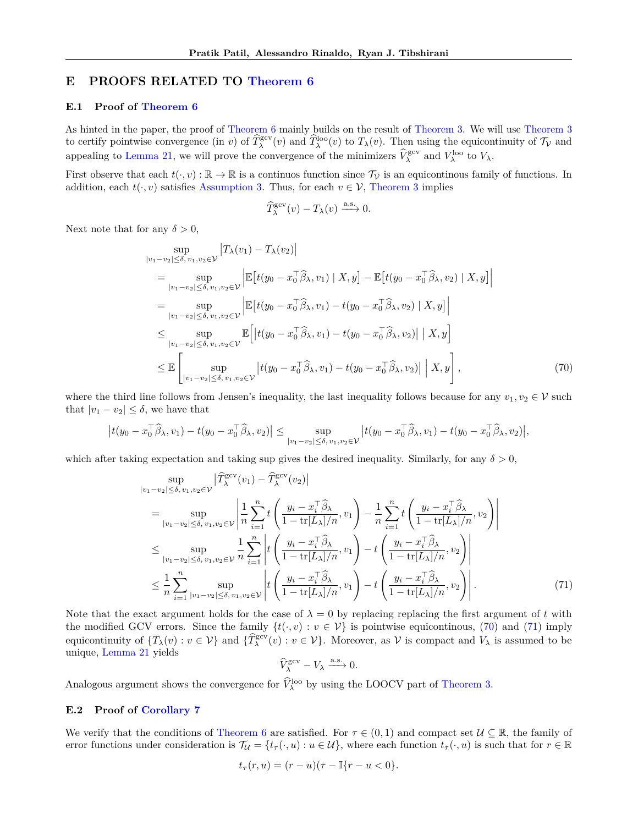# <span id="page-28-0"></span>**E PROOFS RELATED TO [Theorem 6](#page-7-0)**

### **E.1 Proof of [Theorem 6](#page-7-0)**

As hinted in the paper, the proof of [Theorem 6](#page-7-0) mainly builds on the result of [Theorem 3.](#page-5-3) We will use [Theorem 3](#page-5-3) to certify pointwise convergence (in *v*) of  $\widehat{T}_{\lambda}^{\text{geo}}(v)$  and  $\widehat{T}_{\lambda}^{\text{loo}}(v)$  to  $T_{\lambda}(v)$ . Then using the equicontinuity of  $\mathcal{T}_{\mathcal{V}}$  and appealing to [Lemma 21,](#page-32-3) we will prove the convergence of the minimizers  $\hat{V}_{\lambda}^{\text{gev}}$  and  $V_{\lambda}^{\text{loop}}$  to  $V_{\lambda}$ .

First observe that each  $t(\cdot, v): \mathbb{R} \to \mathbb{R}$  is a continuos function since  $\mathcal{T}_\mathcal{V}$  is an equicontinous family of functions. In addition, each  $t(\cdot, v)$  satisfies [Assumption 3.](#page-5-1) Thus, for each  $v \in V$ , [Theorem 3](#page-5-3) implies

<span id="page-28-1"></span>
$$
\widehat{T}_{\lambda}^{\text{gcv}}(v) - T_{\lambda}(v) \xrightarrow{\text{a.s.}} 0.
$$

Next note that for any  $\delta > 0$ ,

$$
\sup_{|v_1-v_2|\leq\delta,\,v_1,v_2\in\mathcal{V}}|T_\lambda(v_1)-T_\lambda(v_2)|
$$
\n
$$
=\sup_{|v_1-v_2|\leq\delta,\,v_1,v_2\in\mathcal{V}}\left|\mathbb{E}\left[t(y_0-x_0^\top\hat{\beta}_\lambda,v_1)\mid X,y\right]-\mathbb{E}\left[t(y_0-x_0^\top\hat{\beta}_\lambda,v_2)\mid X,y\right]\right|
$$
\n
$$
=\sup_{|v_1-v_2|\leq\delta,\,v_1,v_2\in\mathcal{V}}\left|\mathbb{E}\left[t(y_0-x_0^\top\hat{\beta}_\lambda,v_1)-t(y_0-x_0^\top\hat{\beta}_\lambda,v_2)\mid X,y\right]\right|
$$
\n
$$
\leq \sup_{|v_1-v_2|\leq\delta,\,v_1,v_2\in\mathcal{V}}\mathbb{E}\left[\left|t(y_0-x_0^\top\hat{\beta}_\lambda,v_1)-t(y_0-x_0^\top\hat{\beta}_\lambda,v_2)\right|\mid X,y\right]
$$
\n
$$
\leq \mathbb{E}\left[\sup_{|v_1-v_2|\leq\delta,\,v_1,v_2\in\mathcal{V}}\left|t(y_0-x_0^\top\hat{\beta}_\lambda,v_1)-t(y_0-x_0^\top\hat{\beta}_\lambda,v_2)\right|\mid X,y\right],\tag{70}
$$

where the third line follows from Jensen's inequality, the last inequality follows because for any  $v_1, v_2 \in V$  such that  $|v_1 - v_2| \leq \delta$ , we have that

$$
\left|t(y_0-x_0^{\top}\widehat{\beta}_\lambda,v_1)-t(y_0-x_0^{\top}\widehat{\beta}_\lambda,v_2)\right|\leq \sup_{|v_1-v_2|\leq \delta,\,v_1,v_2\in \mathcal{V}}\left|t(y_0-x_0^{\top}\widehat{\beta}_\lambda,v_1)-t(y_0-x_0^{\top}\widehat{\beta}_\lambda,v_2)\right|,
$$

which after taking expectation and taking sup gives the desired inequality. Similarly, for any  $\delta > 0$ ,

$$
\sup_{|v_1-v_2|\leq \delta,\,v_1,v_2\in \mathcal{V}}|\widehat{T}_{\lambda}^{\text{gcv}}(v_1)-\widehat{T}_{\lambda}^{\text{gcv}}(v_2)|
$$
\n
$$
=\sup_{|v_1-v_2|\leq \delta,\,v_1,v_2\in \mathcal{V}}\left|\frac{1}{n}\sum_{i=1}^n t\left(\frac{y_i-x_i^\top \widehat{\beta}_{\lambda}}{1-\text{tr}[L_{\lambda}]/n},v_1\right)-\frac{1}{n}\sum_{i=1}^n t\left(\frac{y_i-x_i^\top \widehat{\beta}_{\lambda}}{1-\text{tr}[L_{\lambda}]/n},v_2\right)\right|
$$
\n
$$
\leq \sup_{|v_1-v_2|\leq \delta,\,v_1,v_2\in \mathcal{V}}\frac{1}{n}\sum_{i=1}^n \left|t\left(\frac{y_i-x_i^\top \widehat{\beta}_{\lambda}}{1-\text{tr}[L_{\lambda}]/n},v_1\right)-t\left(\frac{y_i-x_i^\top \widehat{\beta}_{\lambda}}{1-\text{tr}[L_{\lambda}]/n},v_2\right)\right|
$$
\n
$$
\leq \frac{1}{n}\sum_{i=1}^n \sup_{|v_1-v_2|\leq \delta,\,v_1,v_2\in \mathcal{V}}\left|t\left(\frac{y_i-x_i^\top \widehat{\beta}_{\lambda}}{1-\text{tr}[L_{\lambda}]/n},v_1\right)-t\left(\frac{y_i-x_i^\top \widehat{\beta}_{\lambda}}{1-\text{tr}[L_{\lambda}]/n},v_2\right)\right|.
$$
\n(71)

Note that the exact argument holds for the case of  $\lambda = 0$  by replacing replacing the first argument of *t* with the modified GCV errors. Since the family  $\{t(\cdot, v) : v \in V\}$  is pointwise equicontinous, [\(70\)](#page-28-1) and [\(71\)](#page-28-2) imply equicontinuity of  $\{T_{\lambda}(v) : v \in V\}$  and  $\{\widehat{T}_{\lambda}^{\text{gcv}}(v) : v \in V\}$ . Moreover, as V is compact and  $V_{\lambda}$  is assumed to be unique, [Lemma 21](#page-32-3) yields

<span id="page-28-2"></span>
$$
\widehat{V}_{\lambda}^{\text{gcv}} - V_{\lambda} \xrightarrow{\text{a.s.}} 0.
$$

Analogous argument shows the convergence for  $\hat{V}_{\lambda}^{\text{loo}}$  by using the LOOCV part of [Theorem 3.](#page-5-3)

# **E.2 Proof of [Corollary 7](#page-7-7)**

We verify that the conditions of [Theorem 6](#page-7-0) are satisfied. For  $\tau \in (0,1)$  and compact set  $\mathcal{U} \subseteq \mathbb{R}$ , the family of error functions under consideration is  $\mathcal{T}_\mathcal{U} = \{t_\tau(\cdot, u) : u \in \mathcal{U}\}\,$ , where each function  $t_\tau(\cdot, u)$  is such that for  $r \in \mathbb{R}$ 

$$
t_{\tau}(r, u) = (r - u)(\tau - \mathbb{I}\{r - u < 0\}.
$$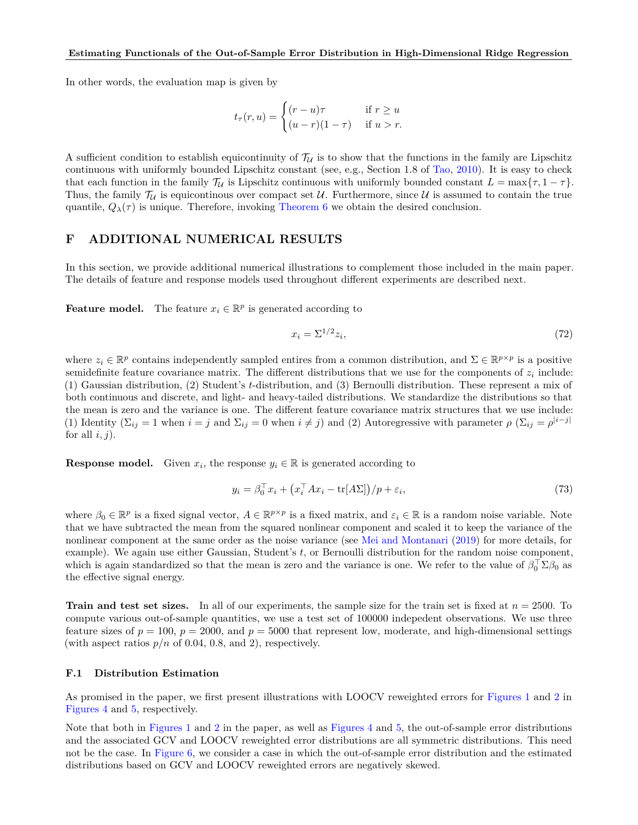In other words, the evaluation map is given by

$$
t_{\tau}(r, u) = \begin{cases} (r - u)\tau & \text{if } r \ge u \\ (u - r)(1 - \tau) & \text{if } u > r. \end{cases}
$$

A sufficient condition to establish equicontinuity of  $T_{\mathcal{U}}$  is to show that the functions in the family are Lipschitz continuous with uniformly bounded Lipschitz constant (see, e.g., Section 1.8 of [Tao,](#page-10-24) [2010\)](#page-10-24). It is easy to check that each function in the family  $\mathcal{T}_U$  is Lipschitz continuous with uniformly bounded constant  $L = \max\{\tau, 1 - \tau\}.$ Thus, the family  $\mathcal{T}_U$  is equicontinous over compact set U. Furthermore, since U is assumed to contain the true quantile,  $Q_{\lambda}(\tau)$  is unique. Therefore, invoking [Theorem 6](#page-7-0) we obtain the desired conclusion.

# <span id="page-29-0"></span>**F ADDITIONAL NUMERICAL RESULTS**

In this section, we provide additional numerical illustrations to complement those included in the main paper. The details of feature and response models used throughout different experiments are described next.

**Feature model.** The feature  $x_i \in \mathbb{R}^p$  is generated according to

<span id="page-29-1"></span>
$$
x_i = \Sigma^{1/2} z_i,\tag{72}
$$

where  $z_i \in \mathbb{R}^p$  contains independently sampled entires from a common distribution, and  $\Sigma \in \mathbb{R}^{p \times p}$  is a positive semidefinite feature covariance matrix. The different distributions that we use for the components of  $z_i$  include: (1) Gaussian distribution, (2) Student's *t*-distribution, and (3) Bernoulli distribution. These represent a mix of both continuous and discrete, and light- and heavy-tailed distributions. We standardize the distributions so that the mean is zero and the variance is one. The different feature covariance matrix structures that we use include: (1) Identity  $(\Sigma_{ij} = 1 \text{ when } i = j \text{ and } \Sigma_{ij} = 0 \text{ when } i \neq j)$  and (2) Autoregressive with parameter  $\rho$   $(\Sigma_{ij} = \rho^{|i-j|})$ for all  $i, j$ ).

**Response model.** Given  $x_i$ , the response  $y_i \in \mathbb{R}$  is generated according to

<span id="page-29-2"></span>
$$
y_i = \beta_0^\top x_i + \left(x_i^\top A x_i - \text{tr}[A\Sigma]\right) / p + \varepsilon_i,\tag{73}
$$

where  $\beta_0 \in \mathbb{R}^p$  is a fixed signal vector,  $A \in \mathbb{R}^{p \times p}$  is a fixed matrix, and  $\varepsilon_i \in \mathbb{R}$  is a random noise variable. Note that we have subtracted the mean from the squared nonlinear component and scaled it to keep the variance of the nonlinear component at the same order as the noise variance (see [Mei and Montanari](#page-10-25) [\(2019\)](#page-10-25) for more details, for example). We again use either Gaussian, Student's *t*, or Bernoulli distribution for the random noise component, which is again standardized so that the mean is zero and the variance is one. We refer to the value of  $\beta_0^{\top} \Sigma \beta_0$  as the effective signal energy.

**Train and test set sizes.** In all of our experiments, the sample size for the train set is fixed at *n* = 2500. To compute various out-of-sample quantities, we use a test set of 100000 indepedent observations. We use three feature sizes of  $p = 100$ ,  $p = 2000$ , and  $p = 5000$  that represent low, moderate, and high-dimensional settings (with aspect ratios  $p/n$  of 0.04, 0.8, and 2), respectively.

### **F.1 Distribution Estimation**

As promised in the paper, we first present illustrations with LOOCV reweighted errors for [Figures 1](#page-1-0) and [2](#page-5-0) in [Figures 4](#page-30-2) and [5,](#page-31-2) respectively.

Note that both in [Figures 1](#page-1-0) and [2](#page-5-0) in the paper, as well as [Figures 4](#page-30-2) and [5,](#page-31-2) the out-of-sample error distributions and the associated GCV and LOOCV reweighted error distributions are all symmetric distributions. This need not be the case. In [Figure 6,](#page-31-3) we consider a case in which the out-of-sample error distribution and the estimated distributions based on GCV and LOOCV reweighted errors are negatively skewed.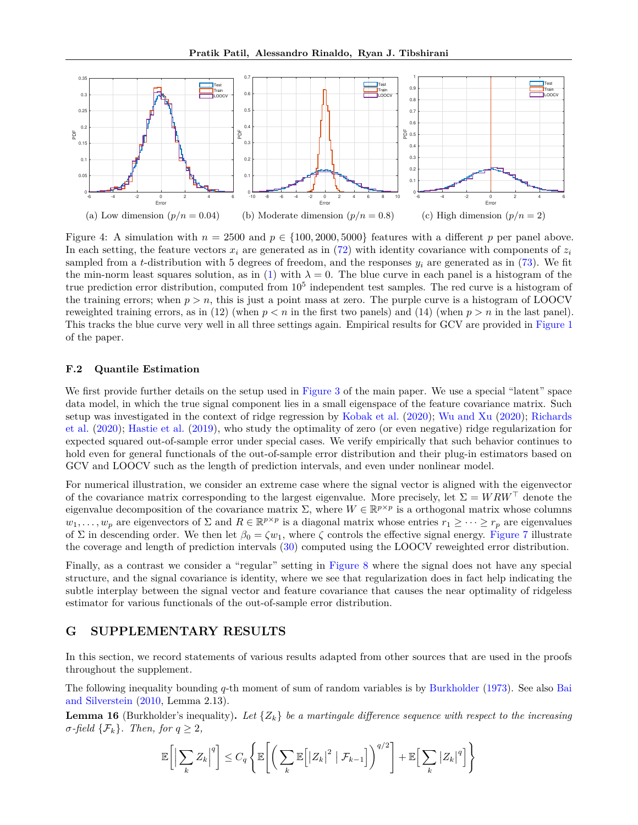<span id="page-30-2"></span>

Figure 4: A simulation with  $n = 2500$  and  $p \in \{100, 2000, 5000\}$  features with a different p per panel above. In each setting, the feature vectors  $x_i$  are generated as in [\(72\)](#page-29-1) with identity covariance with components of  $z_i$ sampled from a *t*-distribution with 5 degrees of freedom, and the responses *y<sup>i</sup>* are generated as in [\(73\)](#page-29-2). We fit the min-norm least squares solution, as in [\(1\)](#page-2-0) with  $\lambda = 0$ . The blue curve in each panel is a histogram of the true prediction error distribution, computed from  $10^5$  independent test samples. The red curve is a histogram of the training errors; when  $p > n$ , this is just a point mass at zero. The purple curve is a histogram of LOOCV reweighted training errors, as in (12) (when  $p < n$  in the first two panels) and (14) (when  $p > n$  in the last panel). This tracks the blue curve very well in all three settings again. Empirical results for GCV are provided in [Figure 1](#page-1-0) of the paper.

## **F.2 Quantile Estimation**

We first provide further details on the setup used in [Figure 3](#page-8-3) of the main paper. We use a special "latent" space data model, in which the true signal component lies in a small eigenspace of the feature covariance matrix. Such setup was investigated in the context of ridge regression by [Kobak et al.](#page-9-9) [\(2020\)](#page-9-9); [Wu and Xu](#page-10-8) [\(2020\)](#page-10-8); [Richards](#page-10-9) [et al.](#page-10-9) [\(2020\)](#page-10-9); [Hastie et al.](#page-9-8) [\(2019\)](#page-9-8), who study the optimality of zero (or even negative) ridge regularization for expected squared out-of-sample error under special cases. We verify empirically that such behavior continues to hold even for general functionals of the out-of-sample error distribution and their plug-in estimators based on GCV and LOOCV such as the length of prediction intervals, and even under nonlinear model.

For numerical illustration, we consider an extreme case where the signal vector is aligned with the eigenvector of the covariance matrix corresponding to the largest eigenvalue. More precisely, let  $\Sigma = WRW^{\top}$  denote the eigenvalue decomposition of the covariance matrix  $\Sigma$ , where  $W \in \mathbb{R}^{p \times p}$  is a orthogonal matrix whose columns  $w_1, \ldots, w_p$  are eigenvectors of  $\Sigma$  and  $R \in \mathbb{R}^{p \times p}$  is a diagonal matrix whose entries  $r_1 \geq \cdots \geq r_p$  are eigenvalues of  $\Sigma$  in descending order. We then let  $\beta_0 = \zeta w_1$ , where  $\zeta$  controls the effective signal energy. [Figure 7](#page-32-4) illustrate the coverage and length of prediction intervals [\(30\)](#page-7-9) computed using the LOOCV reweighted error distribution.

Finally, as a contrast we consider a "regular" setting in [Figure 8](#page-33-0) where the signal does not have any special structure, and the signal covariance is identity, where we see that regularization does in fact help indicating the subtle interplay between the signal vector and feature covariance that causes the near optimality of ridgeless estimator for various functionals of the out-of-sample error distribution.

# <span id="page-30-0"></span>**G SUPPLEMENTARY RESULTS**

In this section, we record statements of various results adapted from other sources that are used in the proofs throughout the supplement.

The following inequality bounding *q*-th moment of sum of random variables is by [Burkholder](#page-9-25) [\(1973\)](#page-9-25). See also [Bai](#page-9-26) [and Silverstein](#page-9-26) [\(2010,](#page-9-26) Lemma 2.13).

<span id="page-30-1"></span>**Lemma 16** (Burkholder's inequality). Let  $\{Z_k\}$  be a martingale difference sequence with respect to the increasing  $\sigma$ *-field*  $\{\mathcal{F}_k\}$ *. Then, for*  $q \geq 2$ *,* 

$$
\mathbb{E}\bigg[\Big|\sum_{k} Z_{k}\Big|^{q}\bigg] \leq C_{q} \left\{\mathbb{E}\bigg[\bigg(\sum_{k} \mathbb{E}\bigg[|Z_{k}|^{2} \mid \mathcal{F}_{k-1}\bigg]\bigg)^{q/2}\bigg] + \mathbb{E}\bigg[\sum_{k} |Z_{k}|^{q}\bigg]\right\}
$$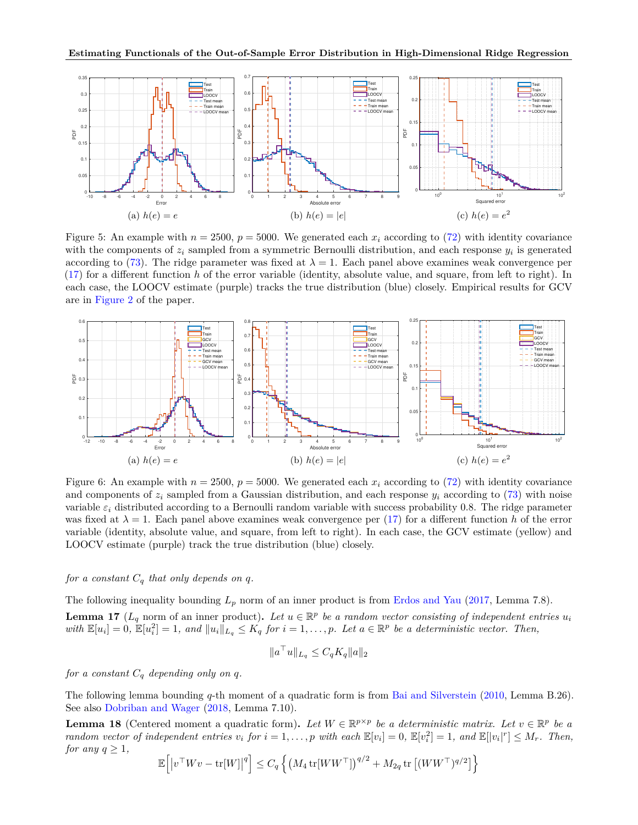<span id="page-31-2"></span>

Figure 5: An example with  $n = 2500$ ,  $p = 5000$ . We generated each  $x_i$  according to [\(72\)](#page-29-1) with identity covariance with the components of *z<sup>i</sup>* sampled from a symmetric Bernoulli distribution, and each response *y<sup>i</sup>* is generated according to [\(73\)](#page-29-2). The ridge parameter was fixed at  $\lambda = 1$ . Each panel above examines weak convergence per [\(17\)](#page-4-6) for a different function *h* of the error variable (identity, absolute value, and square, from left to right). In each case, the LOOCV estimate (purple) tracks the true distribution (blue) closely. Empirical results for GCV are in [Figure 2](#page-5-0) of the paper.

<span id="page-31-3"></span>

Figure 6: An example with  $n = 2500$ ,  $p = 5000$ . We generated each  $x_i$  according to [\(72\)](#page-29-1) with identity covariance and components of  $z_i$  sampled from a Gaussian distribution, and each response  $y_i$  according to [\(73\)](#page-29-2) with noise variable *ε<sup>i</sup>* distributed according to a Bernoulli random variable with success probability 0*.*8. The ridge parameter was fixed at  $\lambda = 1$ . Each panel above examines weak convergence per [\(17\)](#page-4-6) for a different function h of the error variable (identity, absolute value, and square, from left to right). In each case, the GCV estimate (yellow) and LOOCV estimate (purple) track the true distribution (blue) closely.

# *for a constant*  $C_q$  *that only depends on q.*

<span id="page-31-1"></span>The following inequality bounding  $L_p$  norm of an inner product is from [Erdos and Yau](#page-9-27) [\(2017,](#page-9-27) Lemma 7.8). **Lemma 17** ( $L_q$  norm of an inner product). Let  $u \in \mathbb{R}^p$  be a random vector consisting of independent entries  $u_i$ with  $\mathbb{E}[u_i] = 0$ ,  $\mathbb{E}[u_i^2] = 1$ , and  $||u_i||_{L_q} \leq K_q$  for  $i = 1, ..., p$ . Let  $a \in \mathbb{R}^p$  be a deterministic vector. Then,

$$
||a^{\top}u||_{L_q} \leq C_q K_q ||a||_2
$$

*for a constant*  $C_q$  *depending only on q.* 

The following lemma bounding *q*-th moment of a quadratic form is from [Bai and Silverstein](#page-9-26) [\(2010,](#page-9-26) Lemma B.26). See also [Dobriban and Wager](#page-9-28) [\(2018,](#page-9-28) Lemma 7.10).

<span id="page-31-0"></span>**Lemma 18** (Centered moment a quadratic form). Let  $W \in \mathbb{R}^{p \times p}$  be a deterministic matrix. Let  $v \in \mathbb{R}^p$  be a random vector of independent entries  $v_i$  for  $i = 1, ..., p$  with each  $\mathbb{E}[v_i] = 0$ ,  $\mathbb{E}[v_i^2] = 1$ , and  $\mathbb{E}[|v_i|^r] \leq M_r$ . Then, *for any*  $q \geq 1$ *,* 

$$
\mathbb{E}\Big[\big|v^\top W v - \mathrm{tr}[W]\big|^q\Big] \leq C_q \left\{\left(M_4 \, \mathrm{tr}[WW^\top]\right)^{q/2} + M_{2q} \, \mathrm{tr}\left[(WW^\top)^{q/2}\right]\right\}
$$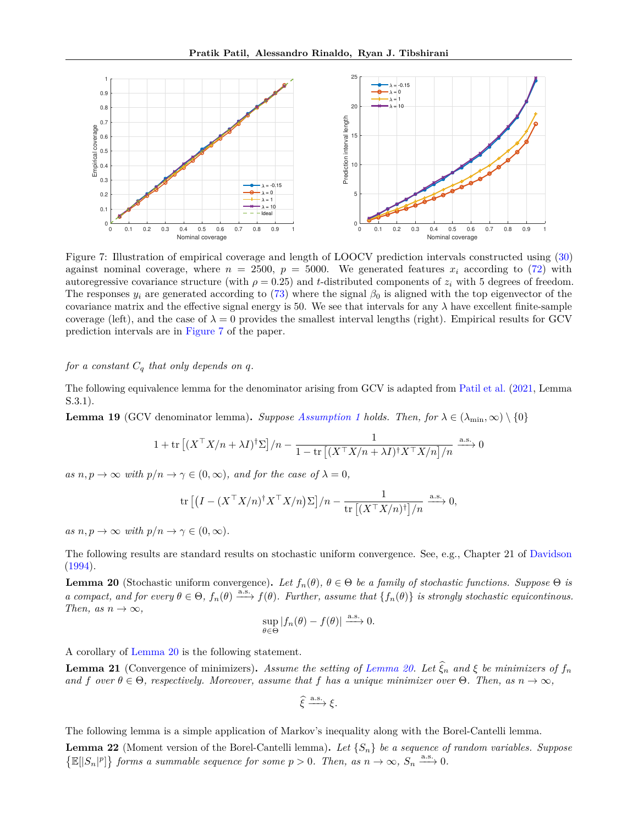<span id="page-32-4"></span>

Figure 7: Illustration of empirical coverage and length of LOOCV prediction intervals constructed using [\(30\)](#page-7-9) against nominal coverage, where  $n = 2500$ ,  $p = 5000$ . We generated features  $x_i$  according to [\(72\)](#page-29-1) with autoregressive covariance structure (with  $\rho = 0.25$ ) and *t*-distributed components of  $z_i$  with 5 degrees of freedom. The responses  $y_i$  are generated according to [\(73\)](#page-29-2) where the signal  $\beta_0$  is aligned with the top eigenvector of the covariance matrix and the effective signal energy is 50. We see that intervals for any  $\lambda$  have excellent finite-sample coverage (left), and the case of  $\lambda = 0$  provides the smallest interval lengths (right). Empirical results for GCV prediction intervals are in [Figure 7](#page-32-4) of the paper.

## *for a constant*  $C_q$  *that only depends on q.*

The following equivalence lemma for the denominator arising from GCV is adapted from [Patil et al.](#page-10-20) [\(2021,](#page-10-20) Lemma S.3.1).

<span id="page-32-1"></span>**Lemma 19** (GCV denominator lemma). *Suppose [Assumption 1](#page-4-2) holds. Then, for*  $\lambda \in (\lambda_{\min}, \infty) \setminus \{0\}$ 

$$
1 + \text{tr}\left[ (X^\top X/n + \lambda I)^\dagger \Sigma \right] / n - \frac{1}{1 - \text{tr}\left[ (X^\top X/n + \lambda I)^\dagger X^\top X/n \right] / n} \xrightarrow{\text{a.s.}} 0
$$

*as*  $n, p \to \infty$  *with*  $p/n \to \gamma \in (0, \infty)$ *, and for the case of*  $\lambda = 0$ *,* 

$$
\mathrm{tr}\left[\left(I-(X^\top X/n)^\dagger X^\top X/n\right)\Sigma\right]/n-\frac{1}{\mathrm{tr}\left[(X^\top X/n)^\dagger\right]/n}\xrightarrow{\text{a.s.}} 0,
$$

 $as n, p \to \infty$  *with*  $p/n \to \gamma \in (0, \infty)$ *.* 

The following results are standard results on stochastic uniform convergence. See, e.g., Chapter 21 of [Davidson](#page-9-24) [\(1994\)](#page-9-24).

<span id="page-32-2"></span>**Lemma 20** (Stochastic uniform convergence). Let  $f_n(\theta)$ ,  $\theta \in \Theta$  be a family of stochastic functions. Suppose  $\Theta$  is *a compact, and for every*  $\theta \in \Theta$ ,  $f_n(\theta) \xrightarrow{a.s.} f(\theta)$ . Further, assume that  $\{f_n(\theta)\}$  *is strongly stochastic equicontinous. Then, as*  $n \to \infty$ *,* 

$$
\sup_{\theta \in \Theta} |f_n(\theta) - f(\theta)| \xrightarrow{\text{a.s.}} 0.
$$

A corollary of [Lemma 20](#page-32-2) is the following statement.

<span id="page-32-3"></span>**Lemma 21** (Convergence of minimizers). Assume the setting of [Lemma 20.](#page-32-2) Let  $\hat{\xi}_n$  and  $\xi$  be minimizers of  $f_n$ *and f* over  $\theta \in \Theta$ , respectively. Moreover, assume that *f* has a unique minimizer over  $\Theta$ . Then, as  $n \to \infty$ ,

$$
\widehat{\xi} \xrightarrow{\text{a.s.}} \xi.
$$

The following lemma is a simple application of Markov's inequality along with the Borel-Cantelli lemma.

<span id="page-32-0"></span>**Lemma 22** (Moment version of the Borel-Cantelli lemma)**.** *Let* {*Sn*} *be a sequence of random variables. Suppose*  $\{\mathbb{E}[|S_n|^p]\}$  forms a summable sequence for some  $p > 0$ . Then, as  $n \to \infty$ ,  $S_n \xrightarrow{a.s.} 0$ .